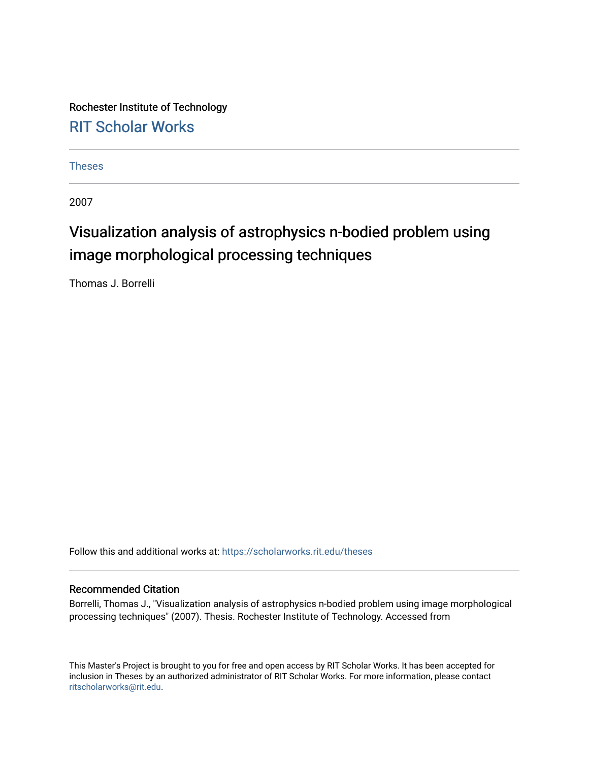Rochester Institute of Technology [RIT Scholar Works](https://scholarworks.rit.edu/)

[Theses](https://scholarworks.rit.edu/theses) 

2007

# Visualization analysis of astrophysics n-bodied problem using image morphological processing techniques

Thomas J. Borrelli

Follow this and additional works at: [https://scholarworks.rit.edu/theses](https://scholarworks.rit.edu/theses?utm_source=scholarworks.rit.edu%2Ftheses%2F125&utm_medium=PDF&utm_campaign=PDFCoverPages) 

#### Recommended Citation

Borrelli, Thomas J., "Visualization analysis of astrophysics n-bodied problem using image morphological processing techniques" (2007). Thesis. Rochester Institute of Technology. Accessed from

This Master's Project is brought to you for free and open access by RIT Scholar Works. It has been accepted for inclusion in Theses by an authorized administrator of RIT Scholar Works. For more information, please contact [ritscholarworks@rit.edu](mailto:ritscholarworks@rit.edu).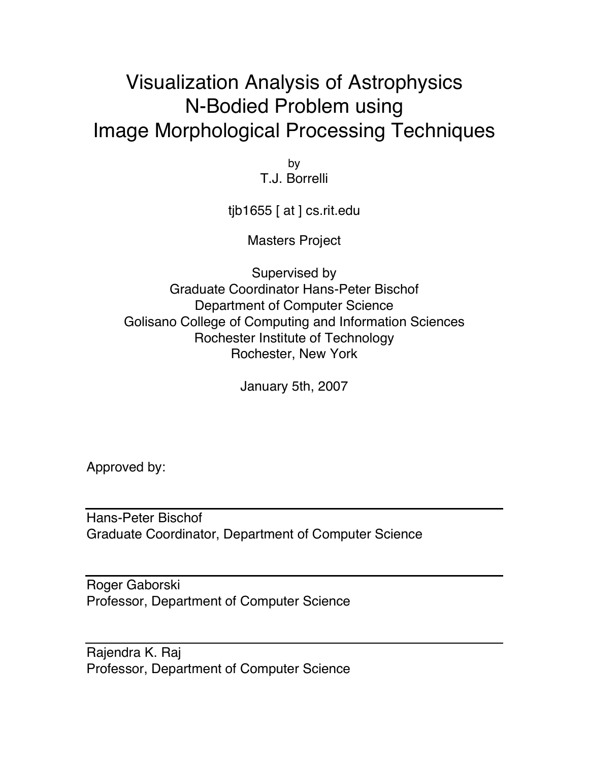# Visualization Analysis of Astrophysics N-Bodied Problem using Image Morphological Processing Techniques

by T.J. Borrelli

tjb1655 [ at ] cs.rit.edu

Masters Project

Supervised by Graduate Coordinator Hans-Peter Bischof Department of Computer Science Golisano College of Computing and Information Sciences Rochester Institute of Technology Rochester, New York

January 5th, 2007

Approved by:

Hans-Peter Bischof Graduate Coordinator, Department of Computer Science

Roger Gaborski Professor, Department of Computer Science

Rajendra K. Raj Professor, Department of Computer Science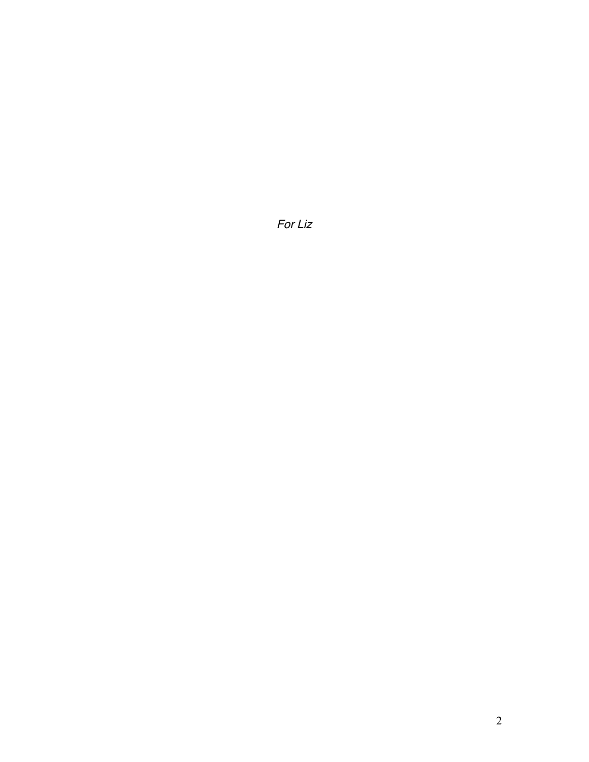For Liz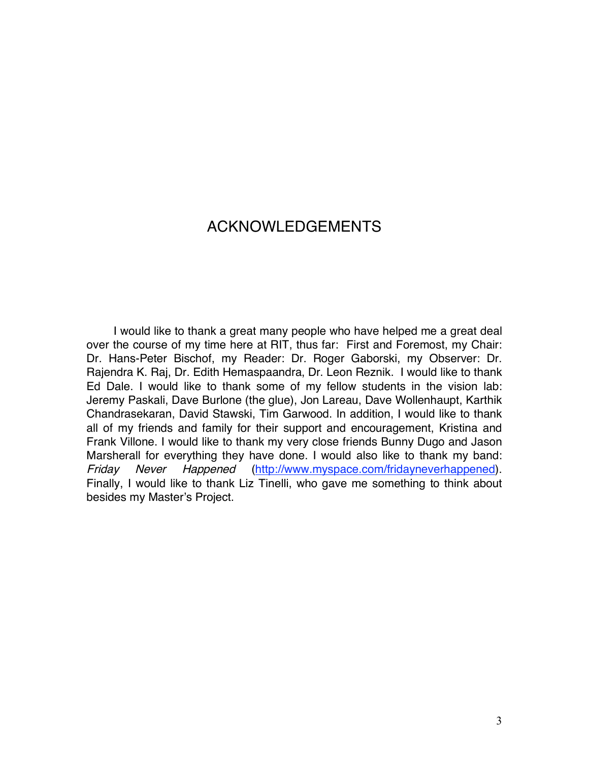### ACKNOWLEDGEMENTS

I would like to thank a great many people who have helped me a great deal over the course of my time here at RIT, thus far: First and Foremost, my Chair: Dr. Hans-Peter Bischof, my Reader: Dr. Roger Gaborski, my Observer: Dr. Rajendra K. Raj, Dr. Edith Hemaspaandra, Dr. Leon Reznik. I would like to thank Ed Dale. I would like to thank some of my fellow students in the vision lab: Jeremy Paskali, Dave Burlone (the glue), Jon Lareau, Dave Wollenhaupt, Karthik Chandrasekaran, David Stawski, Tim Garwood. In addition, I would like to thank all of my friends and family for their support and encouragement, Kristina and Frank Villone. I would like to thank my very close friends Bunny Dugo and Jason Marsherall for everything they have done. I would also like to thank my band: Friday Never Happened (http://www.myspace.com/fridayneverhappened). Finally, I would like to thank Liz Tinelli, who gave me something to think about besides my Master's Project.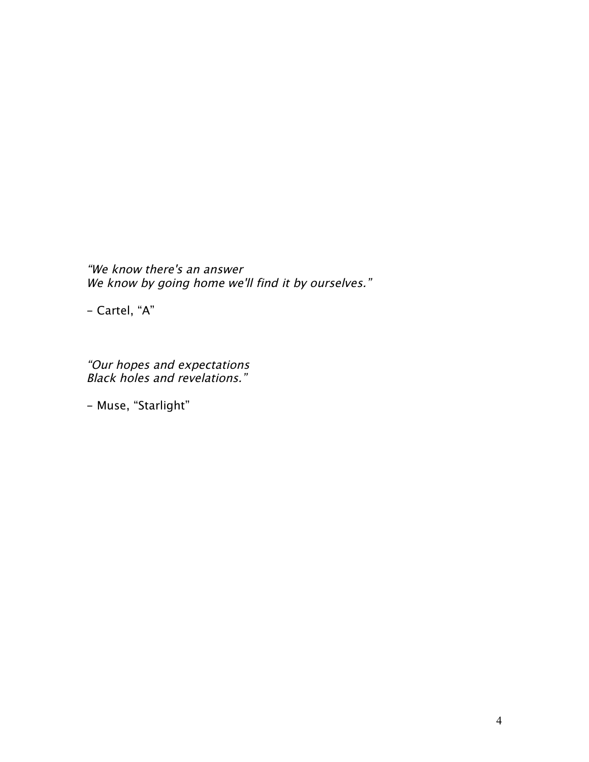"We know there's an answer We know by going home we'll find it by ourselves."

- Cartel, "A"

"Our hopes and expectations Black holes and revelations."

- Muse, "Starlight"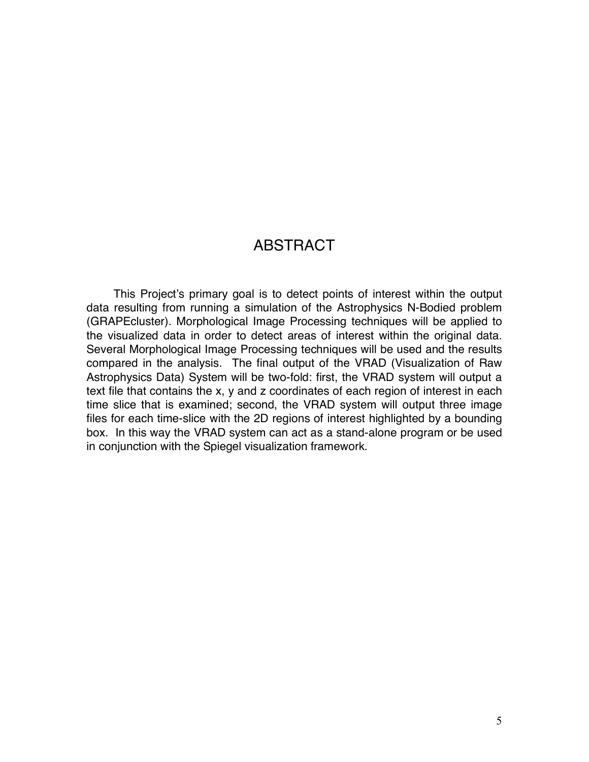### **ABSTRACT**

This Project's primary goal is to detect points of interest within the output data resulting from running a simulation of the Astrophysics N-Bodied problem (GRAPEcluster). Morphological Image Processing techniques will be applied to the visualized data in order to detect areas of interest within the original data. Several Morphological Image Processing techniques will be used and the results compared in the analysis. The final output of the VRAD (Visualization of Raw Astrophysics Data) System will be two-fold: first, the VRAD system will output a text file that contains the x, y and z coordinates of each region of interest in each time slice that is examined; second, the VRAD system will output three image files for each time-slice with the 2D regions of interest highlighted by a bounding box. In this way the VRAD system can act as a stand-alone program or be used in conjunction with the Spiegel visualization framework.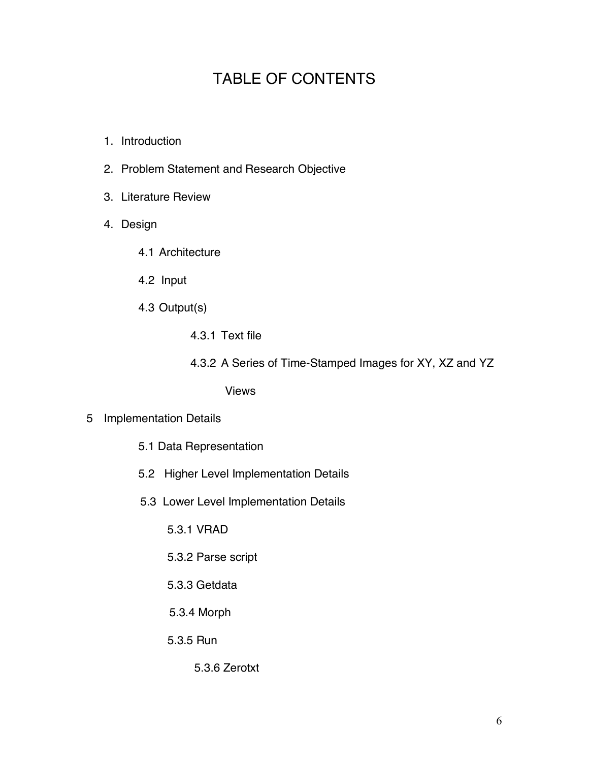## TABLE OF CONTENTS

- 1. Introduction
- 2. Problem Statement and Research Objective
- 3. Literature Review
- 4. Design
	- 4.1 Architecture
	- 4.2 Input
	- 4.3 Output(s)
		- 4.3.1 Text file
		- 4.3.2 A Series of Time-Stamped Images for XY, XZ and YZ

Views

- 5 Implementation Details
	- 5.1 Data Representation
	- 5.2 Higher Level Implementation Details
	- 5.3 Lower Level Implementation Details
		- 5.3.1 VRAD
		- 5.3.2 Parse script
		- 5.3.3 Getdata
		- 5.3.4 Morph
		- 5.3.5 Run
			- 5.3.6 Zerotxt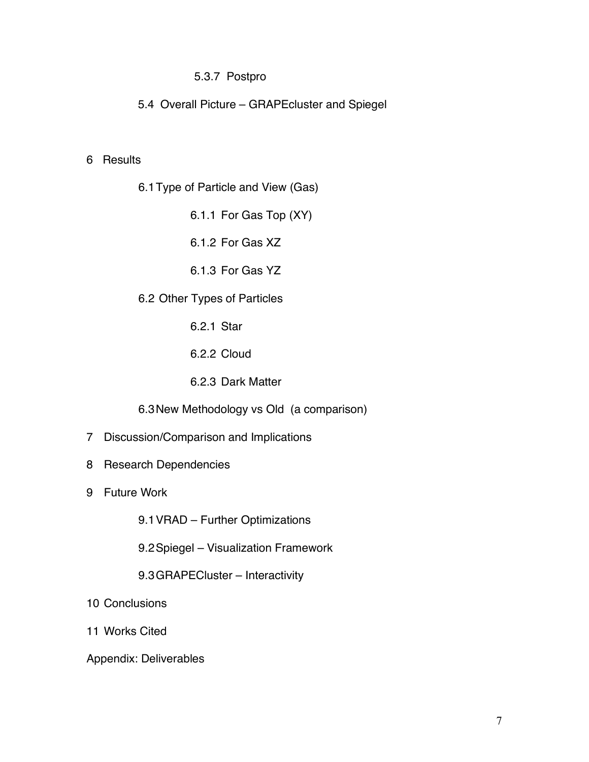#### 5.3.7 Postpro

5.4 Overall Picture – GRAPEcluster and Spiegel

#### 6 Results

6.1Type of Particle and View (Gas)

6.1.1 For Gas Top (XY)

6.1.2 For Gas XZ

6.1.3 For Gas YZ

6.2 Other Types of Particles

6.2.1 Star

6.2.2 Cloud

6.2.3 Dark Matter

6.3New Methodology vs Old (a comparison)

7 Discussion/Comparison and Implications

- 8 Research Dependencies
- 9 Future Work

9.1VRAD – Further Optimizations

9.2Spiegel – Visualization Framework

9.3GRAPECluster – Interactivity

10 Conclusions

11 Works Cited

Appendix: Deliverables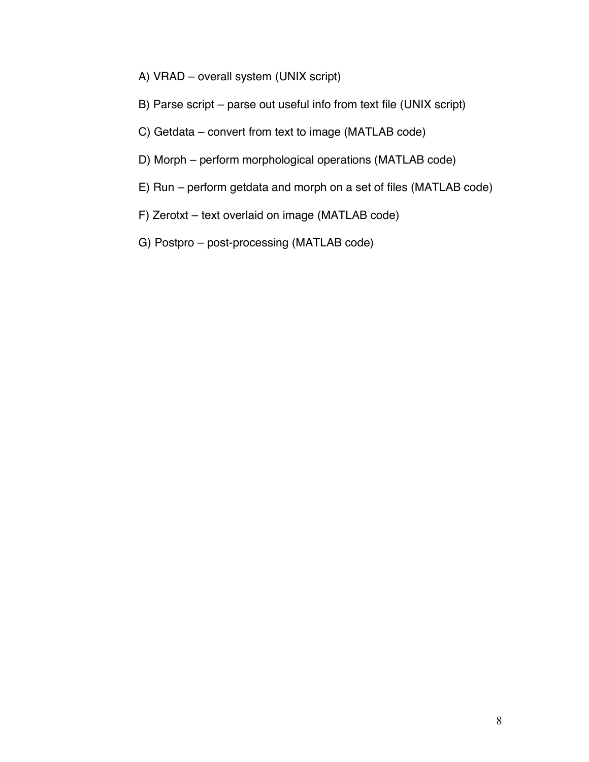- A) VRAD overall system (UNIX script)
- B) Parse script parse out useful info from text file (UNIX script)
- C) Getdata convert from text to image (MATLAB code)
- D) Morph perform morphological operations (MATLAB code)
- E) Run perform getdata and morph on a set of files (MATLAB code)
- F) Zerotxt text overlaid on image (MATLAB code)
- G) Postpro post-processing (MATLAB code)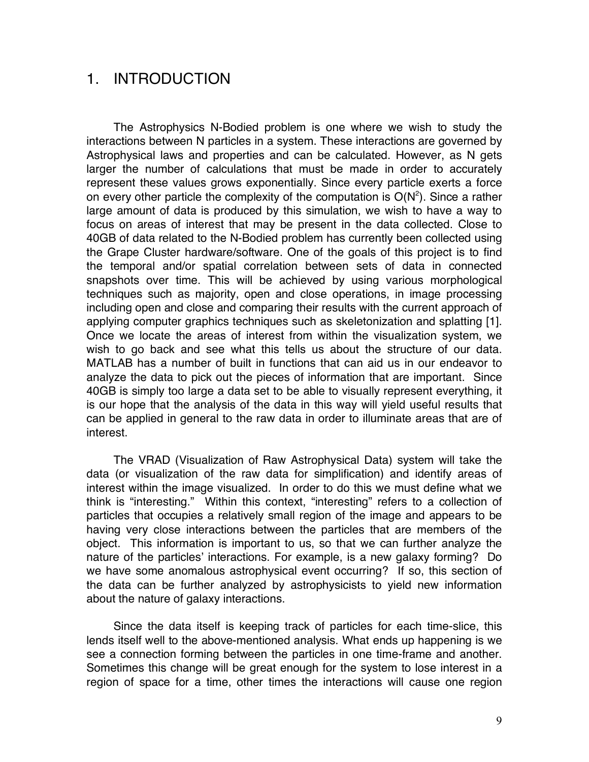### 1. INTRODUCTION

The Astrophysics N-Bodied problem is one where we wish to study the interactions between N particles in a system. These interactions are governed by Astrophysical laws and properties and can be calculated. However, as N gets larger the number of calculations that must be made in order to accurately represent these values grows exponentially. Since every particle exerts a force on every other particle the complexity of the computation is  $O(N^2)$ . Since a rather large amount of data is produced by this simulation, we wish to have a way to focus on areas of interest that may be present in the data collected. Close to 40GB of data related to the N-Bodied problem has currently been collected using the Grape Cluster hardware/software. One of the goals of this project is to find the temporal and/or spatial correlation between sets of data in connected snapshots over time. This will be achieved by using various morphological techniques such as majority, open and close operations, in image processing including open and close and comparing their results with the current approach of applying computer graphics techniques such as skeletonization and splatting [1]. Once we locate the areas of interest from within the visualization system, we wish to go back and see what this tells us about the structure of our data. MATLAB has a number of built in functions that can aid us in our endeavor to analyze the data to pick out the pieces of information that are important. Since 40GB is simply too large a data set to be able to visually represent everything, it is our hope that the analysis of the data in this way will yield useful results that can be applied in general to the raw data in order to illuminate areas that are of interest.

The VRAD (Visualization of Raw Astrophysical Data) system will take the data (or visualization of the raw data for simplification) and identify areas of interest within the image visualized. In order to do this we must define what we think is "interesting." Within this context, "interesting" refers to a collection of particles that occupies a relatively small region of the image and appears to be having very close interactions between the particles that are members of the object. This information is important to us, so that we can further analyze the nature of the particles' interactions. For example, is a new galaxy forming? Do we have some anomalous astrophysical event occurring? If so, this section of the data can be further analyzed by astrophysicists to yield new information about the nature of galaxy interactions.

Since the data itself is keeping track of particles for each time-slice, this lends itself well to the above-mentioned analysis. What ends up happening is we see a connection forming between the particles in one time-frame and another. Sometimes this change will be great enough for the system to lose interest in a region of space for a time, other times the interactions will cause one region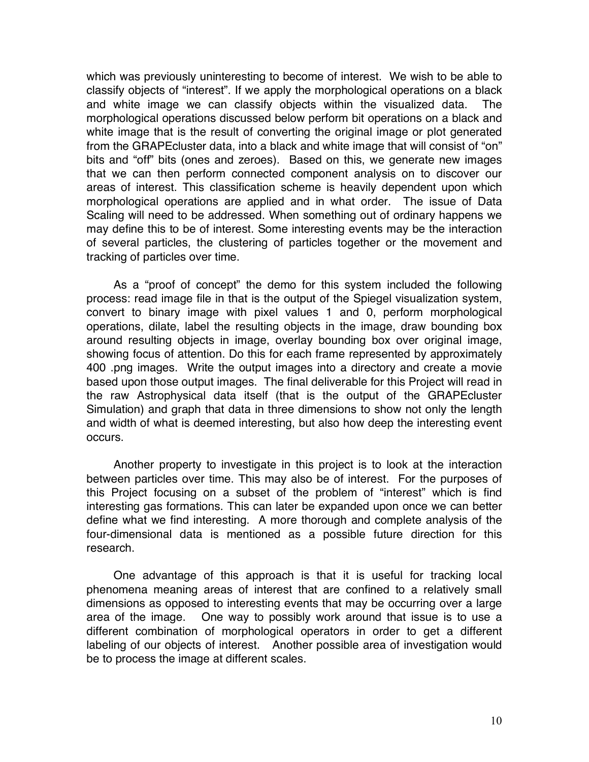which was previously uninteresting to become of interest. We wish to be able to classify objects of "interest". If we apply the morphological operations on a black and white image we can classify objects within the visualized data. The morphological operations discussed below perform bit operations on a black and white image that is the result of converting the original image or plot generated from the GRAPEcluster data, into a black and white image that will consist of "on" bits and "off" bits (ones and zeroes). Based on this, we generate new images that we can then perform connected component analysis on to discover our areas of interest. This classification scheme is heavily dependent upon which morphological operations are applied and in what order. The issue of Data Scaling will need to be addressed. When something out of ordinary happens we may define this to be of interest. Some interesting events may be the interaction of several particles, the clustering of particles together or the movement and tracking of particles over time.

As a "proof of concept" the demo for this system included the following process: read image file in that is the output of the Spiegel visualization system, convert to binary image with pixel values 1 and 0, perform morphological operations, dilate, label the resulting objects in the image, draw bounding box around resulting objects in image, overlay bounding box over original image, showing focus of attention. Do this for each frame represented by approximately 400 .png images. Write the output images into a directory and create a movie based upon those output images. The final deliverable for this Project will read in the raw Astrophysical data itself (that is the output of the GRAPEcluster Simulation) and graph that data in three dimensions to show not only the length and width of what is deemed interesting, but also how deep the interesting event occurs.

Another property to investigate in this project is to look at the interaction between particles over time. This may also be of interest. For the purposes of this Project focusing on a subset of the problem of "interest" which is find interesting gas formations. This can later be expanded upon once we can better define what we find interesting. A more thorough and complete analysis of the four-dimensional data is mentioned as a possible future direction for this research.

One advantage of this approach is that it is useful for tracking local phenomena meaning areas of interest that are confined to a relatively small dimensions as opposed to interesting events that may be occurring over a large area of the image. One way to possibly work around that issue is to use a different combination of morphological operators in order to get a different labeling of our objects of interest. Another possible area of investigation would be to process the image at different scales.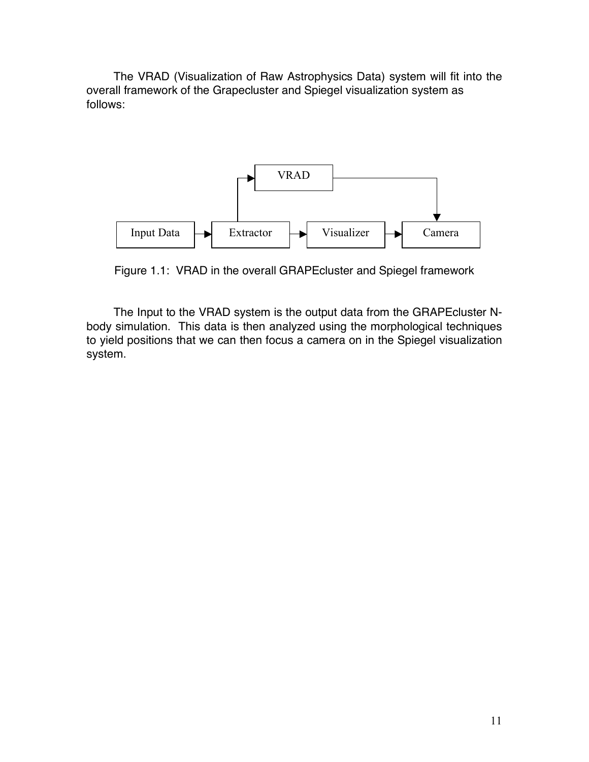The VRAD (Visualization of Raw Astrophysics Data) system will fit into the overall framework of the Grapecluster and Spiegel visualization system as follows:



Figure 1.1: VRAD in the overall GRAPEcluster and Spiegel framework

The Input to the VRAD system is the output data from the GRAPEcluster Nbody simulation. This data is then analyzed using the morphological techniques to yield positions that we can then focus a camera on in the Spiegel visualization system.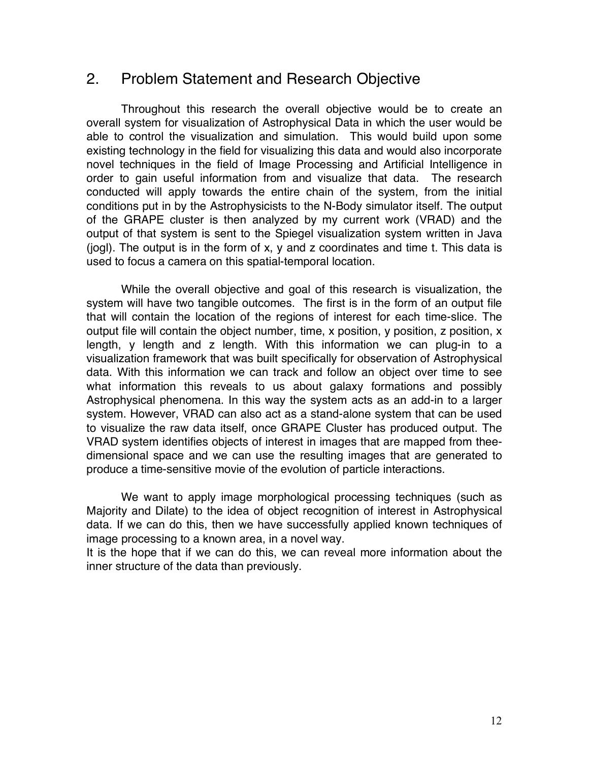### 2. Problem Statement and Research Objective

Throughout this research the overall objective would be to create an overall system for visualization of Astrophysical Data in which the user would be able to control the visualization and simulation. This would build upon some existing technology in the field for visualizing this data and would also incorporate novel techniques in the field of Image Processing and Artificial Intelligence in order to gain useful information from and visualize that data. The research conducted will apply towards the entire chain of the system, from the initial conditions put in by the Astrophysicists to the N-Body simulator itself. The output of the GRAPE cluster is then analyzed by my current work (VRAD) and the output of that system is sent to the Spiegel visualization system written in Java (jogl). The output is in the form of x, y and z coordinates and time t. This data is used to focus a camera on this spatial-temporal location.

While the overall objective and goal of this research is visualization, the system will have two tangible outcomes. The first is in the form of an output file that will contain the location of the regions of interest for each time-slice. The output file will contain the object number, time, x position, y position, z position, x length, y length and z length. With this information we can plug-in to a visualization framework that was built specifically for observation of Astrophysical data. With this information we can track and follow an object over time to see what information this reveals to us about galaxy formations and possibly Astrophysical phenomena. In this way the system acts as an add-in to a larger system. However, VRAD can also act as a stand-alone system that can be used to visualize the raw data itself, once GRAPE Cluster has produced output. The VRAD system identifies objects of interest in images that are mapped from theedimensional space and we can use the resulting images that are generated to produce a time-sensitive movie of the evolution of particle interactions.

We want to apply image morphological processing techniques (such as Majority and Dilate) to the idea of object recognition of interest in Astrophysical data. If we can do this, then we have successfully applied known techniques of image processing to a known area, in a novel way.

It is the hope that if we can do this, we can reveal more information about the inner structure of the data than previously.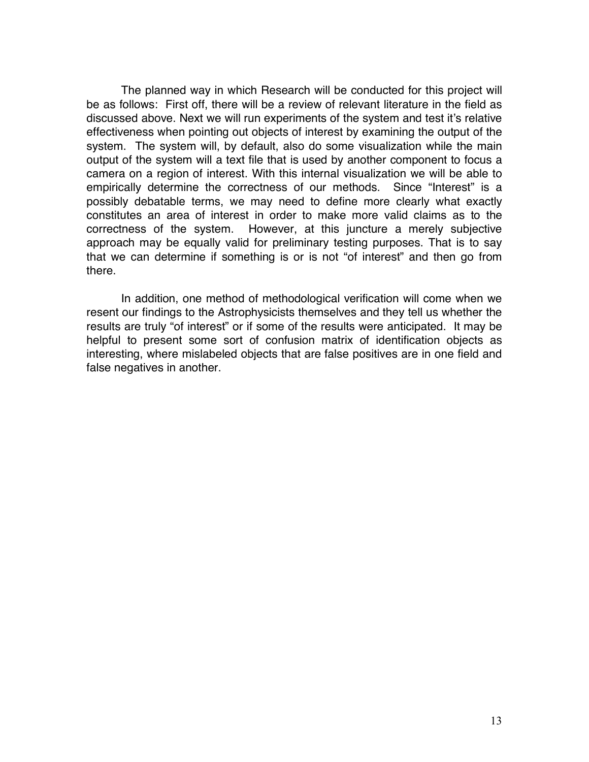The planned way in which Research will be conducted for this project will be as follows: First off, there will be a review of relevant literature in the field as discussed above. Next we will run experiments of the system and test it's relative effectiveness when pointing out objects of interest by examining the output of the system. The system will, by default, also do some visualization while the main output of the system will a text file that is used by another component to focus a camera on a region of interest. With this internal visualization we will be able to empirically determine the correctness of our methods. Since "Interest" is a possibly debatable terms, we may need to define more clearly what exactly constitutes an area of interest in order to make more valid claims as to the correctness of the system. However, at this juncture a merely subjective approach may be equally valid for preliminary testing purposes. That is to say that we can determine if something is or is not "of interest" and then go from there.

In addition, one method of methodological verification will come when we resent our findings to the Astrophysicists themselves and they tell us whether the results are truly "of interest" or if some of the results were anticipated. It may be helpful to present some sort of confusion matrix of identification objects as interesting, where mislabeled objects that are false positives are in one field and false negatives in another.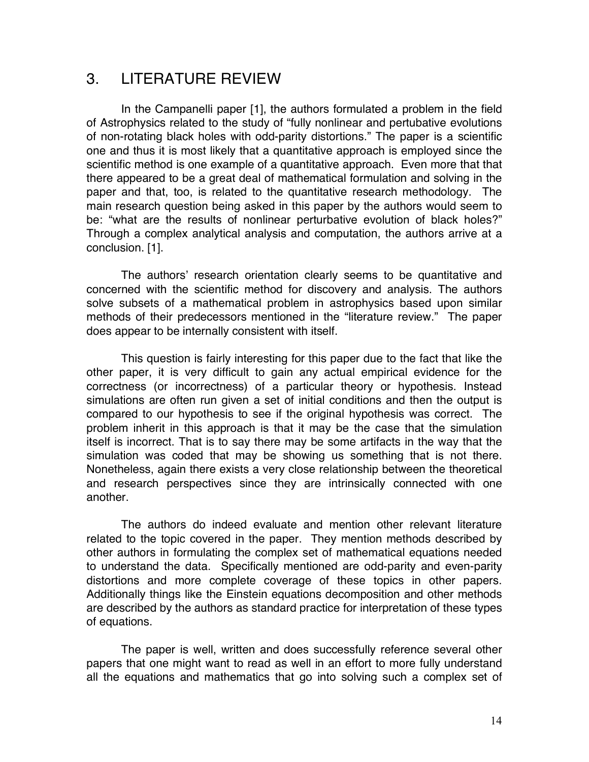### 3. LITERATURE REVIEW

In the Campanelli paper [1], the authors formulated a problem in the field of Astrophysics related to the study of "fully nonlinear and pertubative evolutions of non-rotating black holes with odd-parity distortions." The paper is a scientific one and thus it is most likely that a quantitative approach is employed since the scientific method is one example of a quantitative approach. Even more that that there appeared to be a great deal of mathematical formulation and solving in the paper and that, too, is related to the quantitative research methodology. The main research question being asked in this paper by the authors would seem to be: "what are the results of nonlinear perturbative evolution of black holes?" Through a complex analytical analysis and computation, the authors arrive at a conclusion. [1].

The authors' research orientation clearly seems to be quantitative and concerned with the scientific method for discovery and analysis. The authors solve subsets of a mathematical problem in astrophysics based upon similar methods of their predecessors mentioned in the "literature review." The paper does appear to be internally consistent with itself.

This question is fairly interesting for this paper due to the fact that like the other paper, it is very difficult to gain any actual empirical evidence for the correctness (or incorrectness) of a particular theory or hypothesis. Instead simulations are often run given a set of initial conditions and then the output is compared to our hypothesis to see if the original hypothesis was correct. The problem inherit in this approach is that it may be the case that the simulation itself is incorrect. That is to say there may be some artifacts in the way that the simulation was coded that may be showing us something that is not there. Nonetheless, again there exists a very close relationship between the theoretical and research perspectives since they are intrinsically connected with one another.

The authors do indeed evaluate and mention other relevant literature related to the topic covered in the paper. They mention methods described by other authors in formulating the complex set of mathematical equations needed to understand the data. Specifically mentioned are odd-parity and even-parity distortions and more complete coverage of these topics in other papers. Additionally things like the Einstein equations decomposition and other methods are described by the authors as standard practice for interpretation of these types of equations.

The paper is well, written and does successfully reference several other papers that one might want to read as well in an effort to more fully understand all the equations and mathematics that go into solving such a complex set of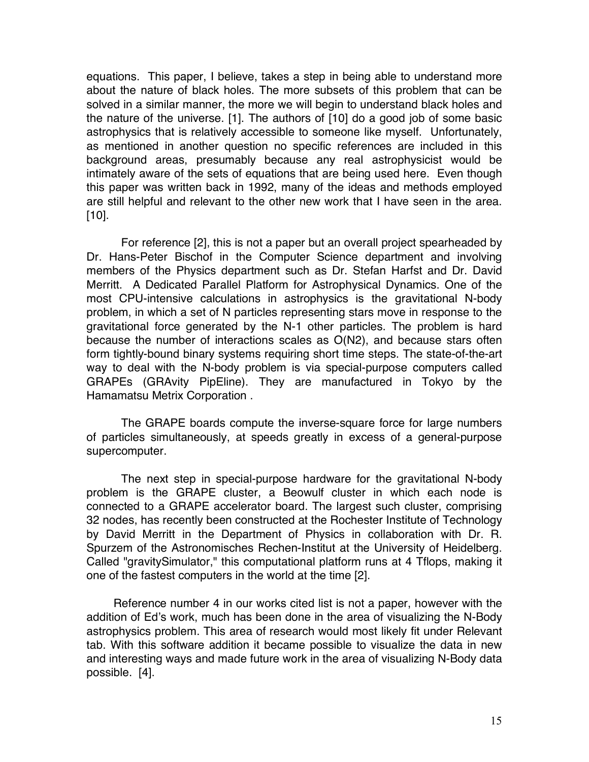equations. This paper, I believe, takes a step in being able to understand more about the nature of black holes. The more subsets of this problem that can be solved in a similar manner, the more we will begin to understand black holes and the nature of the universe. [1]. The authors of [10] do a good job of some basic astrophysics that is relatively accessible to someone like myself. Unfortunately, as mentioned in another question no specific references are included in this background areas, presumably because any real astrophysicist would be intimately aware of the sets of equations that are being used here. Even though this paper was written back in 1992, many of the ideas and methods employed are still helpful and relevant to the other new work that I have seen in the area. [10].

For reference [2], this is not a paper but an overall project spearheaded by Dr. Hans-Peter Bischof in the Computer Science department and involving members of the Physics department such as Dr. Stefan Harfst and Dr. David Merritt. A Dedicated Parallel Platform for Astrophysical Dynamics. One of the most CPU-intensive calculations in astrophysics is the gravitational N-body problem, in which a set of N particles representing stars move in response to the gravitational force generated by the N-1 other particles. The problem is hard because the number of interactions scales as O(N2), and because stars often form tightly-bound binary systems requiring short time steps. The state-of-the-art way to deal with the N-body problem is via special-purpose computers called GRAPEs (GRAvity PipEline). They are manufactured in Tokyo by the Hamamatsu Metrix Corporation .

The GRAPE boards compute the inverse-square force for large numbers of particles simultaneously, at speeds greatly in excess of a general-purpose supercomputer.

The next step in special-purpose hardware for the gravitational N-body problem is the GRAPE cluster, a Beowulf cluster in which each node is connected to a GRAPE accelerator board. The largest such cluster, comprising 32 nodes, has recently been constructed at the Rochester Institute of Technology by David Merritt in the Department of Physics in collaboration with Dr. R. Spurzem of the Astronomisches Rechen-Institut at the University of Heidelberg. Called "gravitySimulator," this computational platform runs at 4 Tflops, making it one of the fastest computers in the world at the time [2].

Reference number 4 in our works cited list is not a paper, however with the addition of Ed's work, much has been done in the area of visualizing the N-Body astrophysics problem. This area of research would most likely fit under Relevant tab. With this software addition it became possible to visualize the data in new and interesting ways and made future work in the area of visualizing N-Body data possible. [4].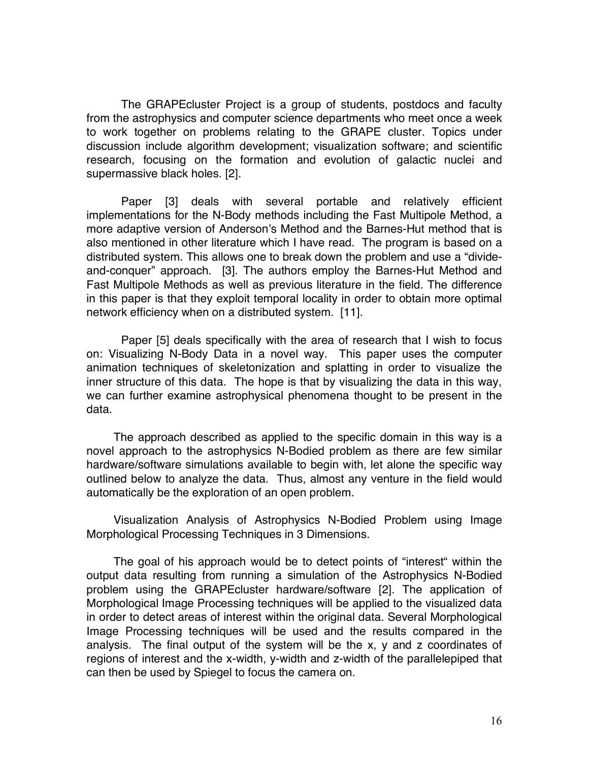The GRAPEcluster Project is a group of students, postdocs and faculty from the astrophysics and computer science departments who meet once a week to work together on problems relating to the GRAPE cluster. Topics under discussion include algorithm development; visualization software; and scientific research, focusing on the formation and evolution of galactic nuclei and supermassive black holes. [2].

Paper [3] deals with several portable and relatively efficient implementations for the N-Body methods including the Fast Multipole Method, a more adaptive version of Anderson's Method and the Barnes-Hut method that is also mentioned in other literature which I have read. The program is based on a distributed system. This allows one to break down the problem and use a "divideand-conquer" approach. [3]. The authors employ the Barnes-Hut Method and Fast Multipole Methods as well as previous literature in the field. The difference in this paper is that they exploit temporal locality in order to obtain more optimal network efficiency when on a distributed system. [11].

Paper [5] deals specifically with the area of research that I wish to focus on: Visualizing N-Body Data in a novel way. This paper uses the computer animation techniques of skeletonization and splatting in order to visualize the inner structure of this data. The hope is that by visualizing the data in this way, we can further examine astrophysical phenomena thought to be present in the data.

The approach described as applied to the specific domain in this way is a novel approach to the astrophysics N-Bodied problem as there are few similar hardware/software simulations available to begin with, let alone the specific way outlined below to analyze the data. Thus, almost any venture in the field would automatically be the exploration of an open problem.

Visualization Analysis of Astrophysics N-Bodied Problem using Image Morphological Processing Techniques in 3 Dimensions.

The goal of his approach would be to detect points of "interest" within the output data resulting from running a simulation of the Astrophysics N-Bodied problem using the GRAPEcluster hardware/software [2]. The application of Morphological Image Processing techniques will be applied to the visualized data in order to detect areas of interest within the original data. Several Morphological Image Processing techniques will be used and the results compared in the analysis. The final output of the system will be the x, y and z coordinates of regions of interest and the x-width, y-width and z-width of the parallelepiped that can then be used by Spiegel to focus the camera on.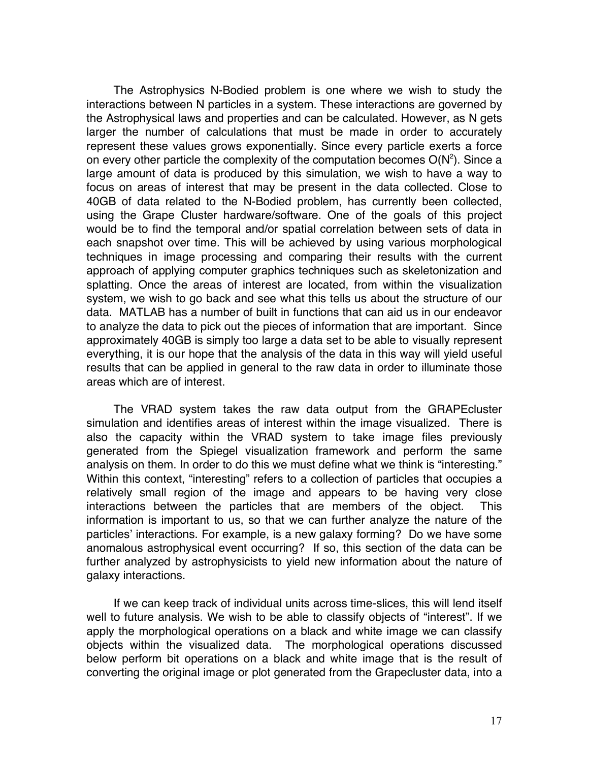The Astrophysics N-Bodied problem is one where we wish to study the interactions between N particles in a system. These interactions are governed by the Astrophysical laws and properties and can be calculated. However, as N gets larger the number of calculations that must be made in order to accurately represent these values grows exponentially. Since every particle exerts a force on every other particle the complexity of the computation becomes  $O(N^2)$ . Since a large amount of data is produced by this simulation, we wish to have a way to focus on areas of interest that may be present in the data collected. Close to 40GB of data related to the N-Bodied problem, has currently been collected, using the Grape Cluster hardware/software. One of the goals of this project would be to find the temporal and/or spatial correlation between sets of data in each snapshot over time. This will be achieved by using various morphological techniques in image processing and comparing their results with the current approach of applying computer graphics techniques such as skeletonization and splatting. Once the areas of interest are located, from within the visualization system, we wish to go back and see what this tells us about the structure of our data. MATLAB has a number of built in functions that can aid us in our endeavor to analyze the data to pick out the pieces of information that are important. Since approximately 40GB is simply too large a data set to be able to visually represent everything, it is our hope that the analysis of the data in this way will yield useful results that can be applied in general to the raw data in order to illuminate those areas which are of interest.

The VRAD system takes the raw data output from the GRAPEcluster simulation and identifies areas of interest within the image visualized. There is also the capacity within the VRAD system to take image files previously generated from the Spiegel visualization framework and perform the same analysis on them. In order to do this we must define what we think is "interesting." Within this context, "interesting" refers to a collection of particles that occupies a relatively small region of the image and appears to be having very close interactions between the particles that are members of the object. This information is important to us, so that we can further analyze the nature of the particles' interactions. For example, is a new galaxy forming? Do we have some anomalous astrophysical event occurring? If so, this section of the data can be further analyzed by astrophysicists to yield new information about the nature of galaxy interactions.

If we can keep track of individual units across time-slices, this will lend itself well to future analysis. We wish to be able to classify objects of "interest". If we apply the morphological operations on a black and white image we can classify objects within the visualized data. The morphological operations discussed below perform bit operations on a black and white image that is the result of converting the original image or plot generated from the Grapecluster data, into a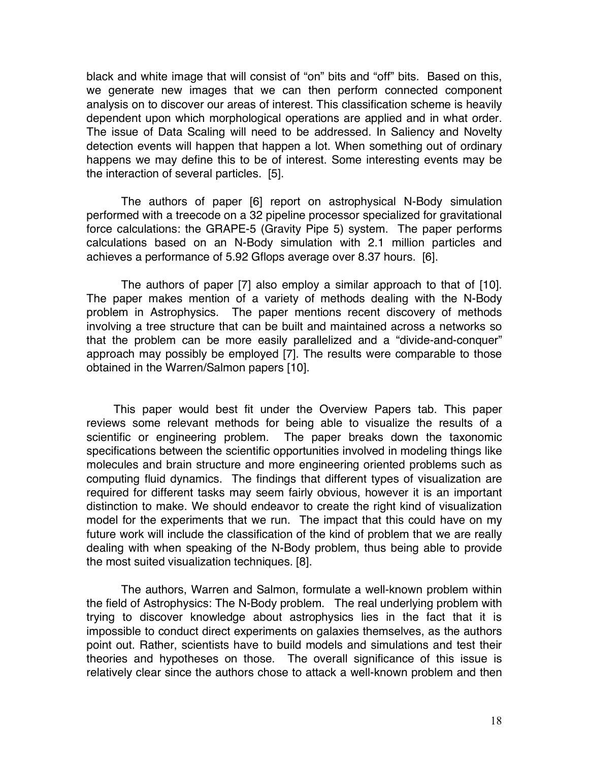black and white image that will consist of "on" bits and "off" bits. Based on this, we generate new images that we can then perform connected component analysis on to discover our areas of interest. This classification scheme is heavily dependent upon which morphological operations are applied and in what order. The issue of Data Scaling will need to be addressed. In Saliency and Novelty detection events will happen that happen a lot. When something out of ordinary happens we may define this to be of interest. Some interesting events may be the interaction of several particles. [5].

The authors of paper [6] report on astrophysical N-Body simulation performed with a treecode on a 32 pipeline processor specialized for gravitational force calculations: the GRAPE-5 (Gravity Pipe 5) system. The paper performs calculations based on an N-Body simulation with 2.1 million particles and achieves a performance of 5.92 Gflops average over 8.37 hours. [6].

The authors of paper [7] also employ a similar approach to that of [10]. The paper makes mention of a variety of methods dealing with the N-Body problem in Astrophysics. The paper mentions recent discovery of methods involving a tree structure that can be built and maintained across a networks so that the problem can be more easily parallelized and a "divide-and-conquer" approach may possibly be employed [7]. The results were comparable to those obtained in the Warren/Salmon papers [10].

This paper would best fit under the Overview Papers tab. This paper reviews some relevant methods for being able to visualize the results of a scientific or engineering problem. The paper breaks down the taxonomic specifications between the scientific opportunities involved in modeling things like molecules and brain structure and more engineering oriented problems such as computing fluid dynamics. The findings that different types of visualization are required for different tasks may seem fairly obvious, however it is an important distinction to make. We should endeavor to create the right kind of visualization model for the experiments that we run. The impact that this could have on my future work will include the classification of the kind of problem that we are really dealing with when speaking of the N-Body problem, thus being able to provide the most suited visualization techniques. [8].

The authors, Warren and Salmon, formulate a well-known problem within the field of Astrophysics: The N-Body problem. The real underlying problem with trying to discover knowledge about astrophysics lies in the fact that it is impossible to conduct direct experiments on galaxies themselves, as the authors point out. Rather, scientists have to build models and simulations and test their theories and hypotheses on those. The overall significance of this issue is relatively clear since the authors chose to attack a well-known problem and then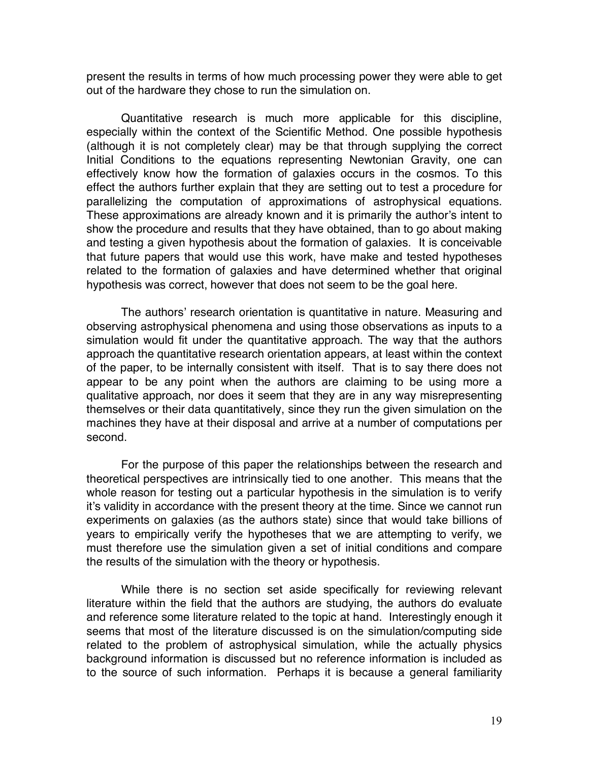present the results in terms of how much processing power they were able to get out of the hardware they chose to run the simulation on.

Quantitative research is much more applicable for this discipline, especially within the context of the Scientific Method. One possible hypothesis (although it is not completely clear) may be that through supplying the correct Initial Conditions to the equations representing Newtonian Gravity, one can effectively know how the formation of galaxies occurs in the cosmos. To this effect the authors further explain that they are setting out to test a procedure for parallelizing the computation of approximations of astrophysical equations. These approximations are already known and it is primarily the author's intent to show the procedure and results that they have obtained, than to go about making and testing a given hypothesis about the formation of galaxies. It is conceivable that future papers that would use this work, have make and tested hypotheses related to the formation of galaxies and have determined whether that original hypothesis was correct, however that does not seem to be the goal here.

The authors' research orientation is quantitative in nature. Measuring and observing astrophysical phenomena and using those observations as inputs to a simulation would fit under the quantitative approach. The way that the authors approach the quantitative research orientation appears, at least within the context of the paper, to be internally consistent with itself. That is to say there does not appear to be any point when the authors are claiming to be using more a qualitative approach, nor does it seem that they are in any way misrepresenting themselves or their data quantitatively, since they run the given simulation on the machines they have at their disposal and arrive at a number of computations per second.

For the purpose of this paper the relationships between the research and theoretical perspectives are intrinsically tied to one another. This means that the whole reason for testing out a particular hypothesis in the simulation is to verify it's validity in accordance with the present theory at the time. Since we cannot run experiments on galaxies (as the authors state) since that would take billions of years to empirically verify the hypotheses that we are attempting to verify, we must therefore use the simulation given a set of initial conditions and compare the results of the simulation with the theory or hypothesis.

While there is no section set aside specifically for reviewing relevant literature within the field that the authors are studying, the authors do evaluate and reference some literature related to the topic at hand. Interestingly enough it seems that most of the literature discussed is on the simulation/computing side related to the problem of astrophysical simulation, while the actually physics background information is discussed but no reference information is included as to the source of such information. Perhaps it is because a general familiarity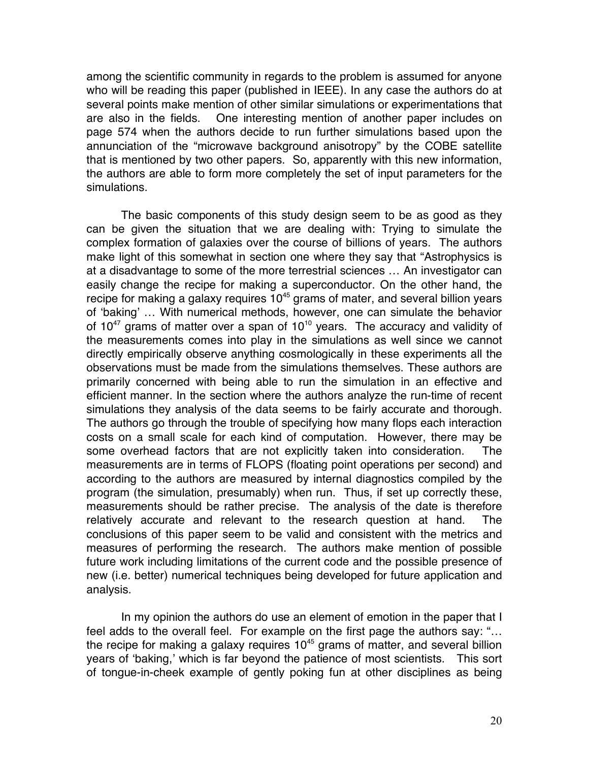among the scientific community in regards to the problem is assumed for anyone who will be reading this paper (published in IEEE). In any case the authors do at several points make mention of other similar simulations or experimentations that are also in the fields. One interesting mention of another paper includes on page 574 when the authors decide to run further simulations based upon the annunciation of the "microwave background anisotropy" by the COBE satellite that is mentioned by two other papers. So, apparently with this new information, the authors are able to form more completely the set of input parameters for the simulations.

The basic components of this study design seem to be as good as they can be given the situation that we are dealing with: Trying to simulate the complex formation of galaxies over the course of billions of years. The authors make light of this somewhat in section one where they say that "Astrophysics is at a disadvantage to some of the more terrestrial sciences … An investigator can easily change the recipe for making a superconductor. On the other hand, the recipe for making a galaxy requires  $10^{45}$  grams of mater, and several billion years of 'baking' … With numerical methods, however, one can simulate the behavior of  $10^{47}$  grams of matter over a span of  $10^{10}$  years. The accuracy and validity of the measurements comes into play in the simulations as well since we cannot directly empirically observe anything cosmologically in these experiments all the observations must be made from the simulations themselves. These authors are primarily concerned with being able to run the simulation in an effective and efficient manner. In the section where the authors analyze the run-time of recent simulations they analysis of the data seems to be fairly accurate and thorough. The authors go through the trouble of specifying how many flops each interaction costs on a small scale for each kind of computation. However, there may be some overhead factors that are not explicitly taken into consideration. The measurements are in terms of FLOPS (floating point operations per second) and according to the authors are measured by internal diagnostics compiled by the program (the simulation, presumably) when run. Thus, if set up correctly these, measurements should be rather precise. The analysis of the date is therefore relatively accurate and relevant to the research question at hand. The conclusions of this paper seem to be valid and consistent with the metrics and measures of performing the research. The authors make mention of possible future work including limitations of the current code and the possible presence of new (i.e. better) numerical techniques being developed for future application and analysis.

In my opinion the authors do use an element of emotion in the paper that I feel adds to the overall feel. For example on the first page the authors say: "… the recipe for making a galaxy requires  $10<sup>45</sup>$  grams of matter, and several billion years of 'baking,' which is far beyond the patience of most scientists. This sort of tongue-in-cheek example of gently poking fun at other disciplines as being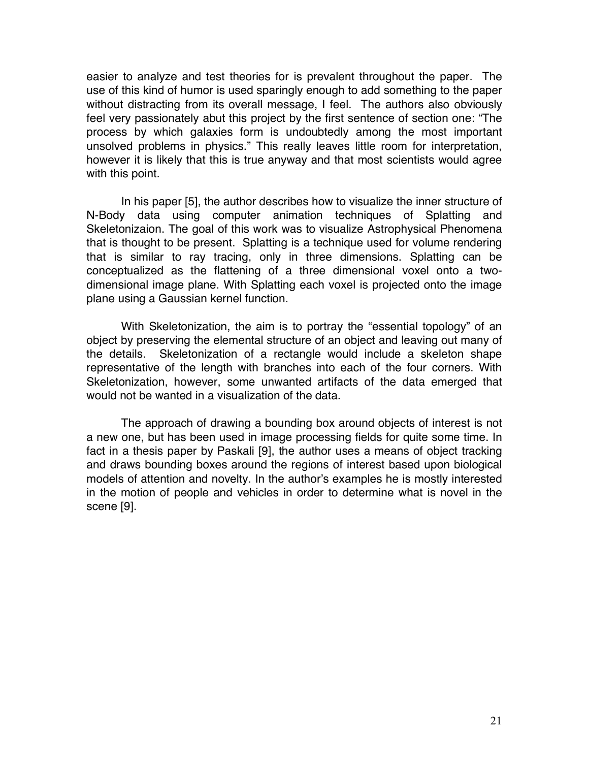easier to analyze and test theories for is prevalent throughout the paper. The use of this kind of humor is used sparingly enough to add something to the paper without distracting from its overall message, I feel. The authors also obviously feel very passionately abut this project by the first sentence of section one: "The process by which galaxies form is undoubtedly among the most important unsolved problems in physics." This really leaves little room for interpretation, however it is likely that this is true anyway and that most scientists would agree with this point.

In his paper [5], the author describes how to visualize the inner structure of N-Body data using computer animation techniques of Splatting and Skeletonizaion. The goal of this work was to visualize Astrophysical Phenomena that is thought to be present. Splatting is a technique used for volume rendering that is similar to ray tracing, only in three dimensions. Splatting can be conceptualized as the flattening of a three dimensional voxel onto a twodimensional image plane. With Splatting each voxel is projected onto the image plane using a Gaussian kernel function.

With Skeletonization, the aim is to portray the "essential topology" of an object by preserving the elemental structure of an object and leaving out many of the details. Skeletonization of a rectangle would include a skeleton shape representative of the length with branches into each of the four corners. With Skeletonization, however, some unwanted artifacts of the data emerged that would not be wanted in a visualization of the data.

The approach of drawing a bounding box around objects of interest is not a new one, but has been used in image processing fields for quite some time. In fact in a thesis paper by Paskali [9], the author uses a means of object tracking and draws bounding boxes around the regions of interest based upon biological models of attention and novelty. In the author's examples he is mostly interested in the motion of people and vehicles in order to determine what is novel in the scene [9].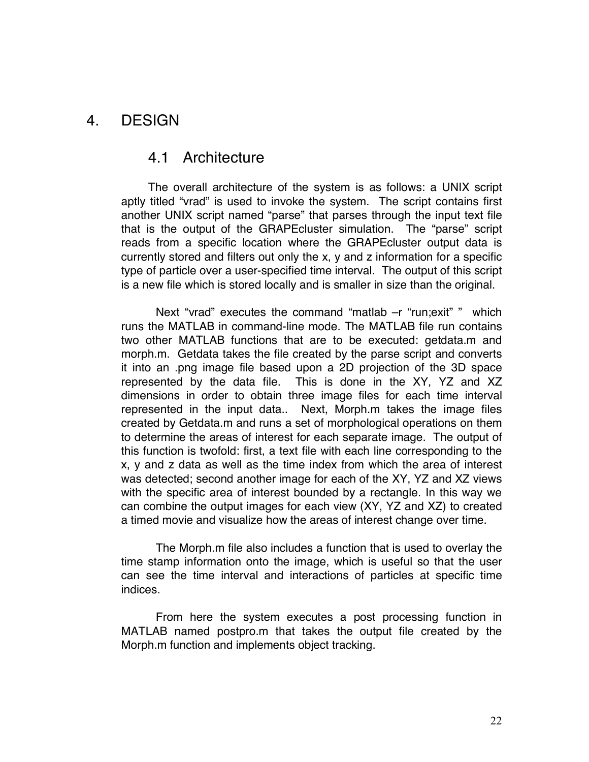### 4. DESIGN

### 4.1 Architecture

The overall architecture of the system is as follows: a UNIX script aptly titled "vrad" is used to invoke the system. The script contains first another UNIX script named "parse" that parses through the input text file that is the output of the GRAPEcluster simulation. The "parse" script reads from a specific location where the GRAPEcluster output data is currently stored and filters out only the x, y and z information for a specific type of particle over a user-specified time interval. The output of this script is a new file which is stored locally and is smaller in size than the original.

Next "vrad" executes the command "matlab –r "run;exit" " which runs the MATLAB in command-line mode. The MATLAB file run contains two other MATLAB functions that are to be executed: getdata.m and morph.m. Getdata takes the file created by the parse script and converts it into an .png image file based upon a 2D projection of the 3D space represented by the data file. This is done in the XY, YZ and XZ dimensions in order to obtain three image files for each time interval represented in the input data.. Next, Morph.m takes the image files created by Getdata.m and runs a set of morphological operations on them to determine the areas of interest for each separate image. The output of this function is twofold: first, a text file with each line corresponding to the x, y and z data as well as the time index from which the area of interest was detected; second another image for each of the XY, YZ and XZ views with the specific area of interest bounded by a rectangle. In this way we can combine the output images for each view (XY, YZ and XZ) to created a timed movie and visualize how the areas of interest change over time.

The Morph.m file also includes a function that is used to overlay the time stamp information onto the image, which is useful so that the user can see the time interval and interactions of particles at specific time indices.

From here the system executes a post processing function in MATLAB named postpro.m that takes the output file created by the Morph.m function and implements object tracking.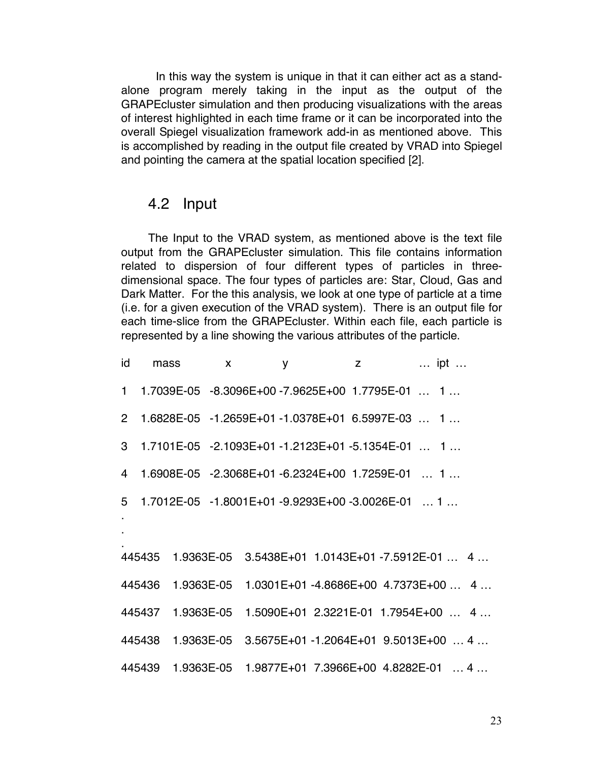In this way the system is unique in that it can either act as a standalone program merely taking in the input as the output of the GRAPEcluster simulation and then producing visualizations with the areas of interest highlighted in each time frame or it can be incorporated into the overall Spiegel visualization framework add-in as mentioned above. This is accomplished by reading in the output file created by VRAD into Spiegel and pointing the camera at the spatial location specified [2].

### 4.2 Input

The Input to the VRAD system, as mentioned above is the text file output from the GRAPEcluster simulation. This file contains information related to dispersion of four different types of particles in threedimensional space. The four types of particles are: Star, Cloud, Gas and Dark Matter. For the this analysis, we look at one type of particle at a time (i.e. for a given execution of the VRAD system). There is an output file for each time-slice from the GRAPEcluster. Within each file, each particle is represented by a line showing the various attributes of the particle.

```
id mass x y z … ipt … 
1 1.7039E-05 -8.3096E+00 -7.9625E+00 1.7795E-01 … 1 …
2 1.6828E-05 -1.2659E+01 -1.0378E+01 6.5997E-03 … 1 …
3 1.7101E-05 -2.1093E+01 -1.2123E+01 -5.1354E-01 … 1 …
4 1.6908E-05 -2.3068E+01 -6.2324E+00 1.7259E-01 … 1 …
5 1.7012E-05 -1.8001E+01 -9.9293E+00 -3.0026E-01 … 1 …
.
.
.
445435 1.9363E-05 3.5438E+01 1.0143E+01 -7.5912E-01 … 4 …
445436 1.9363E-05 1.0301E+01 -4.8686E+00 4.7373E+00 … 4 …
445437 1.9363E-05 1.5090E+01 2.3221E-01 1.7954E+00 … 4 …
445438 1.9363E-05 3.5675E+01 -1.2064E+01 9.5013E+00 … 4 …
445439 1.9363E-05 1.9877E+01 7.3966E+00 4.8282E-01 … 4 …
```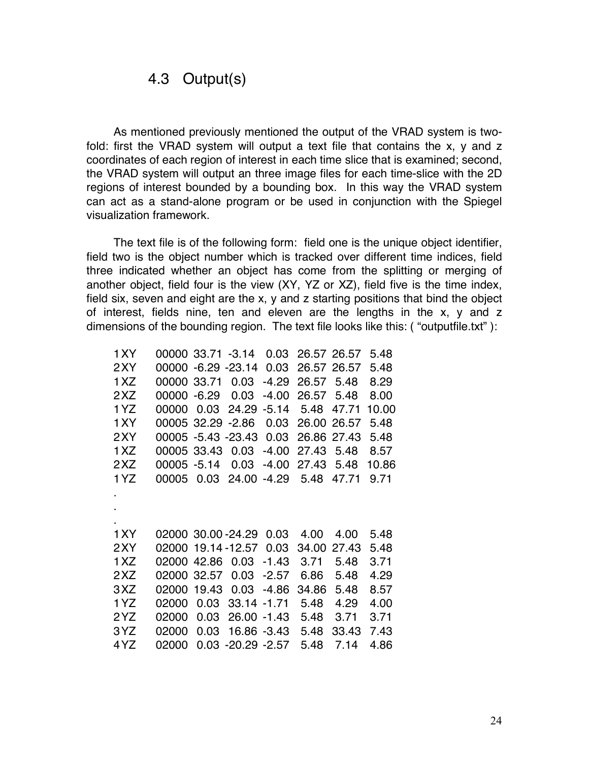### 4.3 Output(s)

As mentioned previously mentioned the output of the VRAD system is twofold: first the VRAD system will output a text file that contains the x, y and z coordinates of each region of interest in each time slice that is examined; second, the VRAD system will output an three image files for each time-slice with the 2D regions of interest bounded by a bounding box. In this way the VRAD system can act as a stand-alone program or be used in conjunction with the Spiegel visualization framework.

The text file is of the following form: field one is the unique object identifier, field two is the object number which is tracked over different time indices, field three indicated whether an object has come from the splitting or merging of another object, field four is the view (XY, YZ or XZ), field five is the time index, field six, seven and eight are the x, y and z starting positions that bind the object of interest, fields nine, ten and eleven are the lengths in the x, y and z dimensions of the bounding region. The text file looks like this: ( "outputfile.txt" ):

| 1 X Y | 00000 33.71 -3.14 |         |                          | 0.03    |            | 26.57 26.57 | 5.48  |
|-------|-------------------|---------|--------------------------|---------|------------|-------------|-------|
| 2 X Y | 00000             |         | $-6.29 - 23.14$          | 0.03    |            | 26.57 26.57 | 5.48  |
| 1 XZ  | 00000 33.71       |         | 0.03                     | $-4.29$ | 26.57      | 5.48        | 8.29  |
| 2XZ   | 00000             | $-6.29$ | 0.03                     | $-4.00$ | 26.57      | 5.48        | 8.00  |
| 1YZ   | 00000             | 0.03    | 24.29                    | $-5.14$ | 5.48       | 47.71       | 10.00 |
| 1 X Y | 00005 32.29       |         | $-2.86$                  | 0.03    |            | 26.00 26.57 | 5.48  |
| 2XY   |                   |         | 00005 -5.43 -23.43       | 0.03    |            | 26.86 27.43 | 5.48  |
| 1XZ   | 00005 33.43       |         | 0.03                     | $-4.00$ | 27.43 5.48 |             | 8.57  |
| 2XZ   | 00005 -5.14       |         | 0.03                     | $-4.00$ | 27.43      | 5.48        | 10.86 |
| 1 YZ  | 00005             | 0.03    | 24.00                    | $-4.29$ | 5.48       | 47.71       | 9.71  |
|       |                   |         |                          |         |            |             |       |
|       |                   |         |                          |         |            |             |       |
|       |                   |         |                          |         |            |             |       |
| 1 X Y |                   |         | 02000 30.00 - 24.29 0.03 |         | 4.00       | 4.00        | 5.48  |
| 2XY   |                   |         | 02000 19.14 - 12.57      | 0.03    | 34.00      | 27.43       | 5.48  |
| 1 XZ  | 02000 42.86       |         | 0.03                     | $-1.43$ | 3.71       | 5.48        | 3.71  |
| 2XZ   | 02000             | 32.57   | 0.03                     | $-2.57$ | 6.86       | 5.48        | 4.29  |
| 3 X Z | 02000             | 19.43   | 0.03                     | $-4.86$ | 34.86      | 5.48        | 8.57  |
| 1YZ   | 02000             | 0.03    | 33.14                    | -1.71   | 5.48       | 4.29        | 4.00  |
| 2YZ   | 02000             | 0.03    | 26.00                    | -1.43   | 5.48       | 3.71        | 3.71  |
| 3 Y Z | 02000             | 0.03    | 16.86 -3.43              |         | 5.48       | 33.43       | 7.43  |
| 4YZ   | 02000             |         | $0.03 - 20.29 - 2.57$    |         | 5.48       | 7.14        | 4.86  |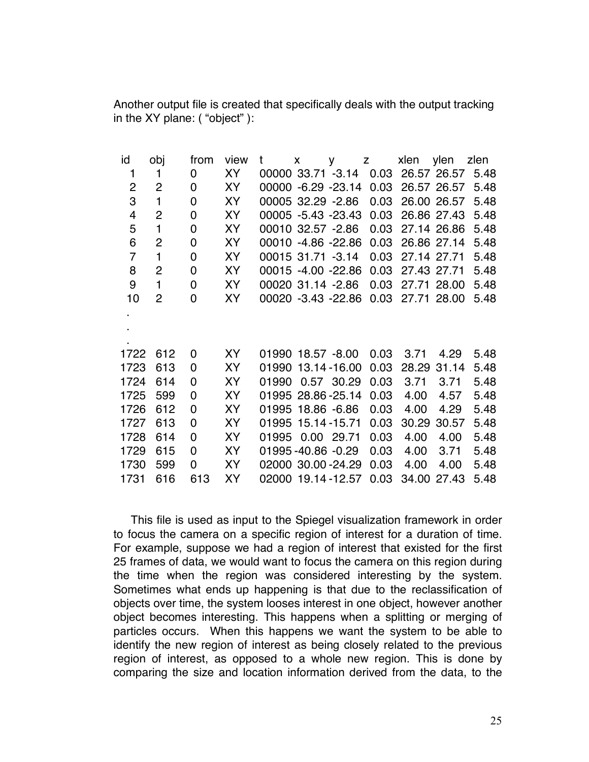Another output file is created that specifically deals with the output tracking in the XY plane: ( "object" ):

| id                      | obj            | from | view      | t                      | $\mathsf{x}$ | $y \t z$ |      | xlen ylen |             | zlen |
|-------------------------|----------------|------|-----------|------------------------|--------------|----------|------|-----------|-------------|------|
| $\mathbf 1$             | 1              | 0    | XY        | 00000 33.71 -3.14 0.03 |              |          |      |           | 26.57 26.57 | 5.48 |
| $\overline{c}$          | $\overline{2}$ | 0    | XY        | 00000 -6.29 -23.14     |              |          | 0.03 |           | 26.57 26.57 | 5.48 |
| 3                       | $\mathbf{1}$   | 0    | XY        | 00005 32.29 -2.86      |              |          | 0.03 |           | 26.00 26.57 | 5.48 |
| $\overline{\mathbf{4}}$ | $\overline{2}$ | 0    | XY        | 00005 -5.43 -23.43     |              |          | 0.03 |           | 26.86 27.43 | 5.48 |
| 5                       | 1              | 0    | XY        | 00010 32.57 -2.86      |              |          | 0.03 |           | 27.14 26.86 | 5.48 |
| 6                       | $\overline{2}$ | 0    | XY        | 00010 -4.86 -22.86     |              |          | 0.03 |           | 26.86 27.14 | 5.48 |
| $\overline{7}$          | 1              | 0    | <b>XY</b> | 00015 31.71 -3.14      |              |          | 0.03 |           | 27.14 27.71 | 5.48 |
| 8                       | $\overline{2}$ | 0    | XY        | 00015 -4.00 -22.86     |              |          | 0.03 |           | 27.43 27.71 | 5.48 |
| 9                       | $\mathbf{1}$   | 0    | <b>XY</b> | 00020 31.14 -2.86      |              |          | 0.03 |           | 27.71 28.00 | 5.48 |
| 10                      | $\overline{2}$ | 0    | <b>XY</b> | 00020 -3.43 -22.86     |              |          | 0.03 |           | 27.71 28.00 | 5.48 |
|                         |                |      |           |                        |              |          |      |           |             |      |
|                         |                |      |           |                        |              |          |      |           |             |      |
|                         |                |      |           |                        |              |          |      |           |             |      |
| 1722                    | 612            | 0    | XY        | 01990 18.57 -8.00      |              |          | 0.03 | 3.71      | 4.29        | 5.48 |
| 1723                    | 613            | 0    | XY        | 01990 13.14 - 16.00    |              |          | 0.03 |           | 28.29 31.14 | 5.48 |
| 1724                    | 614            | 0    | XY        | 01990 0.57 30.29       |              |          | 0.03 | 3.71      | 3.71        | 5.48 |
| 1725                    | 599            | 0    | XY        | 01995 28.86 - 25.14    |              |          | 0.03 | 4.00      | 4.57        | 5.48 |
| 1726                    | 612            | 0    | XY        | 01995 18.86 -6.86      |              |          | 0.03 | 4.00      | 4.29        | 5.48 |
| 1727                    | 613            | 0    | XY        | 01995 15.14 - 15.71    |              |          | 0.03 | 30.29     | 30.57       | 5.48 |
| 1728                    | 614            | 0    | XY        | 01995 0.00 29.71       |              |          | 0.03 | 4.00      | 4.00        | 5.48 |
| 1729                    | 615            | 0    | XY        | 01995-40.86 -0.29      |              |          | 0.03 | 4.00      | 3.71        | 5.48 |
| 1730                    | 599            | 0    | XY        | 02000 30.00 - 24.29    |              |          | 0.03 | 4.00      | 4.00        | 5.48 |
| 1731                    | 616            | 613  | <b>XY</b> | 02000 19.14 - 12.57    |              |          | 0.03 |           | 34.00 27.43 | 5.48 |

This file is used as input to the Spiegel visualization framework in order to focus the camera on a specific region of interest for a duration of time. For example, suppose we had a region of interest that existed for the first 25 frames of data, we would want to focus the camera on this region during the time when the region was considered interesting by the system. Sometimes what ends up happening is that due to the reclassification of objects over time, the system looses interest in one object, however another object becomes interesting. This happens when a splitting or merging of particles occurs. When this happens we want the system to be able to identify the new region of interest as being closely related to the previous region of interest, as opposed to a whole new region. This is done by comparing the size and location information derived from the data, to the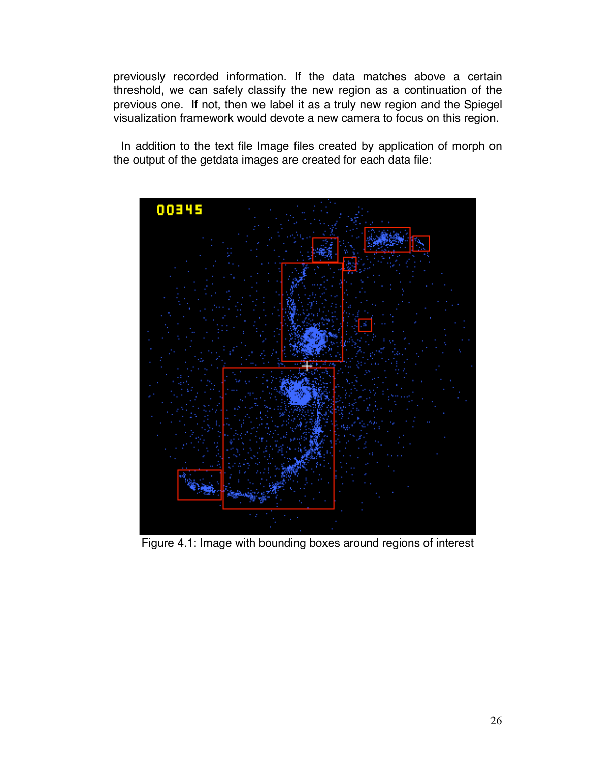previously recorded information. If the data matches above a certain threshold, we can safely classify the new region as a continuation of the previous one. If not, then we label it as a truly new region and the Spiegel visualization framework would devote a new camera to focus on this region.

In addition to the text file Image files created by application of morph on the output of the getdata images are created for each data file:



Figure 4.1: Image with bounding boxes around regions of interest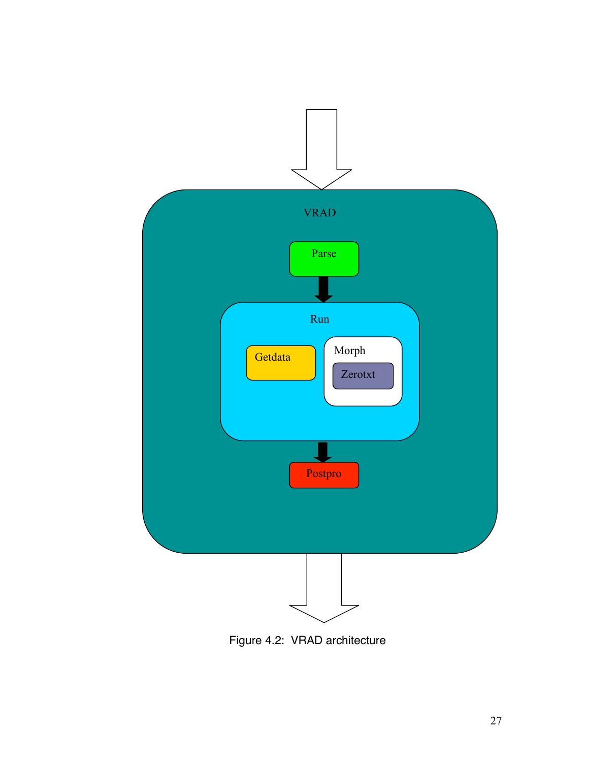

Figure 4.2: VRAD architecture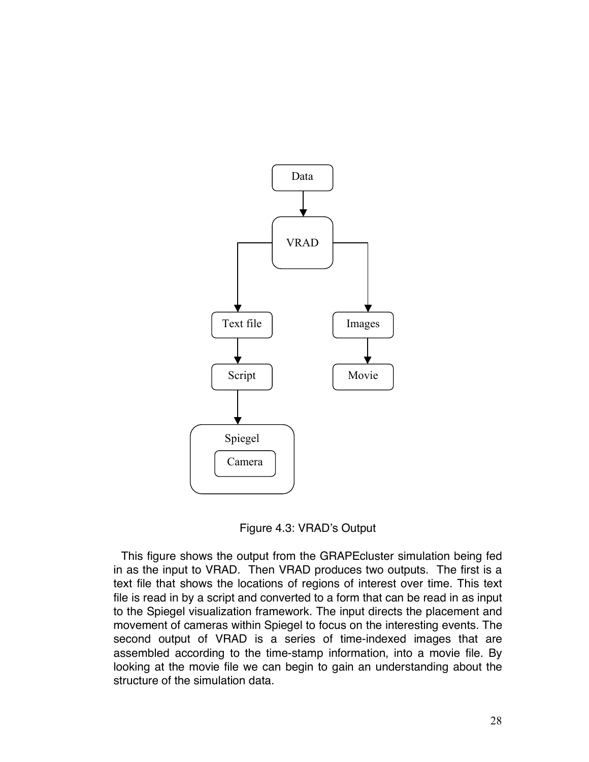

Figure 4.3: VRAD's Output

This figure shows the output from the GRAPEcluster simulation being fed in as the input to VRAD. Then VRAD produces two outputs. The first is a text file that shows the locations of regions of interest over time. This text file is read in by a script and converted to a form that can be read in as input to the Spiegel visualization framework. The input directs the placement and movement of cameras within Spiegel to focus on the interesting events. The second output of VRAD is a series of time-indexed images that are assembled according to the time-stamp information, into a movie file. By looking at the movie file we can begin to gain an understanding about the structure of the simulation data.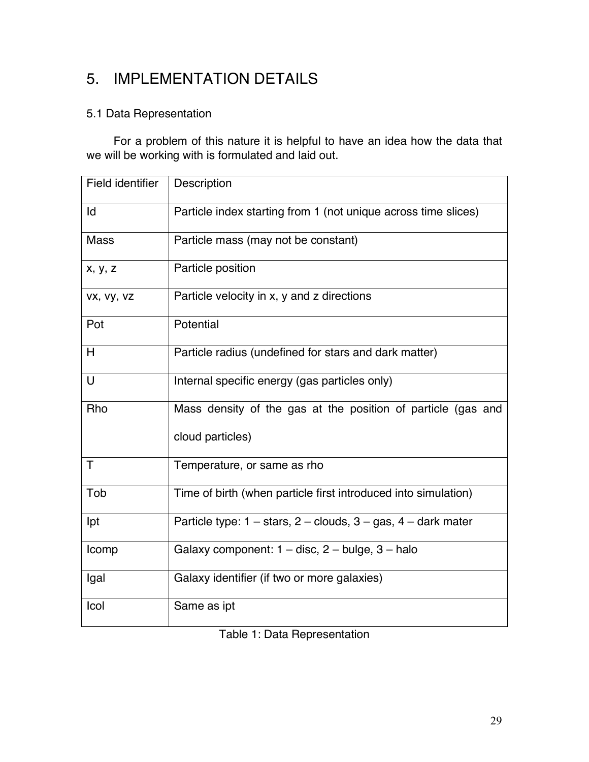# 5. IMPLEMENTATION DETAILS

### 5.1 Data Representation

For a problem of this nature it is helpful to have an idea how the data that we will be working with is formulated and laid out.

| Field identifier | Description                                                              |
|------------------|--------------------------------------------------------------------------|
| Id               | Particle index starting from 1 (not unique across time slices)           |
| <b>Mass</b>      | Particle mass (may not be constant)                                      |
| x, y, z          | Particle position                                                        |
| VX, VY, VZ       | Particle velocity in x, y and z directions                               |
| Pot              | Potential                                                                |
| H                | Particle radius (undefined for stars and dark matter)                    |
| $\cup$           | Internal specific energy (gas particles only)                            |
| Rho              | Mass density of the gas at the position of particle (gas and             |
|                  | cloud particles)                                                         |
| $\mathsf{T}$     | Temperature, or same as rho                                              |
| Tob              | Time of birth (when particle first introduced into simulation)           |
| Ipt              | Particle type: $1 - stars$ , $2 - clouds$ , $3 - gas$ , $4 - dark$ mater |
| Icomp            | Galaxy component: 1 - disc, 2 - bulge, 3 - halo                          |
| Igal             | Galaxy identifier (if two or more galaxies)                              |
| Icol             | Same as ipt                                                              |

Table 1: Data Representation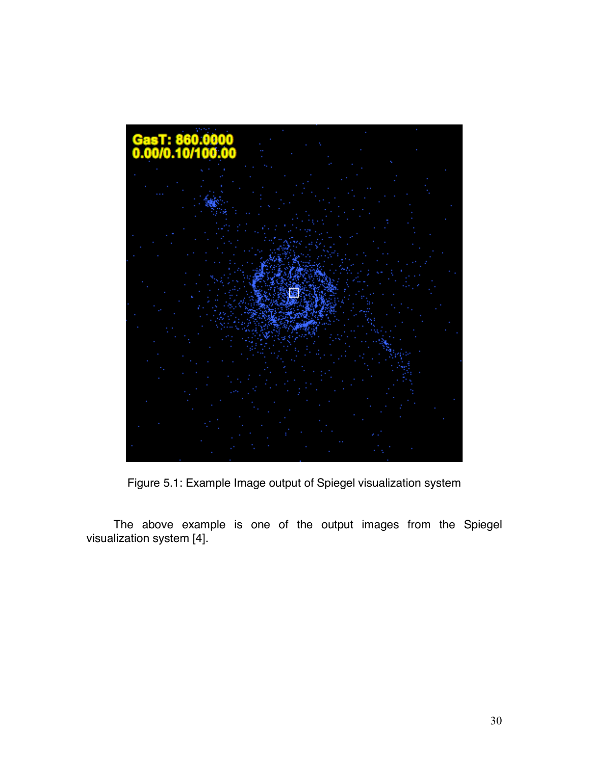

Figure 5.1: Example Image output of Spiegel visualization system

The above example is one of the output images from the Spiegel visualization system [4].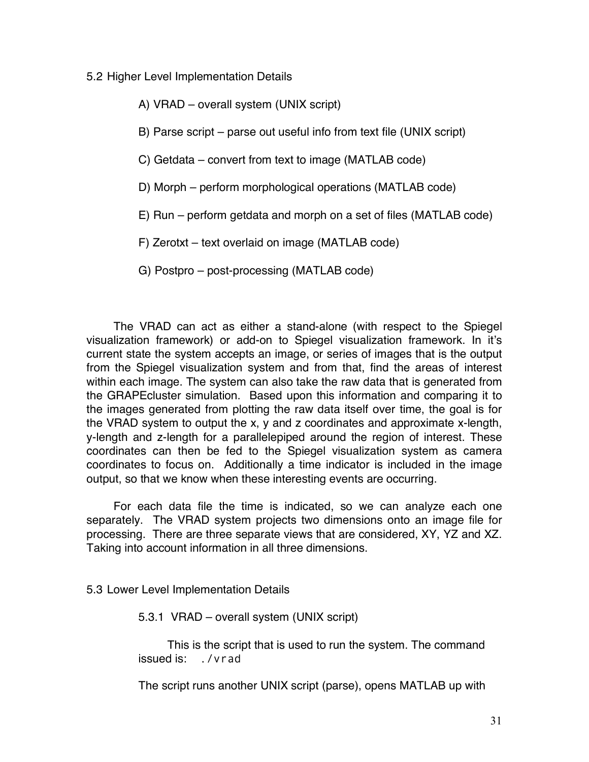#### 5.2 Higher Level Implementation Details

#### A) VRAD – overall system (UNIX script)

B) Parse script – parse out useful info from text file (UNIX script)

C) Getdata – convert from text to image (MATLAB code)

- D) Morph perform morphological operations (MATLAB code)
- E) Run perform getdata and morph on a set of files (MATLAB code)
- F) Zerotxt text overlaid on image (MATLAB code)
- G) Postpro post-processing (MATLAB code)

The VRAD can act as either a stand-alone (with respect to the Spiegel visualization framework) or add-on to Spiegel visualization framework. In it's current state the system accepts an image, or series of images that is the output from the Spiegel visualization system and from that, find the areas of interest within each image. The system can also take the raw data that is generated from the GRAPEcluster simulation. Based upon this information and comparing it to the images generated from plotting the raw data itself over time, the goal is for the VRAD system to output the x, y and z coordinates and approximate x-length, y-length and z-length for a parallelepiped around the region of interest. These coordinates can then be fed to the Spiegel visualization system as camera coordinates to focus on. Additionally a time indicator is included in the image output, so that we know when these interesting events are occurring.

For each data file the time is indicated, so we can analyze each one separately. The VRAD system projects two dimensions onto an image file for processing. There are three separate views that are considered, XY, YZ and XZ. Taking into account information in all three dimensions.

5.3 Lower Level Implementation Details

5.3.1 VRAD – overall system (UNIX script)

This is the script that is used to run the system. The command issued is: ./vrad

The script runs another UNIX script (parse), opens MATLAB up with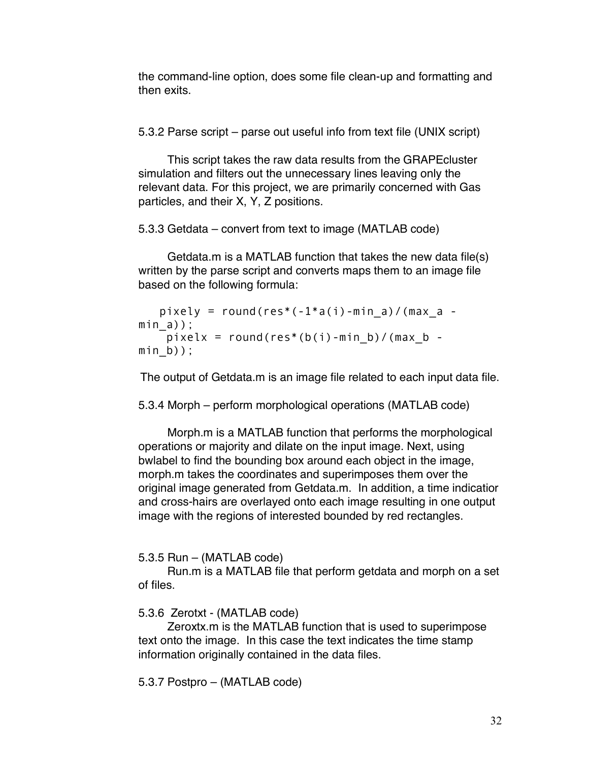the command-line option, does some file clean-up and formatting and then exits.

5.3.2 Parse script – parse out useful info from text file (UNIX script)

This script takes the raw data results from the GRAPEcluster simulation and filters out the unnecessary lines leaving only the relevant data. For this project, we are primarily concerned with Gas particles, and their X, Y, Z positions.

5.3.3 Getdata – convert from text to image (MATLAB code)

Getdata.m is a MATLAB function that takes the new data file(s) written by the parse script and converts maps them to an image file based on the following formula:

```
pixely = round(res*(-1*a(i)-min a)/(max a -
mina);
   pixelx = round(res*(b(i)-min b)/(max b -
min_b);
```
The output of Getdata.m is an image file related to each input data file.

5.3.4 Morph – perform morphological operations (MATLAB code)

Morph.m is a MATLAB function that performs the morphological operations or majority and dilate on the input image. Next, using bwlabel to find the bounding box around each object in the image, morph.m takes the coordinates and superimposes them over the original image generated from Getdata.m. In addition, a time indicatior and cross-hairs are overlayed onto each image resulting in one output image with the regions of interested bounded by red rectangles.

5.3.5 Run – (MATLAB code)

Run.m is a MATLAB file that perform getdata and morph on a set of files.

5.3.6 Zerotxt - (MATLAB code)

Zeroxtx.m is the MATLAB function that is used to superimpose text onto the image. In this case the text indicates the time stamp information originally contained in the data files.

5.3.7 Postpro – (MATLAB code)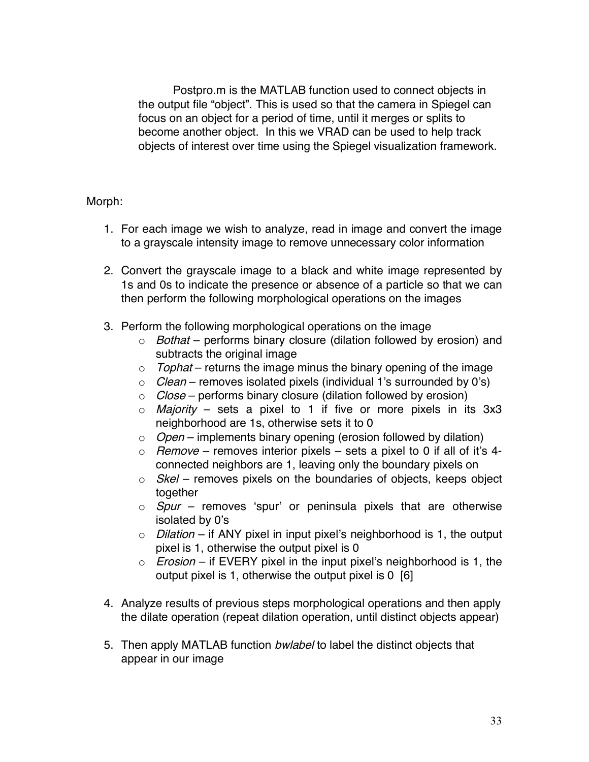Postpro.m is the MATLAB function used to connect objects in the output file "object". This is used so that the camera in Spiegel can focus on an object for a period of time, until it merges or splits to become another object. In this we VRAD can be used to help track objects of interest over time using the Spiegel visualization framework.

#### Morph:

- 1. For each image we wish to analyze, read in image and convert the image to a grayscale intensity image to remove unnecessary color information
- 2. Convert the grayscale image to a black and white image represented by 1s and 0s to indicate the presence or absence of a particle so that we can then perform the following morphological operations on the images
- 3. Perform the following morphological operations on the image
	- $\circ$  Bothat performs binary closure (dilation followed by erosion) and subtracts the original image
	- $\circ$  Tophat returns the image minus the binary opening of the image
	- $\circ$  *Clean* removes isolated pixels (individual 1's surrounded by 0's)
	- $\circ$  *Close* performs binary closure (dilation followed by erosion)
	- $\circ$  *Majority* sets a pixel to 1 if five or more pixels in its 3x3 neighborhood are 1s, otherwise sets it to 0
	- $\circ$  *Open* implements binary opening (erosion followed by dilation)
	- $\circ$  Remove removes interior pixels sets a pixel to 0 if all of it's 4connected neighbors are 1, leaving only the boundary pixels on
	- $\circ$  *Skel* removes pixels on the boundaries of objects, keeps object together
	- $\circ$  *Spur* removes 'spur' or peninsula pixels that are otherwise isolated by 0's
	- $\circ$  Dilation if ANY pixel in input pixel's neighborhood is 1, the output pixel is 1, otherwise the output pixel is 0
	- $\circ$  *Erosion* if EVERY pixel in the input pixel's neighborhood is 1, the output pixel is 1, otherwise the output pixel is 0 [6]
- 4. Analyze results of previous steps morphological operations and then apply the dilate operation (repeat dilation operation, until distinct objects appear)
- 5. Then apply MATLAB function *bwlabel* to label the distinct objects that appear in our image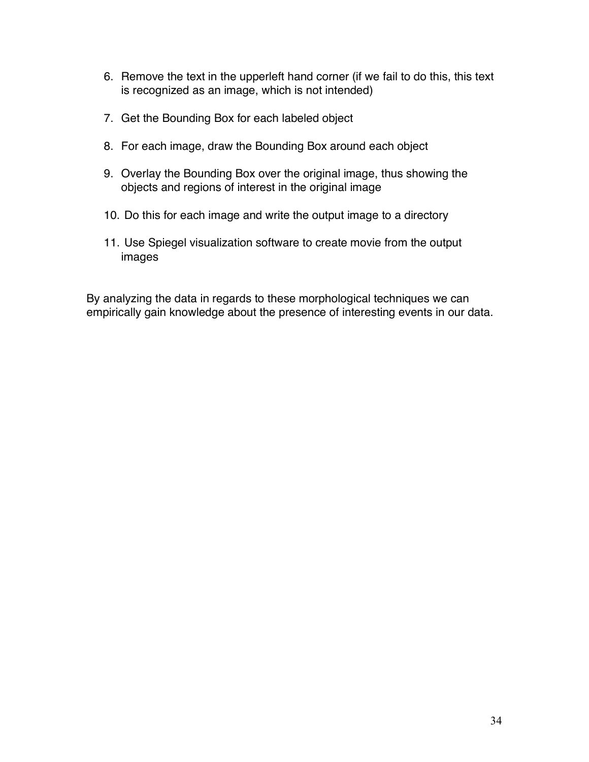- 6. Remove the text in the upperleft hand corner (if we fail to do this, this text is recognized as an image, which is not intended)
- 7. Get the Bounding Box for each labeled object
- 8. For each image, draw the Bounding Box around each object
- 9. Overlay the Bounding Box over the original image, thus showing the objects and regions of interest in the original image
- 10. Do this for each image and write the output image to a directory
- 11. Use Spiegel visualization software to create movie from the output images

By analyzing the data in regards to these morphological techniques we can empirically gain knowledge about the presence of interesting events in our data.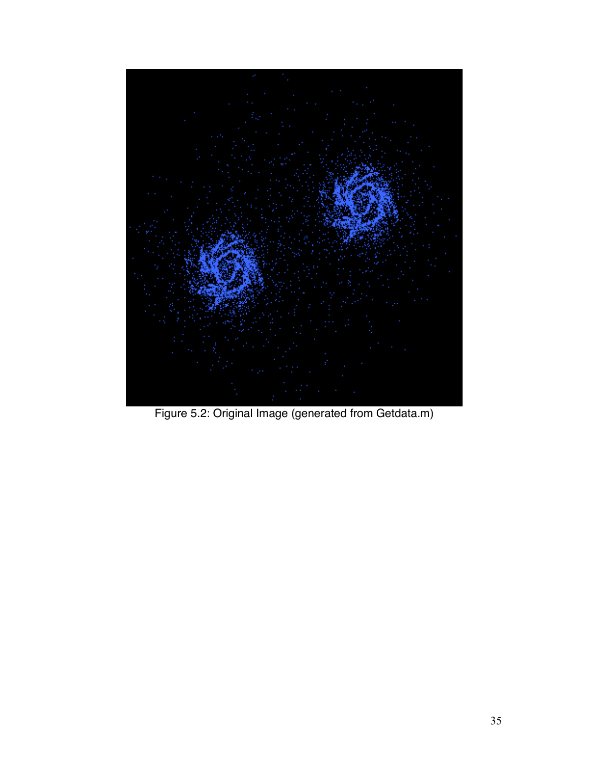

Figure 5.2: Original Image (generated from Getdata.m)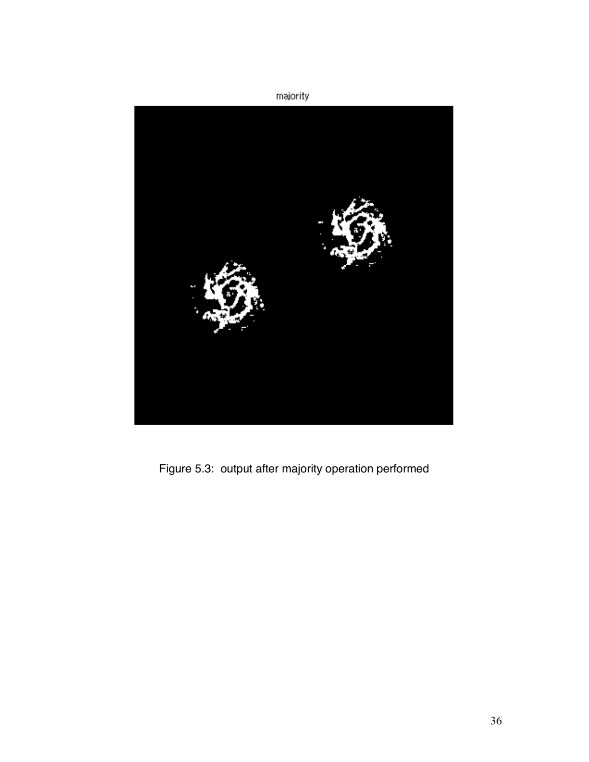

Figure 5.3: output after majority operation performed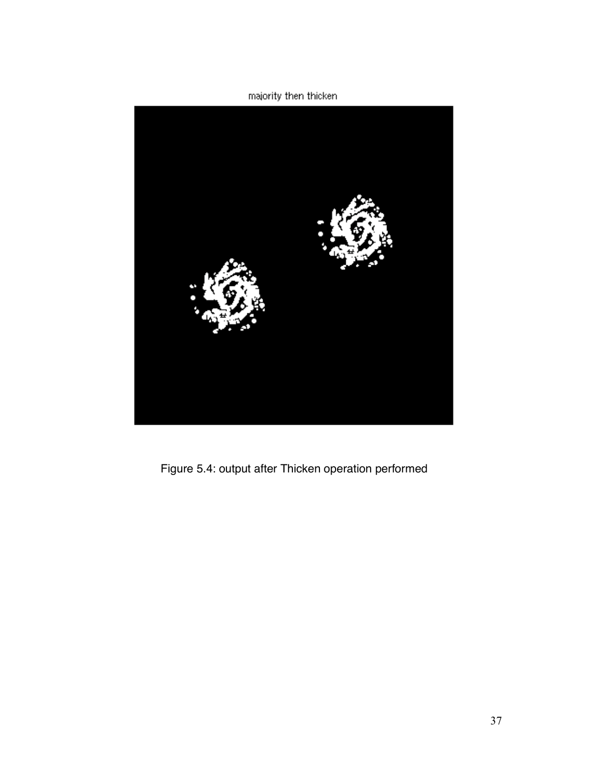majority then thicken



Figure 5.4: output after Thicken operation performed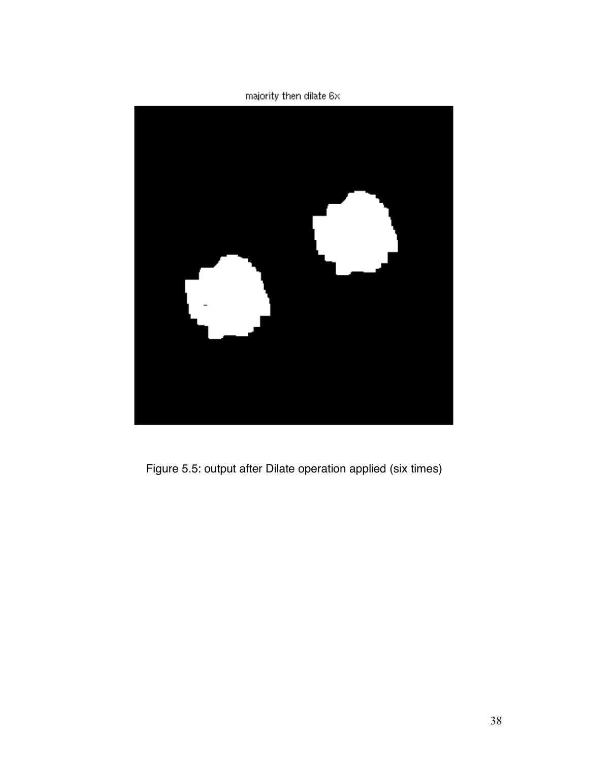majority then dilate 6x



Figure 5.5: output after Dilate operation applied (six times)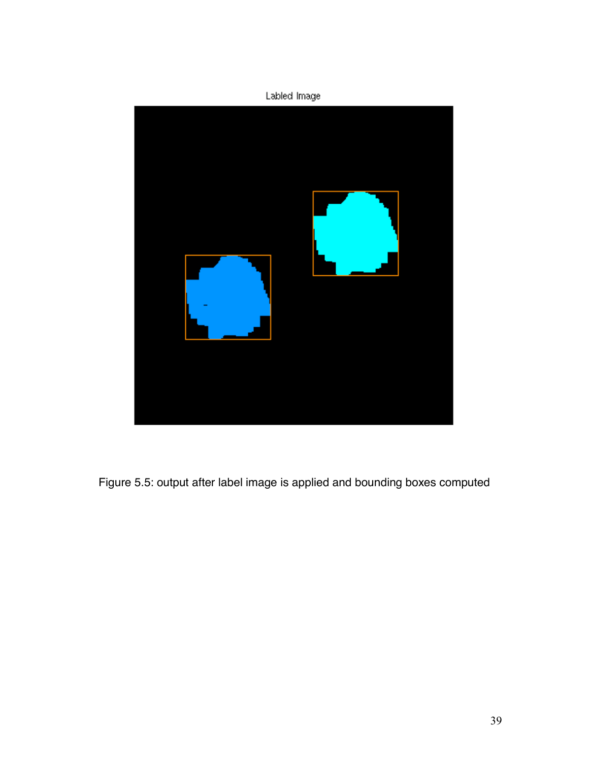

Figure 5.5: output after label image is applied and bounding boxes computed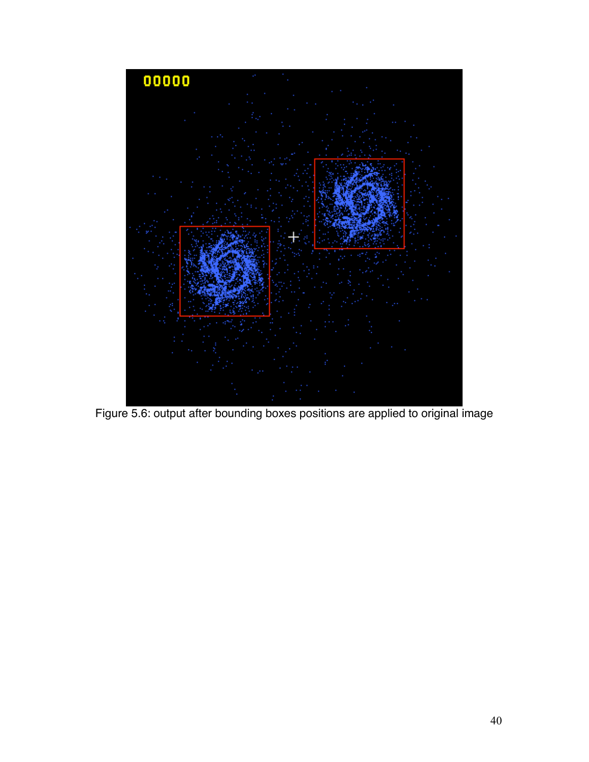

Figure 5.6: output after bounding boxes positions are applied to original image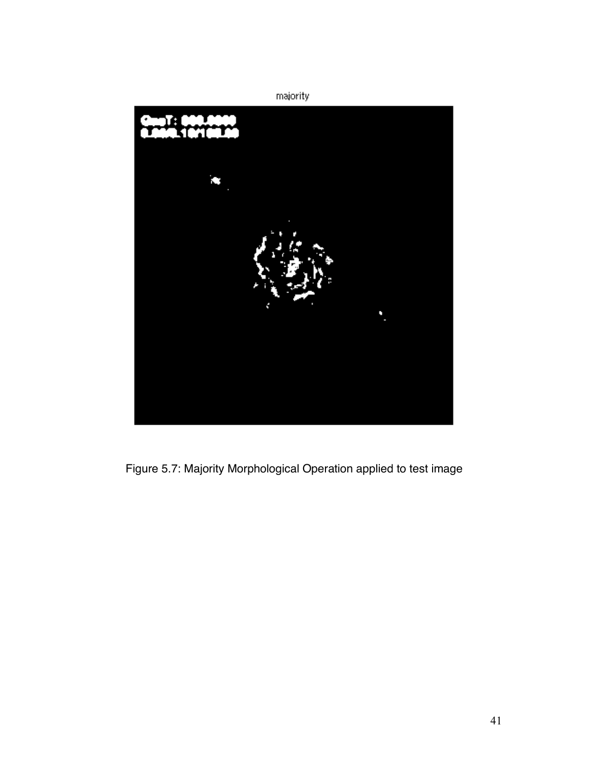

Figure 5.7: Majority Morphological Operation applied to test image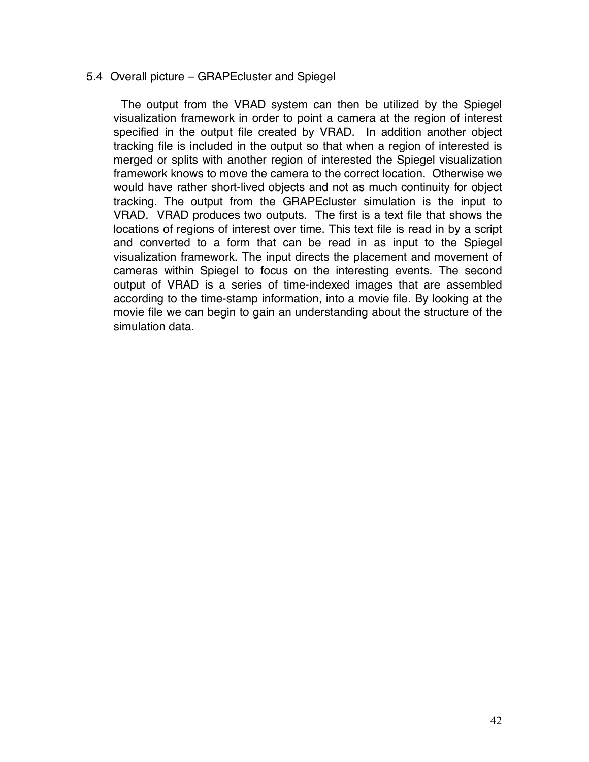#### 5.4 Overall picture – GRAPEcluster and Spiegel

The output from the VRAD system can then be utilized by the Spiegel visualization framework in order to point a camera at the region of interest specified in the output file created by VRAD. In addition another object tracking file is included in the output so that when a region of interested is merged or splits with another region of interested the Spiegel visualization framework knows to move the camera to the correct location. Otherwise we would have rather short-lived objects and not as much continuity for object tracking. The output from the GRAPEcluster simulation is the input to VRAD. VRAD produces two outputs. The first is a text file that shows the locations of regions of interest over time. This text file is read in by a script and converted to a form that can be read in as input to the Spiegel visualization framework. The input directs the placement and movement of cameras within Spiegel to focus on the interesting events. The second output of VRAD is a series of time-indexed images that are assembled according to the time-stamp information, into a movie file. By looking at the movie file we can begin to gain an understanding about the structure of the simulation data.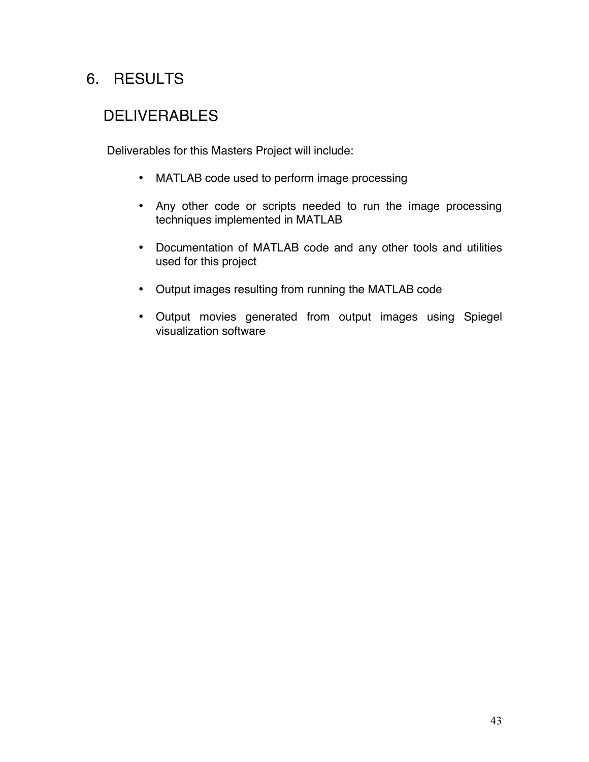# 6. RESULTS

# **DELIVERABLES**

Deliverables for this Masters Project will include:

- MATLAB code used to perform image processing
- Any other code or scripts needed to run the image processing techniques implemented in MATLAB
- Documentation of MATLAB code and any other tools and utilities used for this project
- Output images resulting from running the MATLAB code
- Output movies generated from output images using Spiegel visualization software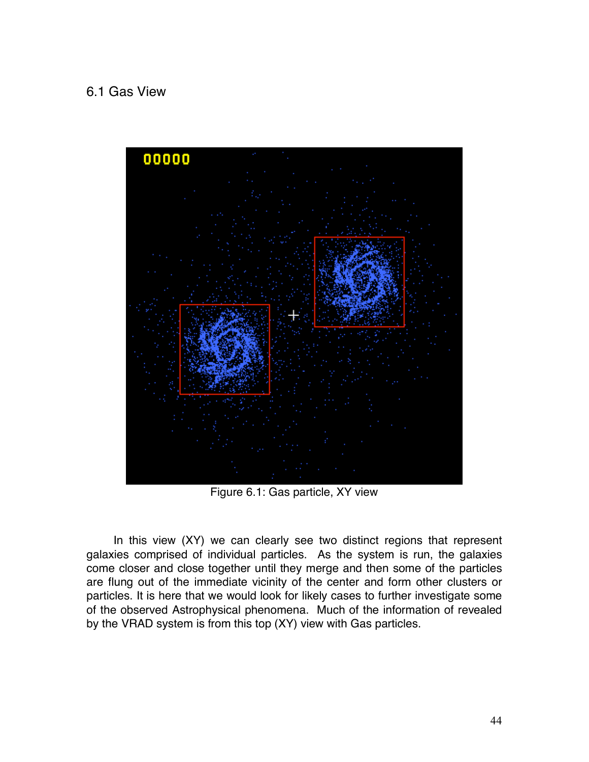### 6.1 Gas View



Figure 6.1: Gas particle, XY view

In this view (XY) we can clearly see two distinct regions that represent galaxies comprised of individual particles. As the system is run, the galaxies come closer and close together until they merge and then some of the particles are flung out of the immediate vicinity of the center and form other clusters or particles. It is here that we would look for likely cases to further investigate some of the observed Astrophysical phenomena. Much of the information of revealed by the VRAD system is from this top (XY) view with Gas particles.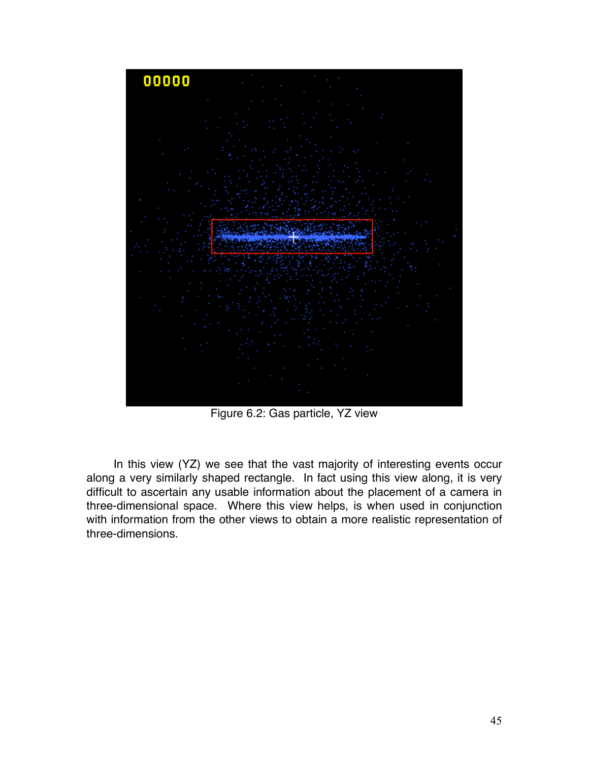

Figure 6.2: Gas particle, YZ view

In this view (YZ) we see that the vast majority of interesting events occur along a very similarly shaped rectangle. In fact using this view along, it is very difficult to ascertain any usable information about the placement of a camera in three-dimensional space. Where this view helps, is when used in conjunction with information from the other views to obtain a more realistic representation of three-dimensions.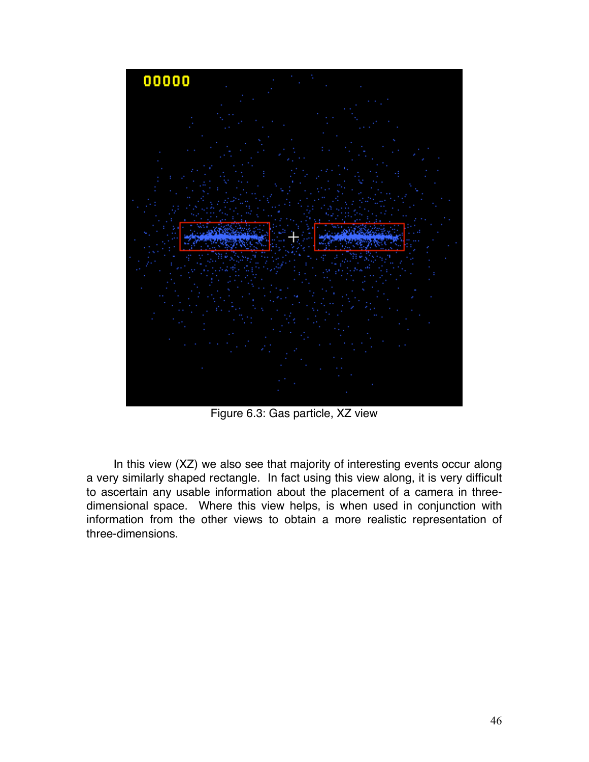

Figure 6.3: Gas particle, XZ view

In this view (XZ) we also see that majority of interesting events occur along a very similarly shaped rectangle. In fact using this view along, it is very difficult to ascertain any usable information about the placement of a camera in threedimensional space. Where this view helps, is when used in conjunction with information from the other views to obtain a more realistic representation of three-dimensions.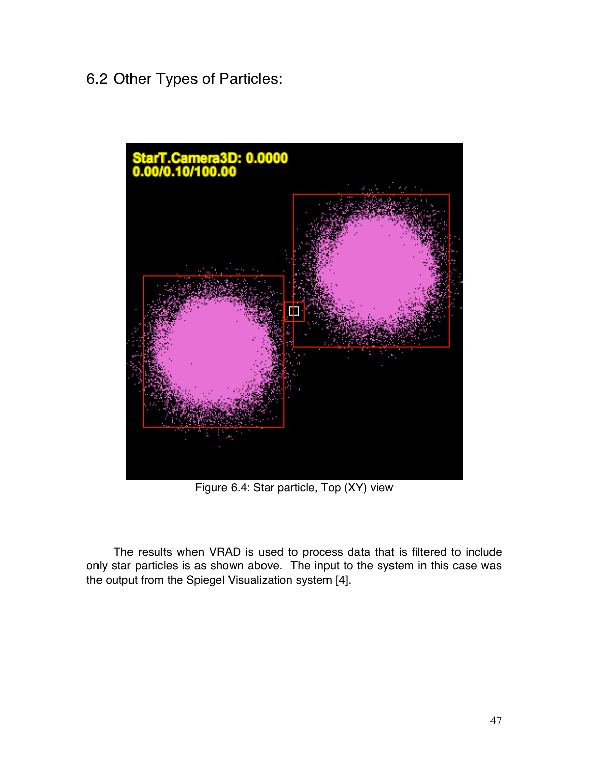# 6.2 Other Types of Particles:



Figure 6.4: Star particle, Top (XY) view

The results when VRAD is used to process data that is filtered to include only star particles is as shown above. The input to the system in this case was the output from the Spiegel Visualization system [4].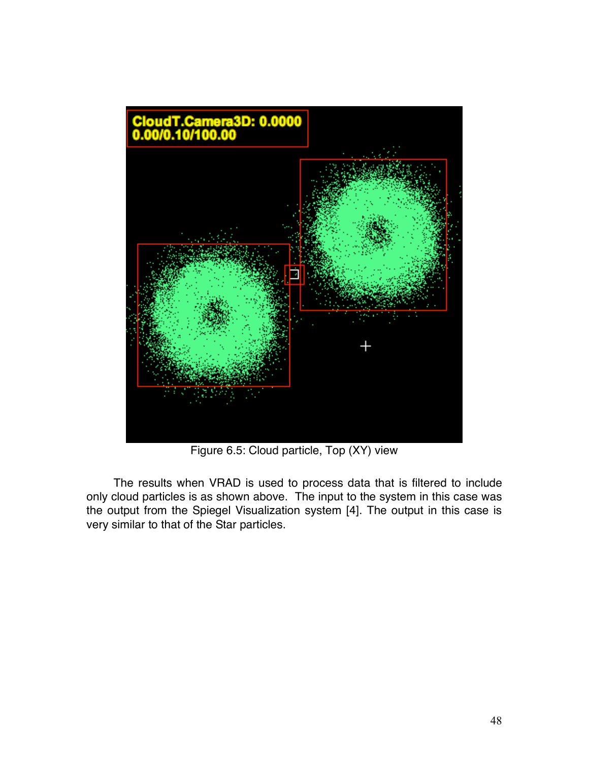

Figure 6.5: Cloud particle, Top (XY) view

The results when VRAD is used to process data that is filtered to include only cloud particles is as shown above. The input to the system in this case was the output from the Spiegel Visualization system [4]. The output in this case is very similar to that of the Star particles.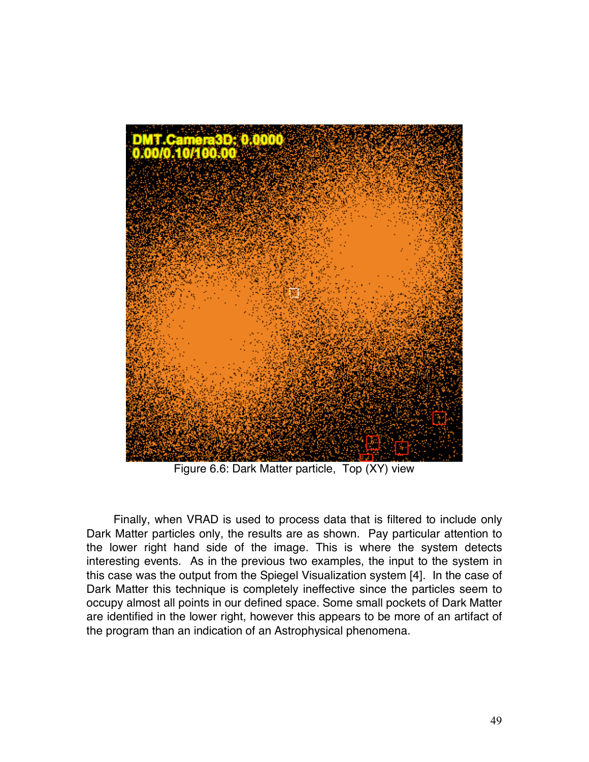

Figure 6.6: Dark Matter particle, Top (XY) view

Finally, when VRAD is used to process data that is filtered to include only Dark Matter particles only, the results are as shown. Pay particular attention to the lower right hand side of the image. This is where the system detects interesting events. As in the previous two examples, the input to the system in this case was the output from the Spiegel Visualization system [4]. In the case of Dark Matter this technique is completely ineffective since the particles seem to occupy almost all points in our defined space. Some small pockets of Dark Matter are identified in the lower right, however this appears to be more of an artifact of the program than an indication of an Astrophysical phenomena.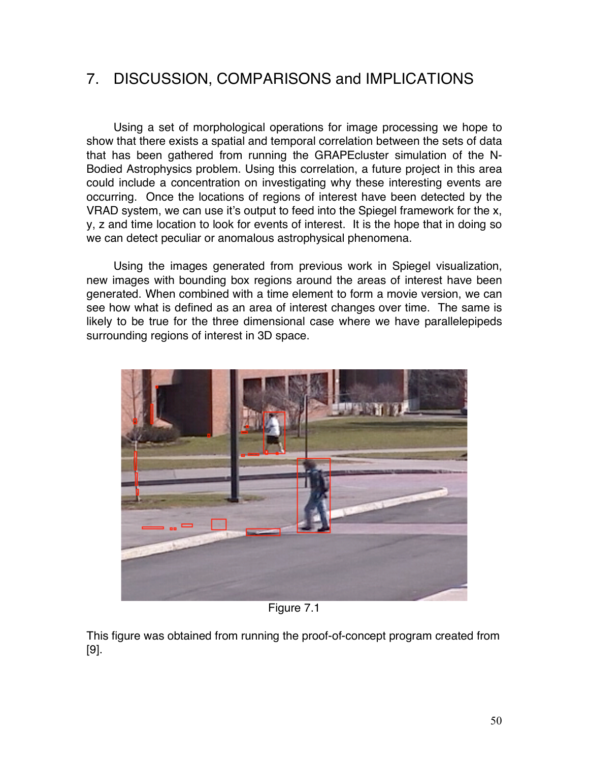# 7. DISCUSSION, COMPARISONS and IMPLICATIONS

Using a set of morphological operations for image processing we hope to show that there exists a spatial and temporal correlation between the sets of data that has been gathered from running the GRAPEcluster simulation of the N-Bodied Astrophysics problem. Using this correlation, a future project in this area could include a concentration on investigating why these interesting events are occurring. Once the locations of regions of interest have been detected by the VRAD system, we can use it's output to feed into the Spiegel framework for the x, y, z and time location to look for events of interest. It is the hope that in doing so we can detect peculiar or anomalous astrophysical phenomena.

Using the images generated from previous work in Spiegel visualization, new images with bounding box regions around the areas of interest have been generated. When combined with a time element to form a movie version, we can see how what is defined as an area of interest changes over time. The same is likely to be true for the three dimensional case where we have parallelepipeds surrounding regions of interest in 3D space.



Figure 7.1

This figure was obtained from running the proof-of-concept program created from [9].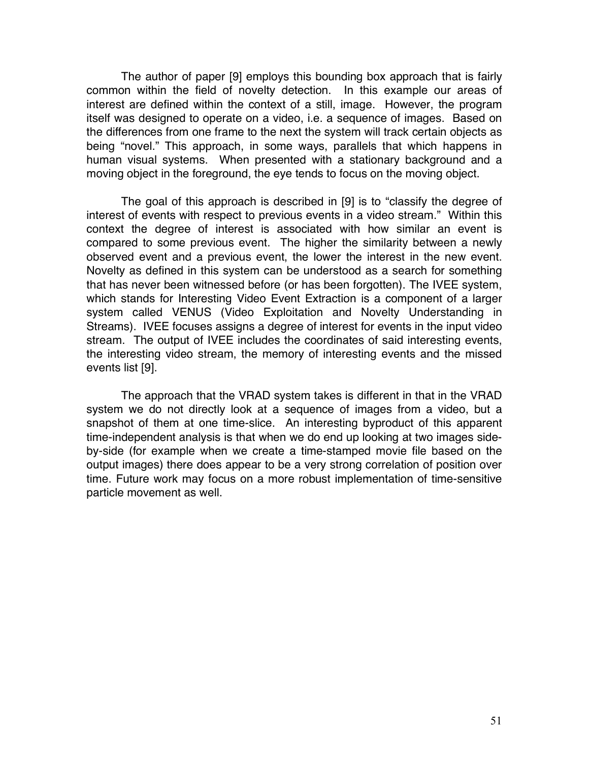The author of paper [9] employs this bounding box approach that is fairly common within the field of novelty detection. In this example our areas of interest are defined within the context of a still, image. However, the program itself was designed to operate on a video, i.e. a sequence of images. Based on the differences from one frame to the next the system will track certain objects as being "novel." This approach, in some ways, parallels that which happens in human visual systems. When presented with a stationary background and a moving object in the foreground, the eye tends to focus on the moving object.

The goal of this approach is described in [9] is to "classify the degree of interest of events with respect to previous events in a video stream." Within this context the degree of interest is associated with how similar an event is compared to some previous event. The higher the similarity between a newly observed event and a previous event, the lower the interest in the new event. Novelty as defined in this system can be understood as a search for something that has never been witnessed before (or has been forgotten). The IVEE system, which stands for Interesting Video Event Extraction is a component of a larger system called VENUS (Video Exploitation and Novelty Understanding in Streams). IVEE focuses assigns a degree of interest for events in the input video stream. The output of IVEE includes the coordinates of said interesting events, the interesting video stream, the memory of interesting events and the missed events list [9].

The approach that the VRAD system takes is different in that in the VRAD system we do not directly look at a sequence of images from a video, but a snapshot of them at one time-slice. An interesting byproduct of this apparent time-independent analysis is that when we do end up looking at two images sideby-side (for example when we create a time-stamped movie file based on the output images) there does appear to be a very strong correlation of position over time. Future work may focus on a more robust implementation of time-sensitive particle movement as well.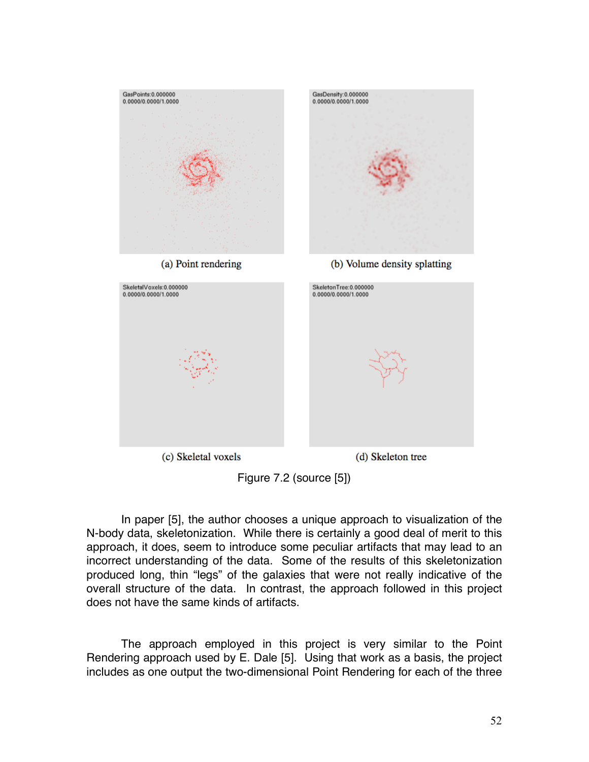

Figure 7.2 (source [5])

In paper [5], the author chooses a unique approach to visualization of the N-body data, skeletonization. While there is certainly a good deal of merit to this approach, it does, seem to introduce some peculiar artifacts that may lead to an incorrect understanding of the data. Some of the results of this skeletonization produced long, thin "legs" of the galaxies that were not really indicative of the overall structure of the data. In contrast, the approach followed in this project does not have the same kinds of artifacts.

The approach employed in this project is very similar to the Point Rendering approach used by E. Dale [5]. Using that work as a basis, the project includes as one output the two-dimensional Point Rendering for each of the three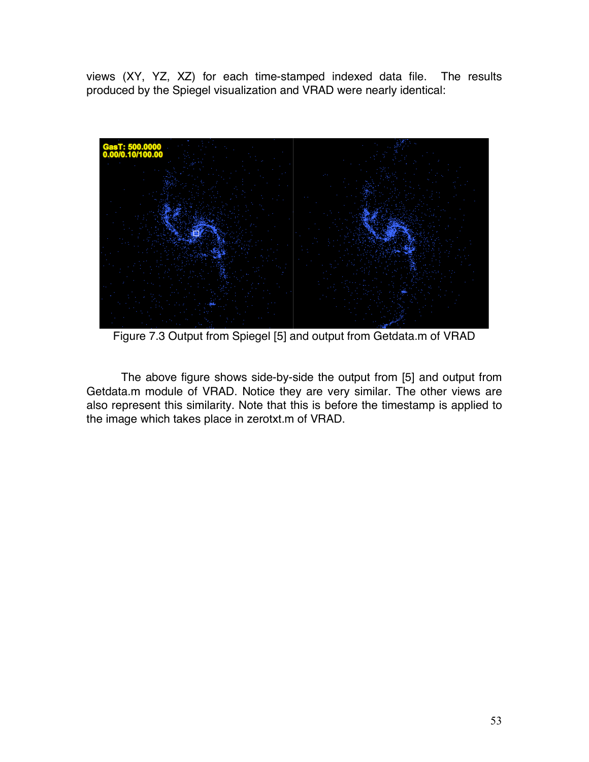views (XY, YZ, XZ) for each time-stamped indexed data file. The results produced by the Spiegel visualization and VRAD were nearly identical:



Figure 7.3 Output from Spiegel [5] and output from Getdata.m of VRAD

The above figure shows side-by-side the output from [5] and output from Getdata.m module of VRAD. Notice they are very similar. The other views are also represent this similarity. Note that this is before the timestamp is applied to the image which takes place in zerotxt.m of VRAD.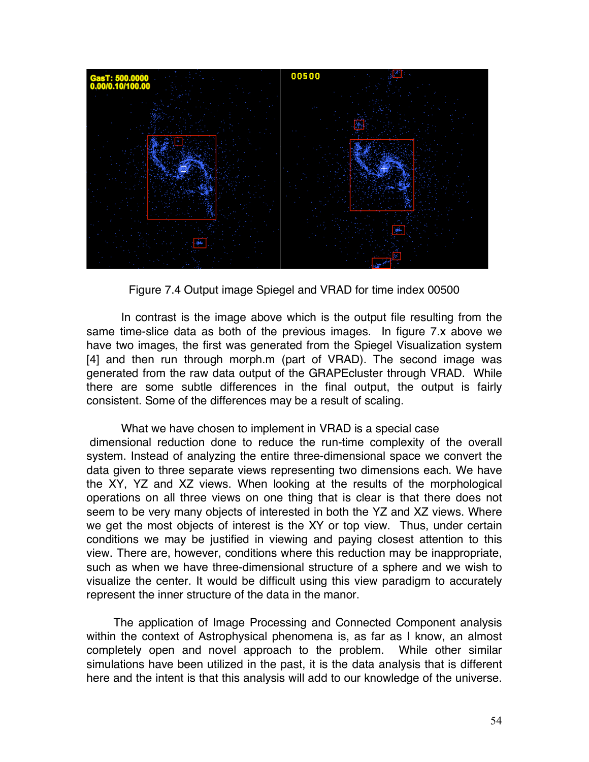

Figure 7.4 Output image Spiegel and VRAD for time index 00500

In contrast is the image above which is the output file resulting from the same time-slice data as both of the previous images. In figure 7.x above we have two images, the first was generated from the Spiegel Visualization system [4] and then run through morph.m (part of VRAD). The second image was generated from the raw data output of the GRAPEcluster through VRAD. While there are some subtle differences in the final output, the output is fairly consistent. Some of the differences may be a result of scaling.

What we have chosen to implement in VRAD is a special case dimensional reduction done to reduce the run-time complexity of the overall system. Instead of analyzing the entire three-dimensional space we convert the data given to three separate views representing two dimensions each. We have the XY, YZ and XZ views. When looking at the results of the morphological operations on all three views on one thing that is clear is that there does not seem to be very many objects of interested in both the YZ and XZ views. Where we get the most objects of interest is the XY or top view. Thus, under certain conditions we may be justified in viewing and paying closest attention to this view. There are, however, conditions where this reduction may be inappropriate, such as when we have three-dimensional structure of a sphere and we wish to visualize the center. It would be difficult using this view paradigm to accurately represent the inner structure of the data in the manor.

The application of Image Processing and Connected Component analysis within the context of Astrophysical phenomena is, as far as I know, an almost completely open and novel approach to the problem. While other similar simulations have been utilized in the past, it is the data analysis that is different here and the intent is that this analysis will add to our knowledge of the universe.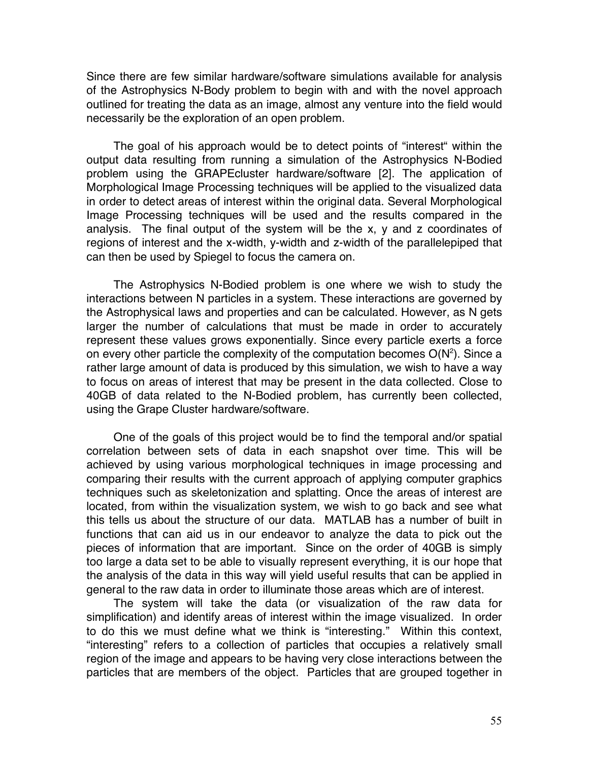Since there are few similar hardware/software simulations available for analysis of the Astrophysics N-Body problem to begin with and with the novel approach outlined for treating the data as an image, almost any venture into the field would necessarily be the exploration of an open problem.

The goal of his approach would be to detect points of "interest" within the output data resulting from running a simulation of the Astrophysics N-Bodied problem using the GRAPEcluster hardware/software [2]. The application of Morphological Image Processing techniques will be applied to the visualized data in order to detect areas of interest within the original data. Several Morphological Image Processing techniques will be used and the results compared in the analysis. The final output of the system will be the x, y and z coordinates of regions of interest and the x-width, y-width and z-width of the parallelepiped that can then be used by Spiegel to focus the camera on.

The Astrophysics N-Bodied problem is one where we wish to study the interactions between N particles in a system. These interactions are governed by the Astrophysical laws and properties and can be calculated. However, as N gets larger the number of calculations that must be made in order to accurately represent these values grows exponentially. Since every particle exerts a force on every other particle the complexity of the computation becomes  $O(N^2)$ . Since a rather large amount of data is produced by this simulation, we wish to have a way to focus on areas of interest that may be present in the data collected. Close to 40GB of data related to the N-Bodied problem, has currently been collected, using the Grape Cluster hardware/software.

One of the goals of this project would be to find the temporal and/or spatial correlation between sets of data in each snapshot over time. This will be achieved by using various morphological techniques in image processing and comparing their results with the current approach of applying computer graphics techniques such as skeletonization and splatting. Once the areas of interest are located, from within the visualization system, we wish to go back and see what this tells us about the structure of our data. MATLAB has a number of built in functions that can aid us in our endeavor to analyze the data to pick out the pieces of information that are important. Since on the order of 40GB is simply too large a data set to be able to visually represent everything, it is our hope that the analysis of the data in this way will yield useful results that can be applied in general to the raw data in order to illuminate those areas which are of interest.

The system will take the data (or visualization of the raw data for simplification) and identify areas of interest within the image visualized. In order to do this we must define what we think is "interesting." Within this context, "interesting" refers to a collection of particles that occupies a relatively small region of the image and appears to be having very close interactions between the particles that are members of the object. Particles that are grouped together in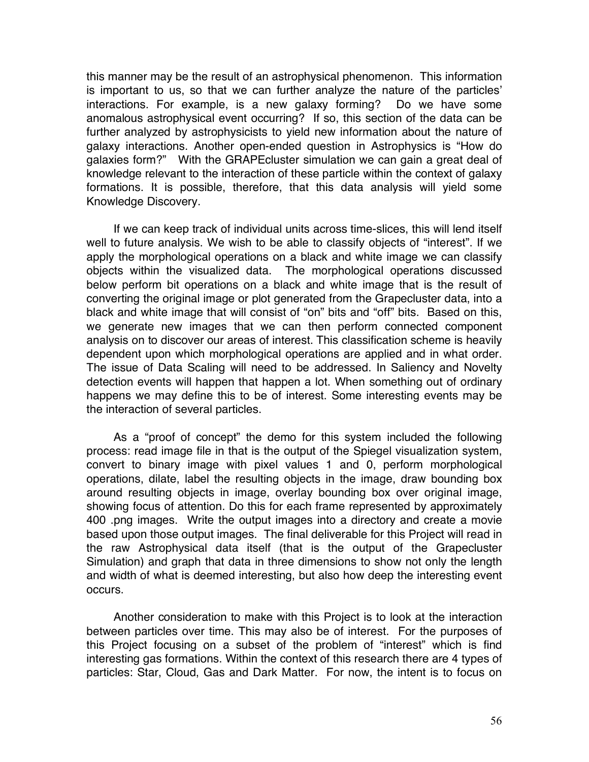this manner may be the result of an astrophysical phenomenon. This information is important to us, so that we can further analyze the nature of the particles' interactions. For example, is a new galaxy forming? Do we have some anomalous astrophysical event occurring? If so, this section of the data can be further analyzed by astrophysicists to yield new information about the nature of galaxy interactions. Another open-ended question in Astrophysics is "How do galaxies form?" With the GRAPEcluster simulation we can gain a great deal of knowledge relevant to the interaction of these particle within the context of galaxy formations. It is possible, therefore, that this data analysis will yield some Knowledge Discovery.

If we can keep track of individual units across time-slices, this will lend itself well to future analysis. We wish to be able to classify objects of "interest". If we apply the morphological operations on a black and white image we can classify objects within the visualized data. The morphological operations discussed below perform bit operations on a black and white image that is the result of converting the original image or plot generated from the Grapecluster data, into a black and white image that will consist of "on" bits and "off" bits. Based on this, we generate new images that we can then perform connected component analysis on to discover our areas of interest. This classification scheme is heavily dependent upon which morphological operations are applied and in what order. The issue of Data Scaling will need to be addressed. In Saliency and Novelty detection events will happen that happen a lot. When something out of ordinary happens we may define this to be of interest. Some interesting events may be the interaction of several particles.

As a "proof of concept" the demo for this system included the following process: read image file in that is the output of the Spiegel visualization system, convert to binary image with pixel values 1 and 0, perform morphological operations, dilate, label the resulting objects in the image, draw bounding box around resulting objects in image, overlay bounding box over original image, showing focus of attention. Do this for each frame represented by approximately 400 .png images. Write the output images into a directory and create a movie based upon those output images. The final deliverable for this Project will read in the raw Astrophysical data itself (that is the output of the Grapecluster Simulation) and graph that data in three dimensions to show not only the length and width of what is deemed interesting, but also how deep the interesting event occurs.

Another consideration to make with this Project is to look at the interaction between particles over time. This may also be of interest. For the purposes of this Project focusing on a subset of the problem of "interest" which is find interesting gas formations. Within the context of this research there are 4 types of particles: Star, Cloud, Gas and Dark Matter. For now, the intent is to focus on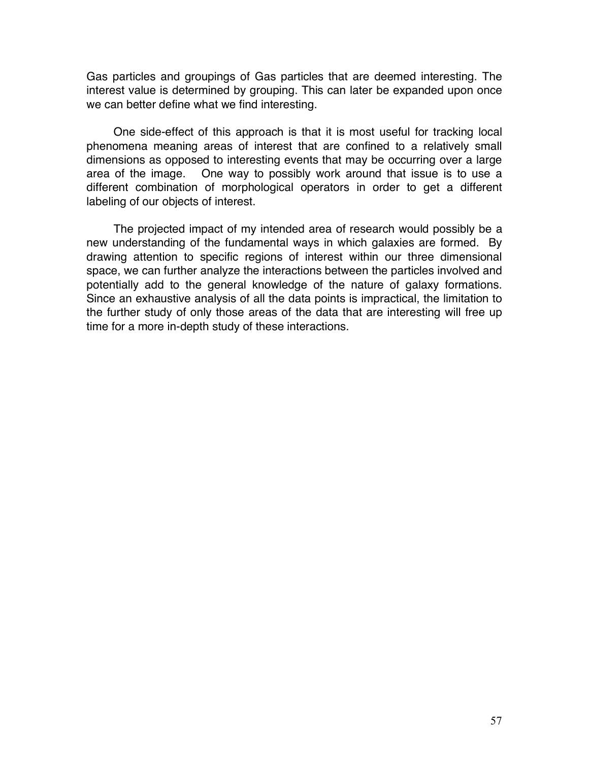Gas particles and groupings of Gas particles that are deemed interesting. The interest value is determined by grouping. This can later be expanded upon once we can better define what we find interesting.

One side-effect of this approach is that it is most useful for tracking local phenomena meaning areas of interest that are confined to a relatively small dimensions as opposed to interesting events that may be occurring over a large area of the image. One way to possibly work around that issue is to use a different combination of morphological operators in order to get a different labeling of our objects of interest.

The projected impact of my intended area of research would possibly be a new understanding of the fundamental ways in which galaxies are formed. By drawing attention to specific regions of interest within our three dimensional space, we can further analyze the interactions between the particles involved and potentially add to the general knowledge of the nature of galaxy formations. Since an exhaustive analysis of all the data points is impractical, the limitation to the further study of only those areas of the data that are interesting will free up time for a more in-depth study of these interactions.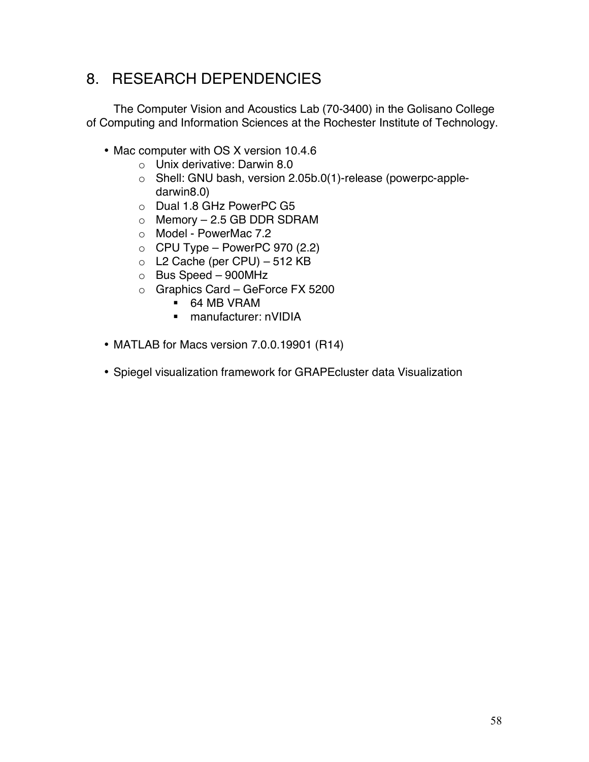# 8. RESEARCH DEPENDENCIES

The Computer Vision and Acoustics Lab (70-3400) in the Golisano College of Computing and Information Sciences at the Rochester Institute of Technology.

- Mac computer with OS X version 10.4.6
	- o Unix derivative: Darwin 8.0
	- o Shell: GNU bash, version 2.05b.0(1)-release (powerpc-appledarwin8.0)
	- o Dual 1.8 GHz PowerPC G5
	- $\circ$  Memory 2.5 GB DDR SDRAM
	- o Model PowerMac 7.2
	- $\circ$  CPU Type PowerPC 970 (2.2)
	- o L2 Cache (per CPU) 512 KB
	- o Bus Speed 900MHz
	- o Graphics Card GeForce FX 5200
		- 64 MB VRAM
		- manufacturer: nVIDIA
- MATLAB for Macs version 7.0.0.19901 (R14)
- Spiegel visualization framework for GRAPEcluster data Visualization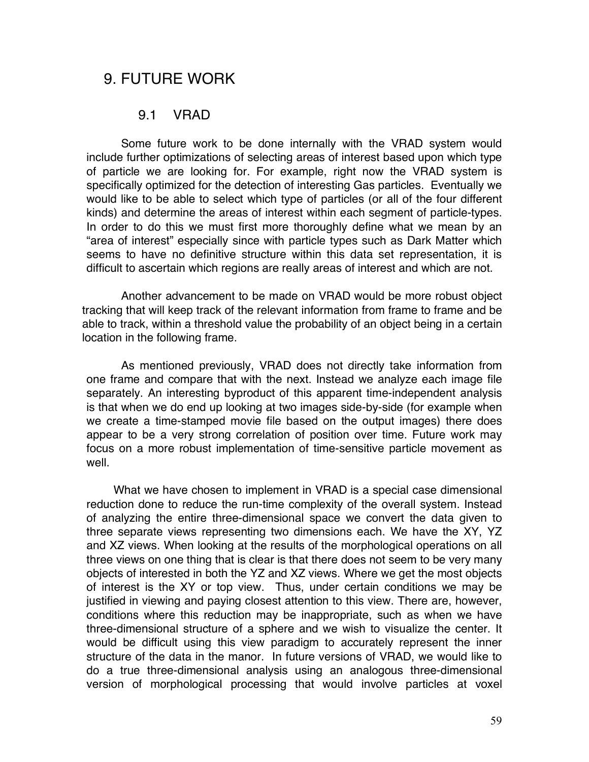## 9. FUTURE WORK

#### 9.1 VRAD

Some future work to be done internally with the VRAD system would include further optimizations of selecting areas of interest based upon which type of particle we are looking for. For example, right now the VRAD system is specifically optimized for the detection of interesting Gas particles. Eventually we would like to be able to select which type of particles (or all of the four different kinds) and determine the areas of interest within each segment of particle-types. In order to do this we must first more thoroughly define what we mean by an "area of interest" especially since with particle types such as Dark Matter which seems to have no definitive structure within this data set representation, it is difficult to ascertain which regions are really areas of interest and which are not.

Another advancement to be made on VRAD would be more robust object tracking that will keep track of the relevant information from frame to frame and be able to track, within a threshold value the probability of an object being in a certain location in the following frame.

As mentioned previously, VRAD does not directly take information from one frame and compare that with the next. Instead we analyze each image file separately. An interesting byproduct of this apparent time-independent analysis is that when we do end up looking at two images side-by-side (for example when we create a time-stamped movie file based on the output images) there does appear to be a very strong correlation of position over time. Future work may focus on a more robust implementation of time-sensitive particle movement as well

What we have chosen to implement in VRAD is a special case dimensional reduction done to reduce the run-time complexity of the overall system. Instead of analyzing the entire three-dimensional space we convert the data given to three separate views representing two dimensions each. We have the XY, YZ and XZ views. When looking at the results of the morphological operations on all three views on one thing that is clear is that there does not seem to be very many objects of interested in both the YZ and XZ views. Where we get the most objects of interest is the XY or top view. Thus, under certain conditions we may be justified in viewing and paying closest attention to this view. There are, however, conditions where this reduction may be inappropriate, such as when we have three-dimensional structure of a sphere and we wish to visualize the center. It would be difficult using this view paradigm to accurately represent the inner structure of the data in the manor. In future versions of VRAD, we would like to do a true three-dimensional analysis using an analogous three-dimensional version of morphological processing that would involve particles at voxel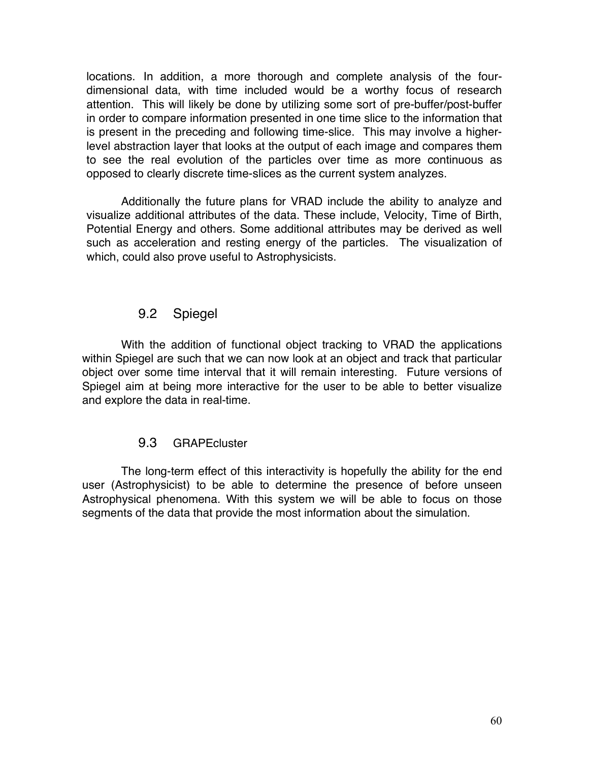locations. In addition, a more thorough and complete analysis of the fourdimensional data, with time included would be a worthy focus of research attention. This will likely be done by utilizing some sort of pre-buffer/post-buffer in order to compare information presented in one time slice to the information that is present in the preceding and following time-slice. This may involve a higherlevel abstraction layer that looks at the output of each image and compares them to see the real evolution of the particles over time as more continuous as opposed to clearly discrete time-slices as the current system analyzes.

Additionally the future plans for VRAD include the ability to analyze and visualize additional attributes of the data. These include, Velocity, Time of Birth, Potential Energy and others. Some additional attributes may be derived as well such as acceleration and resting energy of the particles. The visualization of which, could also prove useful to Astrophysicists.

### 9.2 Spiegel

With the addition of functional object tracking to VRAD the applications within Spiegel are such that we can now look at an object and track that particular object over some time interval that it will remain interesting. Future versions of Spiegel aim at being more interactive for the user to be able to better visualize and explore the data in real-time.

#### 9.3 GRAPEcluster

The long-term effect of this interactivity is hopefully the ability for the end user (Astrophysicist) to be able to determine the presence of before unseen Astrophysical phenomena. With this system we will be able to focus on those segments of the data that provide the most information about the simulation.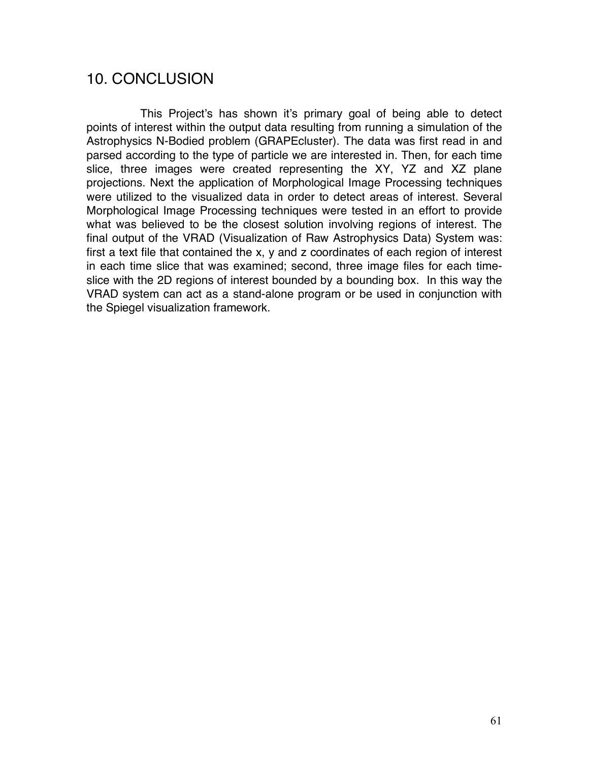## 10. CONCLUSION

This Project's has shown it's primary goal of being able to detect points of interest within the output data resulting from running a simulation of the Astrophysics N-Bodied problem (GRAPEcluster). The data was first read in and parsed according to the type of particle we are interested in. Then, for each time slice, three images were created representing the XY, YZ and XZ plane projections. Next the application of Morphological Image Processing techniques were utilized to the visualized data in order to detect areas of interest. Several Morphological Image Processing techniques were tested in an effort to provide what was believed to be the closest solution involving regions of interest. The final output of the VRAD (Visualization of Raw Astrophysics Data) System was: first a text file that contained the x, y and z coordinates of each region of interest in each time slice that was examined; second, three image files for each timeslice with the 2D regions of interest bounded by a bounding box. In this way the VRAD system can act as a stand-alone program or be used in conjunction with the Spiegel visualization framework.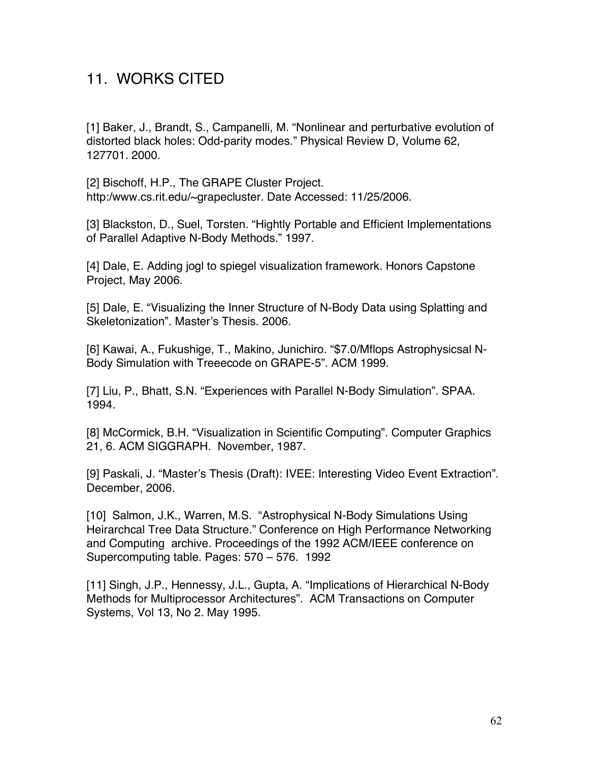# 11. WORKS CITED

[1] Baker, J., Brandt, S., Campanelli, M. "Nonlinear and perturbative evolution of distorted black holes: Odd-parity modes." Physical Review D, Volume 62, 127701. 2000.

[2] Bischoff, H.P., The GRAPE Cluster Project. http:/www.cs.rit.edu/~grapecluster. Date Accessed: 11/25/2006.

[3] Blackston, D., Suel, Torsten. "Hightly Portable and Efficient Implementations of Parallel Adaptive N-Body Methods." 1997.

[4] Dale, E. Adding jogl to spiegel visualization framework. Honors Capstone Project, May 2006.

[5] Dale, E. "Visualizing the Inner Structure of N-Body Data using Splatting and Skeletonization". Master's Thesis. 2006.

[6] Kawai, A., Fukushige, T., Makino, Junichiro. "\$7.0/Mflops Astrophysicsal N-Body Simulation with Treeecode on GRAPE-5". ACM 1999.

[7] Liu, P., Bhatt, S.N. "Experiences with Parallel N-Body Simulation". SPAA. 1994.

[8] McCormick, B.H. "Visualization in Scientific Computing". Computer Graphics 21, 6. ACM SIGGRAPH. November, 1987.

[9] Paskali, J. "Master's Thesis (Draft): IVEE: Interesting Video Event Extraction". December, 2006.

[10] Salmon, J.K., Warren, M.S. "Astrophysical N-Body Simulations Using Heirarchcal Tree Data Structure." Conference on High Performance Networking and Computing archive. Proceedings of the 1992 ACM/IEEE conference on Supercomputing table. Pages: 570 – 576. 1992

[11] Singh, J.P., Hennessy, J.L., Gupta, A. "Implications of Hierarchical N-Body Methods for Multiprocessor Architectures". ACM Transactions on Computer Systems, Vol 13, No 2. May 1995.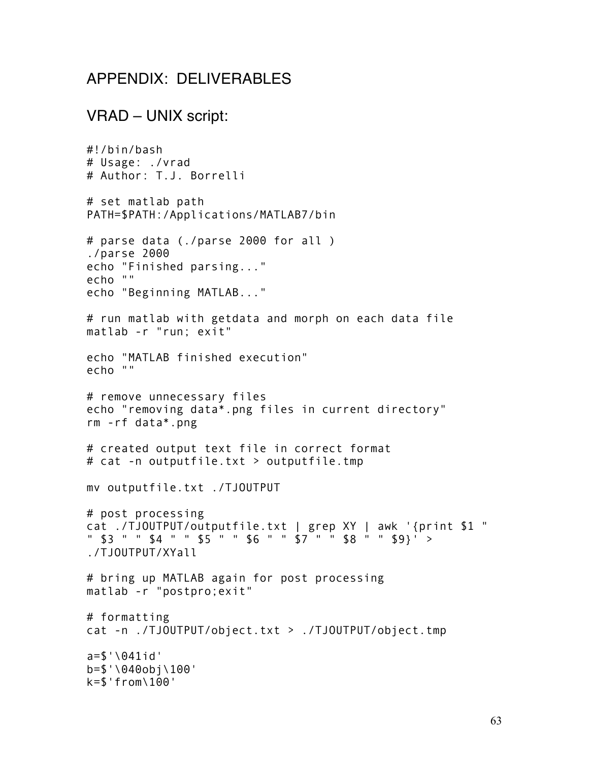### APPENDIX: DELIVERABLES

### VRAD – UNIX script:

```
#!/bin/bash
# Usage: ./vrad
# Author: T.J. Borrelli
# set matlab path
PATH=$PATH:/Applications/MATLAB7/bin
# parse data (./parse 2000 for all )
./parse 2000
echo "Finished parsing..."
echo ""
echo "Beginning MATLAB..."
# run matlab with getdata and morph on each data file
matlab -r "run; exit"
echo "MATLAB finished execution"
echo ""
# remove unnecessary files
echo "removing data*.png files in current directory"
rm -rf data*.png
# created output text file in correct format
# cat -n outputfile.txt > outputfile.tmp
mv outputfile.txt ./TJOUTPUT
# post processing
cat ./TJOUTPUT/outputfile.txt | grep XY | awk '{print $1 " 
" $3 " " $4 " " $5 " " $6 " " $7 " " $8 " " $9}' > 
./TJOUTPUT/XYall
# bring up MATLAB again for post processing
matlab -r "postpro;exit"
# formatting
cat -n ./TJOUTPUT/object.txt > ./TJOUTPUT/object.tmp
a=$'\041id'
b=$'\040obj\100'
k=$'from\100'
```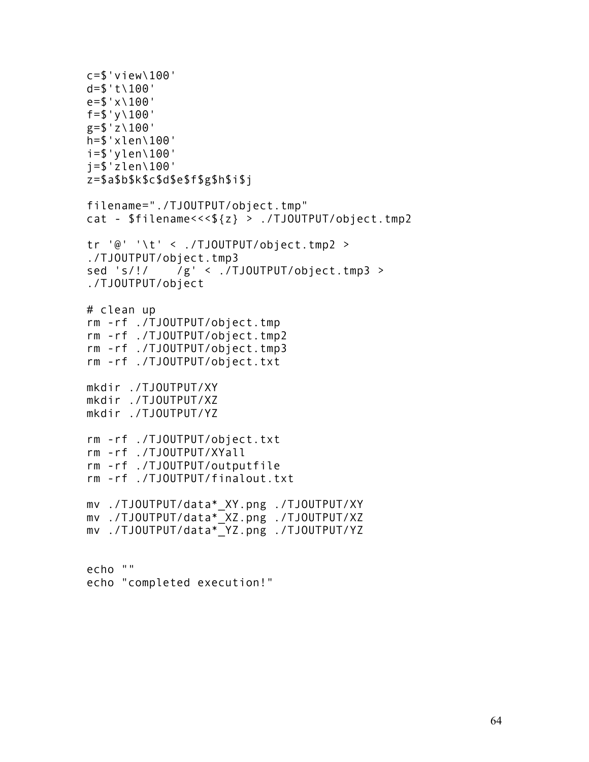c=\$'view\100'  $d=$   $f'$  t \100' e=\$'x\100'  $f=$   $\frac{100'}{100}$  $g = $'Z \setminus 100'$ h=\$'xlen\100' i=\$'ylen\100' j=\$'zlen\100' z=\$a\$b\$k\$c\$d\$e\$f\$g\$h\$i\$j filename="./TJOUTPUT/object.tmp" cat - \$filename<<<\${z} > ./TJOUTPUT/object.tmp2 tr '@' '\t' < ./TJOUTPUT/object.tmp2 > ./TJOUTPUT/object.tmp3 sed 's/!/ /g' < ./TJOUTPUT/object.tmp3 > ./TJOUTPUT/object # clean up rm -rf ./TJOUTPUT/object.tmp rm -rf ./TJOUTPUT/object.tmp2 rm -rf ./TJOUTPUT/object.tmp3 rm -rf ./TJOUTPUT/object.txt mkdir ./TJOUTPUT/XY mkdir ./TJOUTPUT/XZ mkdir ./TJOUTPUT/YZ rm -rf ./TJOUTPUT/object.txt rm -rf ./TJOUTPUT/XYall rm -rf ./TJOUTPUT/outputfile rm -rf ./TJOUTPUT/finalout.txt mv ./TJOUTPUT/data\*\_XY.png ./TJOUTPUT/XY mv ./TJOUTPUT/data\*\_XZ.png ./TJOUTPUT/XZ mv ./TJOUTPUT/data\*\_YZ.png ./TJOUTPUT/YZ

echo "" echo "completed execution!"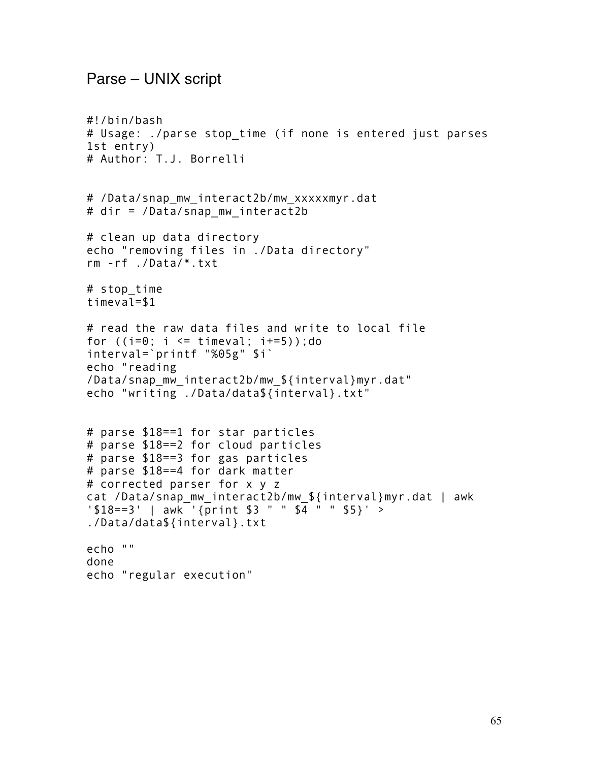### Parse – UNIX script

```
#!/bin/bash
# Usage: ./parse stop_time (if none is entered just parses 
1st entry)
# Author: T.J. Borrelli
# /Data/snap mw interact2b/mw xxxxxmyr.dat
# dir = /Data/snap_mw_interact2b
# clean up data directory 
echo "removing files in ./Data directory"
rm -rf ./Data/*.txt
# stop_time 
timeval=$1
# read the raw data files and write to local file 
for (i=0; i \le i \text{imeval}; i+=5); do
interval=`printf "%05g" $i`
echo "reading 
/Data/snap_mw_interact2b/mw_${interval}myr.dat"
echo "writing ./Data/data${interval}.txt"
# parse $18==1 for star particles
# parse $18==2 for cloud particles
# parse $18==3 for gas particles
# parse $18==4 for dark matter 
# corrected parser for x y z
cat /Data/snap_mw_interact2b/mw_${interval}myr.dat | awk 
'$18==3' | awk '{print $3 " " $4 " " $5}' >
./Data/data${interval}.txt
echo ""
done
echo "regular execution"
```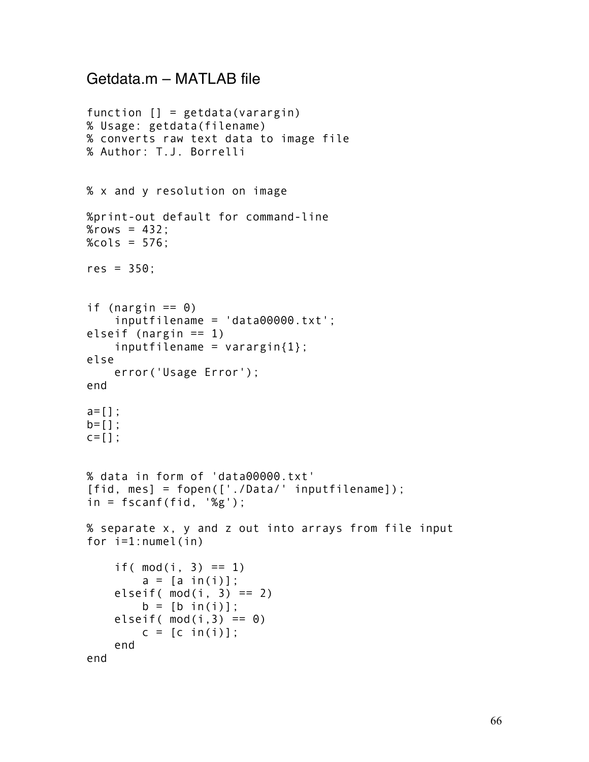## Getdata.m – MATLAB file

```
function [] = getdata(varargin)
% Usage: getdata(filename)
% converts raw text data to image file
% Author: T.J. Borrelli
% x and y resolution on image
%print-out default for command-line
%rows = 432;%<math>cols = 576</math>;res = 350;
if (nargin == 0)
     inputfilename = 'data00000.txt';
elseif (nargin == 1) 
    inputfilename = varaging{1};
else
     error('Usage Error');
end
a=[];
b=[];
C = [];
% data in form of 'data00000.txt'
[fid, mes] = fopen(['./Data/' inputfilename]);
in = fscan f(fid, '%g');
% separate x, y and z out into arrays from file input
for i=1:numel(in)
    if( mod(i, 3) == 1)
        a = [a \in (i)];
    elseif(mod(i, 3) == 2)b = [b \text{ in}(i)];
    elseif(mod(i,3) == 0)
        c = [c \in in(i)]; end
end
```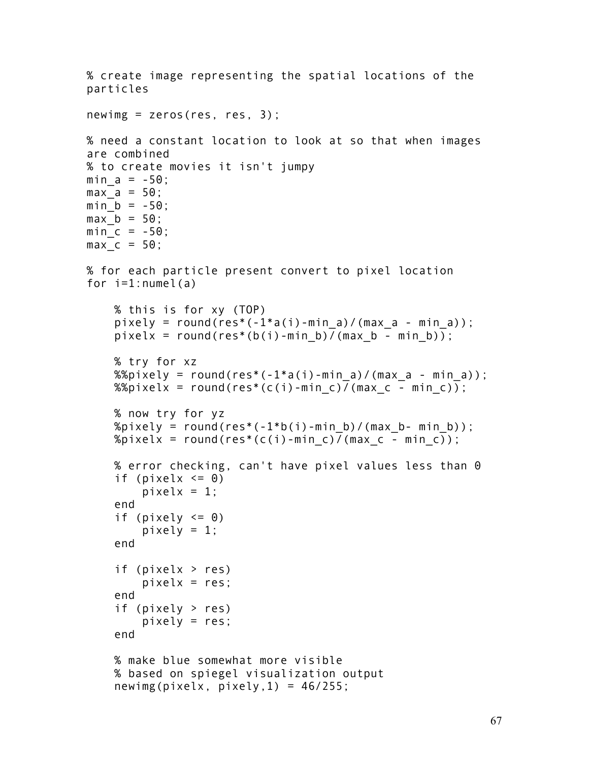```
% create image representing the spatial locations of the 
particles
newimg = zeros(res, res, 3);% need a constant location to look at so that when images 
are combined
% to create movies it isn't jumpy
min a = -50;
max a = 50;
min b = -50;
max b = 50;
min c = -50;
maxc = 50;
% for each particle present convert to pixel location
for i=1: numel(a)
     % this is for xy (TOP)
    pixely = round(res*(-1*a(i)-min a)/(max a - min a));
    pixelx = round(res*(b(i)-min b)/(max b - min b));
     % try for xz 
    %%pixely = round(res*(-1*a(i)-min a)/(max a - min a));
    %%pixelx = round(res*(c(i)-min c)/(max c - min c));
     % now try for yz
    %pixely = round(res*(-1*b(i)-min b)/(max b- min b));
    %pixelx = round(res*(c(i)-min c)/(max c - min c));
     % error checking, can't have pixel values less than 0
    if (pixelx \leq 0)
        pixelx = 1;
     end
    if (pixely <= 0)pixely = 1;
     end
     if (pixelx > res)
        pixels = res; end
     if (pixely > res)
        pixels = res; end
     % make blue somewhat more visible
     % based on spiegel visualization output
    newimg(pixels, pixels, 1) = 46/255;
```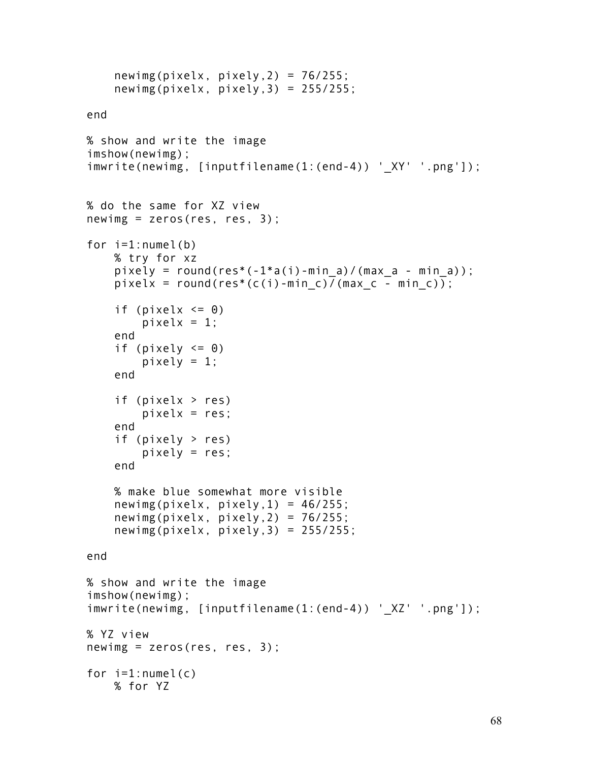```
newimg(pixels, pixels, 2) = 76/255;
    newimg(pixels, plus; poly, 3) = 255/255;end
% show and write the image
imshow(newimg);
imwrite(newimg, [inputfilename(1:(end-4)) '_XY' '.png']);
% do the same for XZ view
newimg = zeros(res, res, 3);for i=1:numel(b) % try for xz 
    pixely = round(res*(-1*a(i)-min a)/(max a - min a));
    pixelx = round(res*(c(i)-min c)/(max c - min c));
    if (pixelx \leq 0)
        pixelx = 1;
     end
    if (pixely \leq 0)
        pixely = 1;
     end
     if (pixelx > res)
        pixels = res; end
     if (pixely > res)
        pixels = res; end
     % make blue somewhat more visible
    newimg(pixels, \nminus pixels) = 46/255;
     newimg(pixelx, pixely,2) = 76/255;
     newimg(pixelx, pixely,3) = 255/255;
end
% show and write the image
imshow(newimg);
imwrite(newimg, [inputfilename(1:(end-4)) '_XZ' '.png']);
% YZ view
newimg = zeros(res, res, 3);for i=1: numel(c)
     % for YZ
```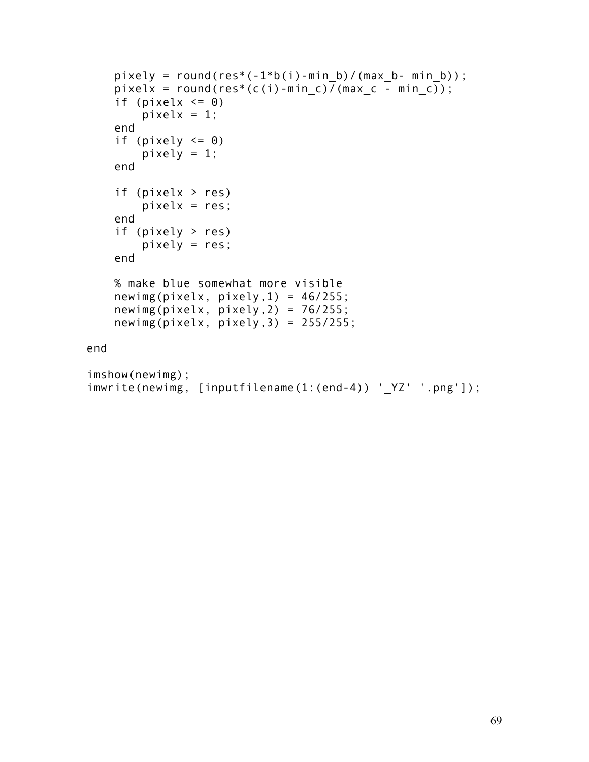```
pixely = round(res*(-1*b(i)-min b)/(max b- min b));
    pixelx = round(res*(c(i)-min c)\frac{1}{\sqrt{2}}(max c - min c));
    if (pixelx \leq 0)
        pixelx = 1;
     end
    if (pixely \leq 0)
        pixely = 1;
     end
     if (pixelx > res)
        pixels = res; end
     if (pixely > res)
        pixels = res; end
     % make blue somewhat more visible
    newimg(pixels, \nminus \night pixely,1) = 46/255; newimg(pixelx, pixely,2) = 76/255;
    newimg(pixels, plus; 3) = 255/255;end
imshow(newimg);
imwrite(newimg, [inputfilename(1:(end-4)) '_YZ' '.png']);
```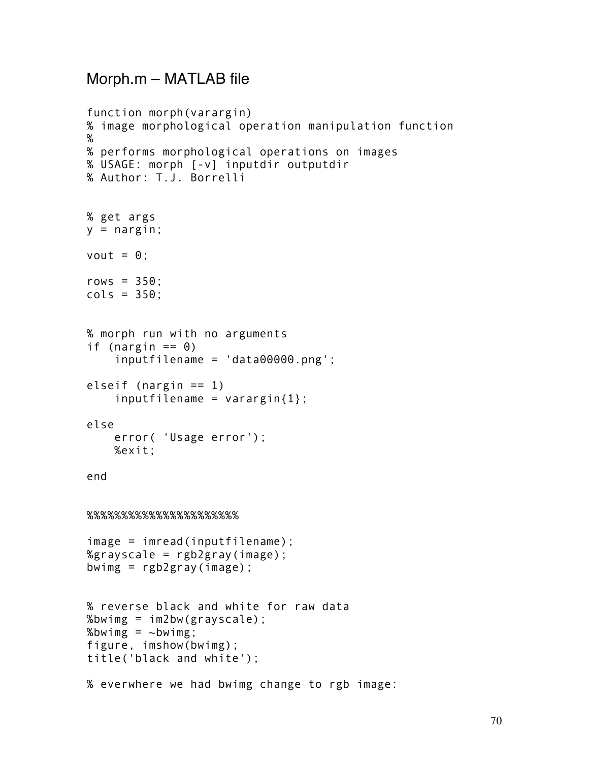### Morph.m – MATLAB file

```
function morph(varargin)
% image morphological operation manipulation function
%
% performs morphological operations on images
% USAGE: morph [-v] inputdir outputdir
% Author: T.J. Borrelli
% get args
y = nargin;
vout = \theta;
rows = 350;
cols = 350;
% morph run with no arguments
if (nargin == 0)
     inputfilename = 'data00000.png';
elseif (nargin == 1)
    inputfilename = varaging{1};
else
     error( 'Usage error');
     %exit;
end
%%%%%%%%%%%%%%%%%%%%%%
image = imread(inputfilename);
%grayscale = rgb2gray(image);bwimg = rgb2gray(image);
% reverse black and white for raw data
%bwimg = im2bw(grayscale);
%bwimg = \simbwimg;
figure, imshow(bwimg);
title('black and white');
% everwhere we had bwimg change to rgb image:
```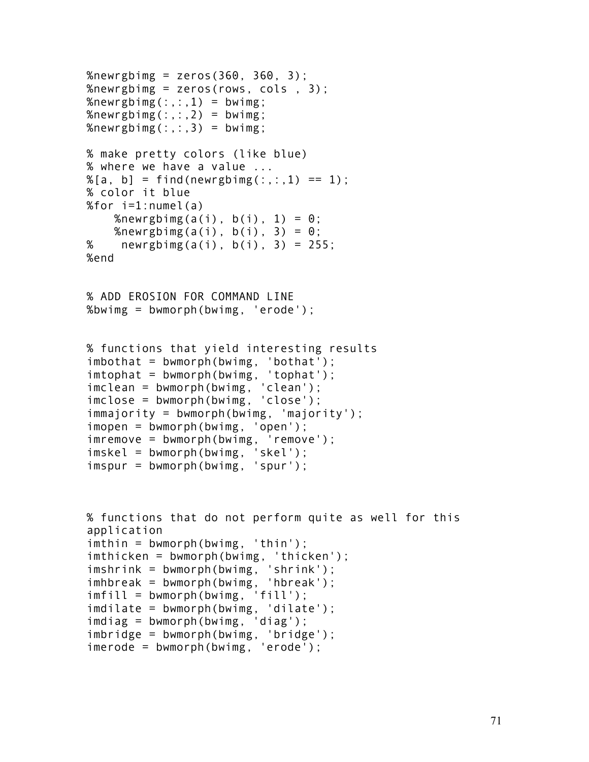```
%newrgbimg = zeros(360, 360, 3);
%newrgbimg = zeros(rows, cols , 3);%newrgbimg(:,:,1) = bwimg;
%newrgbimg(:,:,2) = bwimg;
%newrgbimg(:,:,3) = bwimg;
% make pretty colors (like blue)
% where we have a value ...
% [a, b] = find(newrgbimg(:, :, 1) == 1);% color it blue
%for i=1:numel(a)
    %newrgbimg(a(i), b(i), 1) = 0;
    %newrgbimg(a(i), b(i), 3) = \theta;
% newrgbimg(a(i), b(i), 3) = 255;
%end
% ADD EROSION FOR COMMAND LINE
%bwimg = bwmorph(bwimg, 'erode');
% functions that yield interesting results
imbothat = bwmorph(bwimg, 'bothat');
imtophat = bwmorph(bwimg, 'tophat');
imclean = bwmorph(bwimg, 'clean');
imclose = bwmorph(bwimg, 'close');
immajority = bwmorph(bwimg, 'majority');
imopen = bwmorph(bwimg, 'open');
imremove = bwmorph(bwimg, 'remove');
imskel = bwmorph(bwimg, 'skel');
imspur = bwmorph(bwimg, 'spur');
% functions that do not perform quite as well for this 
application
imthin = bwmorph(bwimg, 'thin');
imthicken = bwmorph(bwimg, 'thicken');
imshrink = bwmorph(bwimg, 'shrink');
imhbreak = bwmorph(bwimg, 'hbreak');
imfill = bwmorph(bwimg, 'fill');
imdilate = bwmorph(bwimg, 'dilate');
imdiag = bwmorph(bwimg, 'diag');
imbridge = bwmorph(bwimg, 'bridge');
imerode = bwmorph(bwimg, 'erode');
```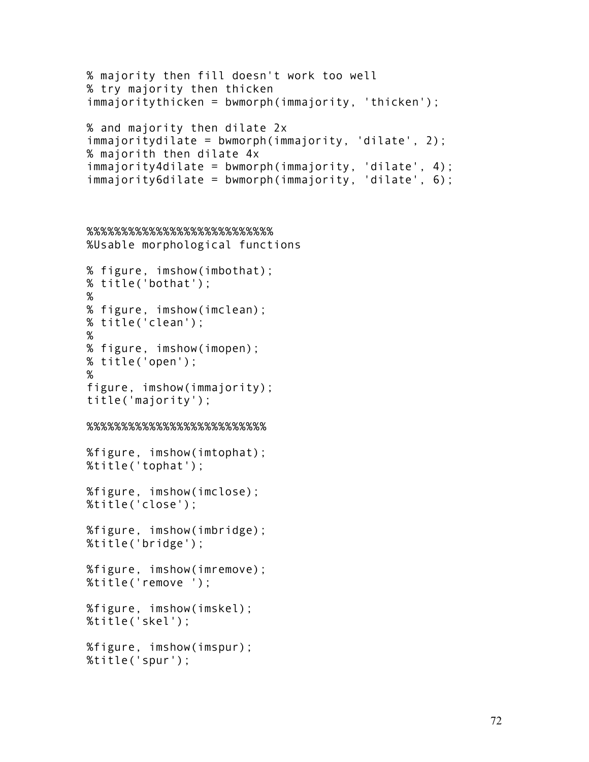```
% majority then fill doesn't work too well
% try majority then thicken
immajoritythicken = bwmorph(immajority, 'thicken');
% and majority then dilate 2x
immajoritydilate = bwmorph(immajority, 'dilate', 2);
% majorith then dilate 4x
immajority4dilate = bwmorph(immajority, 'dilate', 4);
immajority6dilate = bwmorph(immajority, 'dilate', 6);
%%%%%%%%%%%%%%%%%%%%%%%%%%%
%Usable morphological functions
% figure, imshow(imbothat);
% title('bothat');
% 
% figure, imshow(imclean);
% title('clean');
% 
% figure, imshow(imopen);
% title('open');
% 
figure, imshow(immajority);
title('majority');
%%%%%%%%%%%%%%%%%%%%%%%%%%
%figure, imshow(imtophat);
%title('tophat');
%figure, imshow(imclose);
%title('close');
%figure, imshow(imbridge);
%title('bridge');
%figure, imshow(imremove);
%title('remove ');
%figure, imshow(imskel);
%title('skel');
%figure, imshow(imspur);
```

```
%title('spur');
```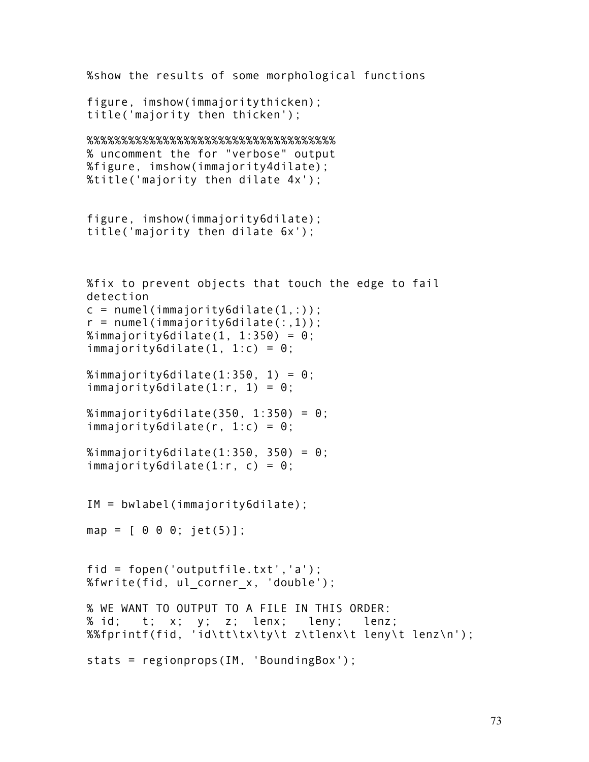```
%show the results of some morphological functions
figure, imshow(immajoritythicken);
title('majority then thicken');
%%%%%%%%%%%%%%%%%%%%%%%%%%%%%%%%%%%%
% uncomment the for "verbose" output
%figure, imshow(immajority4dilate);
%title('majority then dilate 4x');
figure, imshow(immajority6dilate);
title('majority then dilate 6x');
%fix to prevent objects that touch the edge to fail 
detection
c = number (immajority6dilate(1,:));r = number (immajority6dilate(:,1));%immajority6dilate(1, 1:350) = 0;
immajority6dilate(1, 1:c) = \theta;
%immajority6dilate(1:350, 1) = 0;
immajority6dilate(1:r, 1) = 0;
%immajority6dilate(350, 1:350) = 0;
immajority6dilate(r, 1:c) = 0;
%immajority6dilate(1:350, 350) = 0;
immajority6dilate(1:r, c) = 0;
IM = bwlabel(immajority6dilate);
map = [ 0 0 0; jet(5)];
fid = fopen('outputfile.txt','a');
%fwrite(fid, ul_corner_x, 'double');
% WE WANT TO OUTPUT TO A FILE IN THIS ORDER:
% id; t; x; y; z; lenx; leny; lenz; 
%%fprintf(fid, 'id\tt\tx\ty\t z\tlenx\t leny\t lenz\n');
stats = regionprops(IM, 'BoundingBox');
```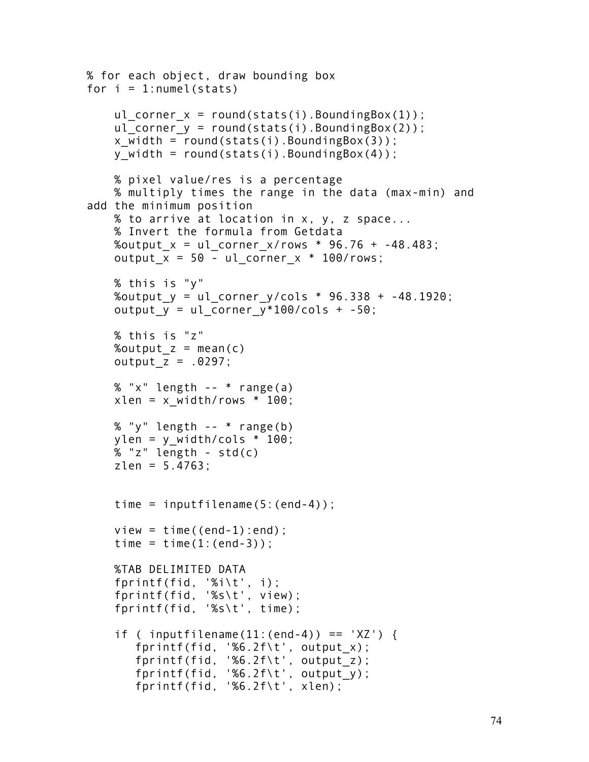```
% for each object, draw bounding box
for i = 1: numel (stats)
    ul corner x = round(stats(i)).BoundingBox(1));
    ul corner y = round(stats(i)).BoundingBox(2));
    x width = round(stats(i).BoundingBox(3));
    y width = round(stats(i).BoundingBox(4));
     % pixel value/res is a percentage
     % multiply times the range in the data (max-min) and 
add the minimum position
     % to arrive at location in x, y, z space...
     % Invert the formula from Getdata
    %output x = ul corner x/rows * 96.76 + -48.483;
    output x = 50 - ul corner x * 100/rows;
     % this is "y"
    %output y = ul corner y/cols * 96.338 + -48.1920;
    output y = ul corner y*100/cols + -50;
     % this is "z"
    %output z = \text{mean}(c)output z = .0297;
    % "x" length -- * range(a)xlen = x width/rows * 100; % "y" length -- * range(b)
    ylen = y width/cols * 100;
     % "z" length - std(c)
    zlen = 5.4763;time = inputfilename(5:(end-4));
    view = time((end-1):end):time = time(1:(end-3));
     %TAB DELIMITED DATA 
     fprintf(fid, '%i\t', i);
     fprintf(fid, '%s\t', view); 
     fprintf(fid, '%s\t', time);
    if ( inputfilename(11:(end-4)) == 'XZ') {
        fprintf(fid, '%6.2f\t', output_x);
       for intf(fid, '%6.2f\t', output z);
       fprint(fid, '%6.2f\', output_y);
        fprintf(fid, '%6.2f\t', xlen);
```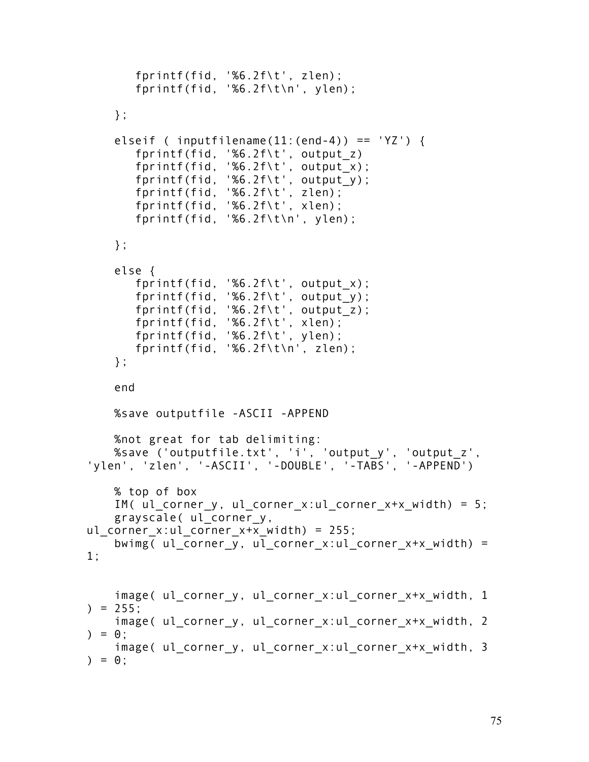```
 fprintf(fid, '%6.2f\t', zlen);
        fprintf(fid, '%6.2f\t\n', ylen);
     };
    elseif ( inputfilename(11:(end-4)) == 'YZ') {
        fprintf(fid, '%6.2f\t', output_z)
        fprintf(fid, '%6.2f\t', output_x);
        fprintf(fid, '%6.2f\t', output_y);
        fprintf(fid, '%6.2f\t', zlen); 
        fprintf(fid, '%6.2f\t', xlen);
        fprintf(fid, '%6.2f\t\n', ylen);
     };
     else {
        fprintf(fid, '%6.2f\t', output_x);
        fprintf(fid, '%6.2f\t', output_y);
        fprintf(fid, '%6.2f\t', output_z);
 fprintf(fid, '%6.2f\t', xlen);
 fprintf(fid, '%6.2f\t', ylen);
        fprintf(fid, '%6.2f\t\n', zlen);
     };
     end
     %save outputfile -ASCII -APPEND
     %not great for tab delimiting:
     %save ('outputfile.txt', 'i', 'output_y', 'output_z', 
'ylen', 'zlen', '-ASCII', '-DOUBLE', '-TABS', '-APPEND')
     % top of box 
    IM( ul corner y, ul corner x:ul corner x+x width) = 5;
     grayscale( ul_corner_y, 
ul corner x:ul corner x+x width) = 255;
    bwimg( ul_corner_y, ul_corner x:ul corner x+x width) =
1;
    image( ul corner y, ul corner x:ul corner x+x width, 1
) = 255;
    image( ul corner y, ul corner x:ul corner x+x width, 2
) = 0;
    image( ul corner y, ul corner x:ul corner x+x width, 3
) = 0 :
```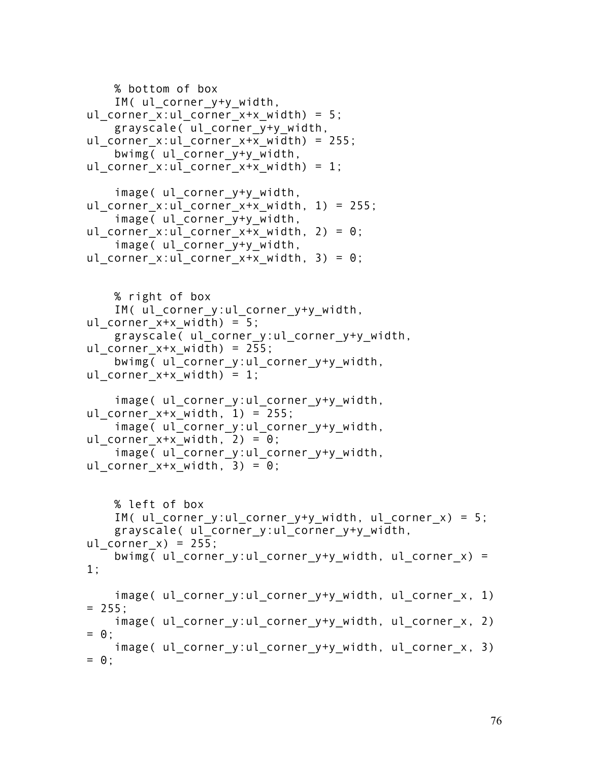```
 % bottom of box
     IM( ul_corner_y+y_width, 
ul corner x:ul corner x+x width) = 5;
     grayscale( ul_corner_y+y_width, 
ul corner x:ul corner x+x width) = 255;
    bwimg( ul corner y+y width,
ul corner x:ul corner x+x width) = 1;
    image( ul corner y+y width,
ul corner x:ul corner x+x width, 1) = 255;
     image( ul_corner_y+y_width, 
ul corner x:ul corner x+x width, 2) = 0;
    image( ul corner y+y width,
ul corner x:ul corner x+x width, 3) = 0;
     % right of box
    IM( ul corner y:ul corner y+y width,
ul corner x+x width) = 5;
     grayscale( ul_corner_y:ul_corner_y+y_width, 
ul corner x+x width) = 255;
    bwimg( ul corner y:ul corner y+y width,
ul corner x+x width) = 1;
    image( ul corner y:ul corner y+y width,
ul corner x+x width, 1) = 255;
     image( ul_corner_y:ul_corner_y+y_width, 
ul corner x+x width, 2) = 0;
    image( ul corner y:ul corner y+y width,
ul corner x+x width, 3) = 0;
     % left of box
     IM( ul_corner_y:ul_corner_y+y_width, ul_corner_x) = 5;
     grayscale( ul_corner_y:ul_corner_y+y_width, 
ul corner x) = 255;
    bwimg( ul corner y:ul corner y+y width, ul corner x) =
1;
    image( ul corner y:ul corner y+y width, ul corner x, 1)
= 255;
    image( ul corner y:ul corner y+y width, ul corner x, 2)
= 0;
    image( ul corner y:ul corner y+y width, ul corner x, 3)
= 0 :
```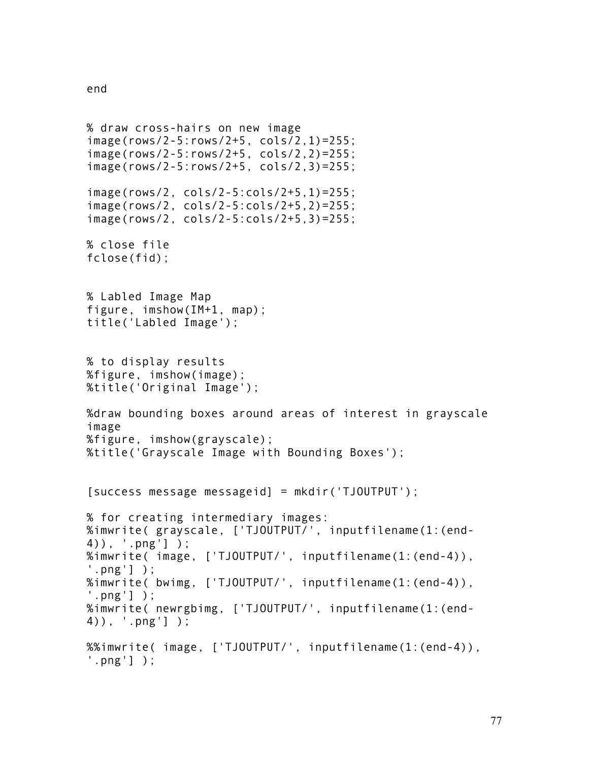```
end
```

```
% draw cross-hairs on new image
image(rows/2-5:rows/2+5, cols/2,1)=255;
image(rows/2-5:rows/2+5, cols/2,2)=255;
image(rows/2-5:rows/2+5, cols/2,3)=255;
image(rows/2, cols/2-5:cols/2+5,1)=255;
image(rows/2, cols/2-5:cols/2+5,2)=255;
image(rows/2, cols/2-5:cols/2+5,3)=255;
% close file
fclose(fid);
% Labled Image Map
figure, imshow(IM+1, map);
title('Labled Image'); 
% to display results
%figure, imshow(image);
%title('Original Image');
%draw bounding boxes around areas of interest in grayscale 
image
%figure, imshow(grayscale);
%title('Grayscale Image with Bounding Boxes');
[success message messageid] = mkdir('TJOUTPUT');
% for creating intermediary images:
%imwrite( grayscale, ['TJOUTPUT/', inputfilename(1:(end-
4)), '.png'] );
%imwrite( image, ['TJOUTPUT/', inputfilename(1:(end-4)), 
'.png'] );
%imwrite( bwimg, ['TJOUTPUT/', inputfilename(1:(end-4)), 
'.png'] );
%imwrite( newrgbimg, ['TJOUTPUT/', inputfilename(1:(end-
4)), '.png'] );
%%imwrite( image, ['TJOUTPUT/', inputfilename(1:(end-4)), 
'.png'] );
```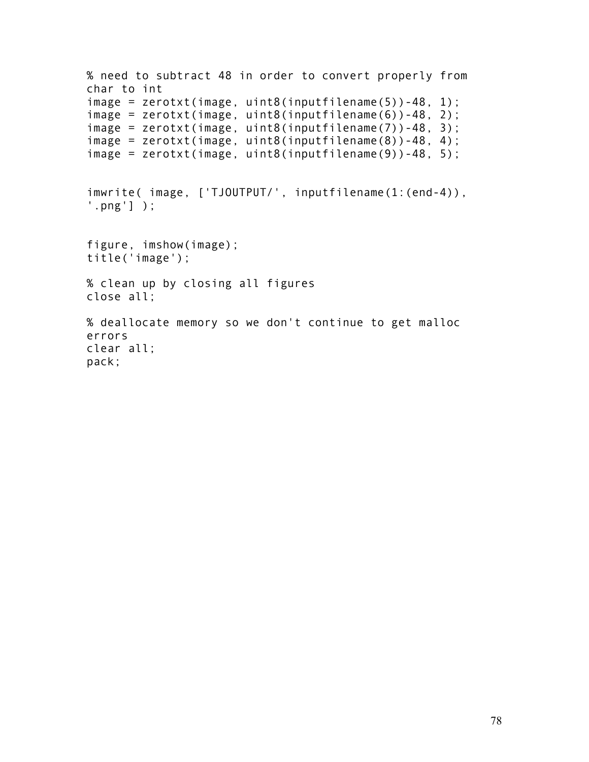```
% need to subtract 48 in order to convert properly from 
char to int
image = zerotxt(image, uint8(inputfilename(5))-48, 1);
image = zerotxt(image, uint8(inputfilename(6))-48, 2);
image = zerotxt(image, uint8(inputfilename(7))-48, 3);
image = zerotxt(image, uint8(inputfilename(8))-48, 4);
image = zerotxt(image, uint8(inputfilename(9))-48, 5);
imwrite( image, ['TJOUTPUT/', inputfilename(1:(end-4)), 
'.png'] );
figure, imshow(image);
title('image');
% clean up by closing all figures
close all;
% deallocate memory so we don't continue to get malloc 
errors
clear all;
pack;
```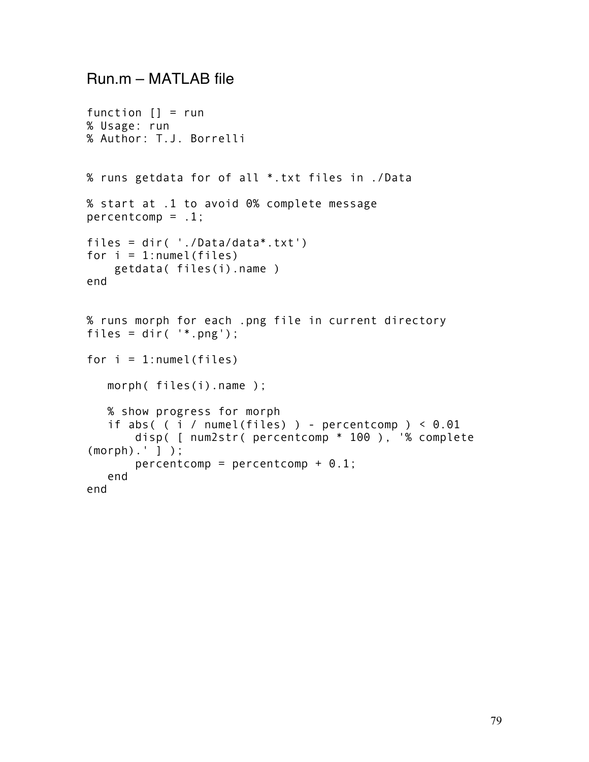## Run.m – MATLAB file

```
function [] = run% Usage: run
% Author: T.J. Borrelli
% runs getdata for of all *.txt files in ./Data
% start at .1 to avoid 0% complete message
percentcomp = .1;files = dir( './Data/data*.txt')
for i = 1: numel (files)
     getdata( files(i).name )
end
% runs morph for each .png file in current directory
files = dir('*.png');for i = 1: numel(files)
   morph( files(i).name );
   % show progress for morph
   if abs((i / numel(files)) - percentcomp) < 0.01 disp( [ num2str( percentcomp * 100 ), '% complete 
(morph).' ] );
       percentcomp = percentcomp + 0.1; end
end
```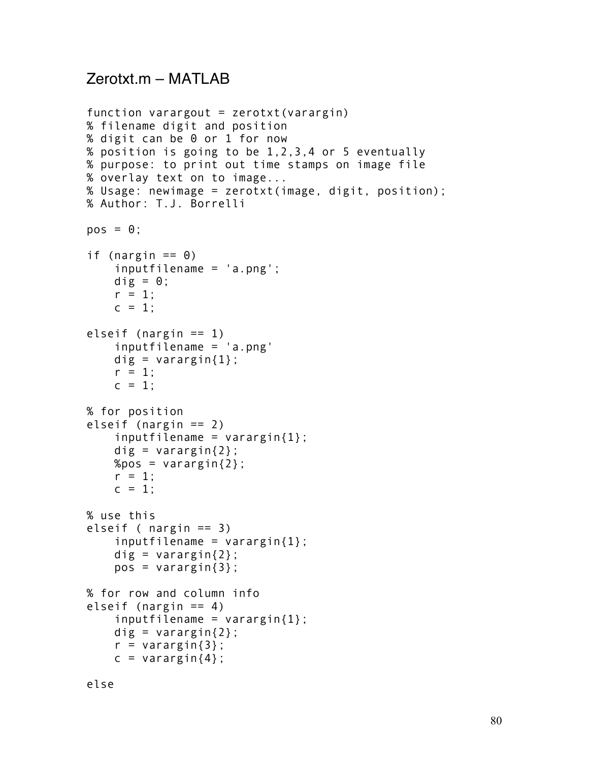# Zerotxt.m – MATLAB

```
function varargout = zerotxt(varrayin)% filename digit and position
% digit can be 0 or 1 for now
% position is going to be 1,2,3,4 or 5 eventually
% purpose: to print out time stamps on image file
% overlay text on to image...
% Usage: newimage = zerotxt(image, digit, position);
% Author: T.J. Borrelli
pos = 0;if (nargin == 0)
     inputfilename = 'a.png';
    dig = 0;r = 1;
    c = 1;
elseif (nargin == 1)
     inputfilename = 'a.png'
    dig = varargin\{1\};
    r = 1;
    c = 1;% for position
elseif (nargin == 2)
    inputfilename = varaging{1};
    dig = varargin\{2\};
    %pos = varargin\{2\};r = 1;
    c = 1;
% use this
elseif ( nargin == 3)
    inputfilename = varargin\{1\};
    dig = varargin\{2\};pos = varargin\{3\};% for row and column info
elseif (nargin == 4)
    inputfilename = varaging{1};
    dig = varargin\{2\};
    r = varargin\{3\};c = varargin{4};
```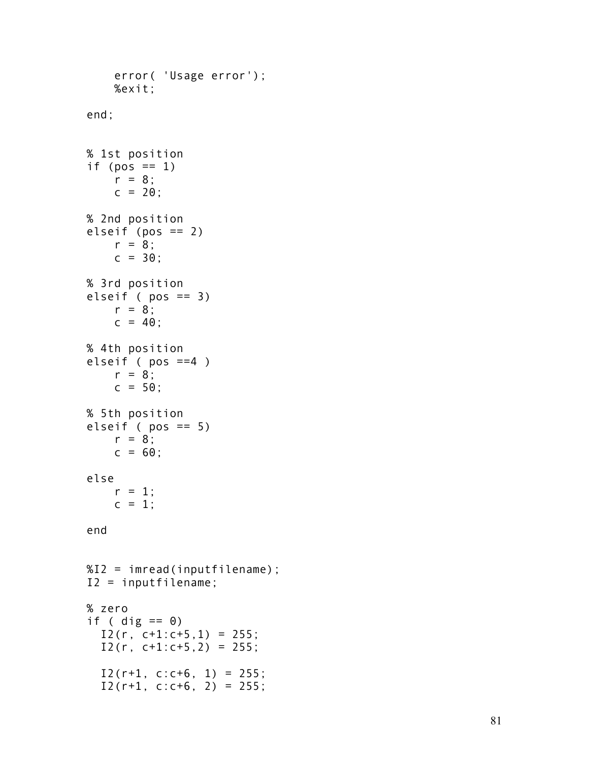```
 error( 'Usage error');
     %exit;
end;
% 1st position
if (pos == 1)
   r = 8;
    c = 20;
% 2nd position
elseif (pos == 2)
    r = 8;
    c = 30;% 3rd position
elseif (pos == 3)
    r = 8;
    c = 40;
% 4th position 
elseif ( pos ==4 )
    r = 8;
    c = 50;
% 5th position
elseif ( pos == 5)
   r = 8;
    c = 60;
else
    r = 1;
    c = 1;
end
%I2 = imread(inputfilename);
I2 = inputfilename;
% zero
if ( dig == 0)
  I2(r, c+1:c+5, 1) = 255;I2(r, c+1:c+5, 2) = 255;I2(r+1, c:c+6, 1) = 255;I2(r+1, c:c+6, 2) = 255;
```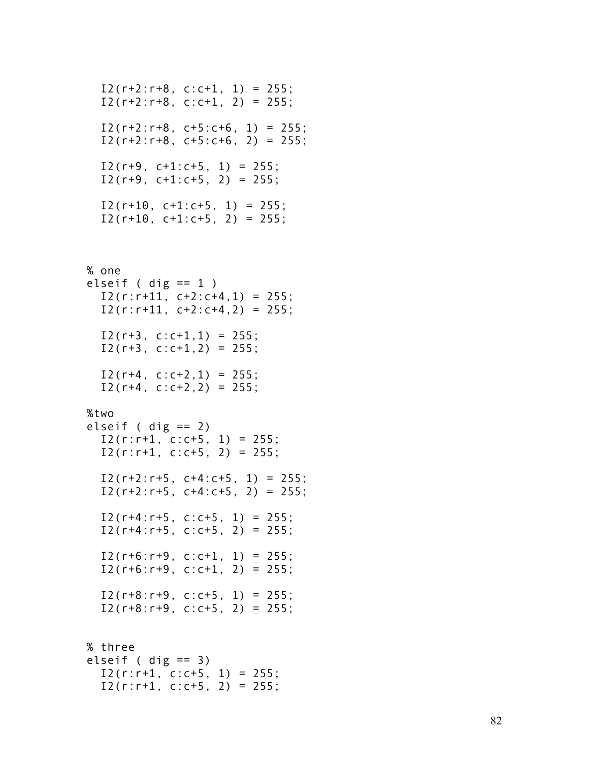```
I2(r+2:r+8, c:c+1, 1) = 255;I2(r+2:r+8, c:c+1, 2) = 255;I2(r+2:r+8, c+5:c+6, 1) = 255;
I2(r+2:r+8, c+5:c+6, 2) = 255;I2(r+9, c+1:c+5, 1) = 255;I2(r+9, c+1:c+5, 2) = 255;I2(r+10, c+1:c+5, 1) = 255;I2(r+10, c+1:c+5, 2) = 255;
```
### % one

```
elseif ( dig == 1 )
  I2(r:r+11, c+2:c+4, 1) = 255;I2(r:r+11, c+2:c+4, 2) = 255;I2(r+3, c:c+1, 1) = 255;I2(r+3, c:c+1, 2) = 255;I2(r+4, c:c+2, 1) = 255;I2(r+4, c:c+2, 2) = 255;
```
#### %two

```
elseif ( dig == 2)
  I2(r:r+1, c:c+5, 1) = 255;
  I2(r:r+1, c:c+5, 2) = 255;I2(r+2:r+5, c+4:c+5, 1) = 255;I2(r+2:r+5, c+4:c+5, 2) = 255;I2(r+4:r+5, c:c+5, 1) = 255;I2(r+4:r+5, c:c+5, 2) = 255;I2(r+6:r+9, c:c+1, 1) = 255;I2(r+6:r+9, c:c+1, 2) = 255;I2(r+8:r+9, c:c+5, 1) = 255;I2(r+8:r+9, c:c+5, 2) = 255;
```

```
% three
elseif ( dig == 3)
  I2(r:r+1, c:c+5, 1) = 255;I2(r:r+1, c:c+5, 2) = 255;
```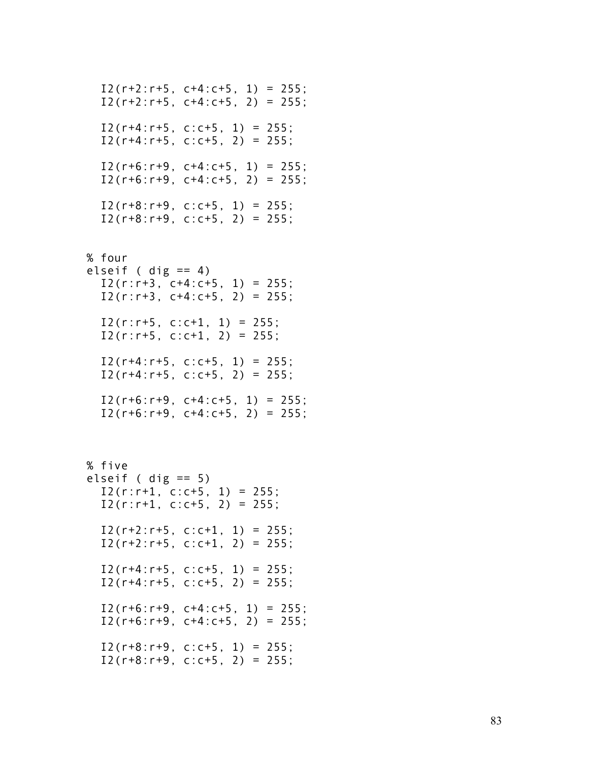```
I2(r+2:r+5, c+4:c+5, 1) = 255;I2(r+2:r+5, c+4:c+5, 2) = 255;I2(r+4:r+5, c:c+5, 1) = 255;I2(r+4:r+5, c:c+5, 2) = 255;I2(r+6:r+9, c+4:c+5, 1) = 255;I2(r+6:r+9, c+4:c+5, 2) = 255;
  I2(r+8:r+9, c:c+5, 1) = 255;I2(r+8:r+9, c:c+5, 2) = 255;% four
elseif ( dig == 4)
  I2(r:r+3, c+4:c+5, 1) = 255;I2(r:r+3, c+4:c+5, 2) = 255;I2(r:r+5, c:c+1, 1) = 255;I2(r:r+5, c:c+1, 2) = 255;I2(r+4:r+5, c:c+5, 1) = 255;I2(r+4:r+5, c:c+5, 2) = 255;I2(r+6:r+9, c+4:c+5, 1) = 255;I2(r+6:r+9, c+4:c+5, 2) = 255;% five 
elseif ( dig == 5)
  I2(r:r+1, c:c+5, 1) = 255;I2(r:r+1, c:c+5, 2) = 255;
  I2(r+2:r+5, c:c+1, 1) = 255;I2(r+2:r+5, c:c+1, 2) = 255;I2(r+4:r+5, c:c+5, 1) = 255;I2(r+4:r+5, c:c+5, 2) = 255;I2(r+6:r+9, c+4:c+5, 1) = 255;I2(r+6:r+9, c+4:c+5, 2) = 255;I2(r+8:r+9, c:c+5, 1) = 255;
  I2(r+8:r+9, c:c+5, 2) = 255:
```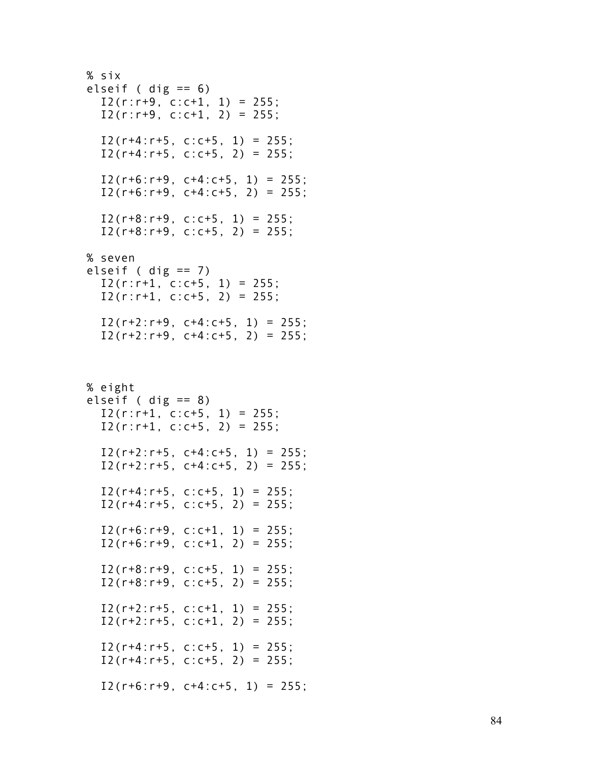```
% six
elseif ( dig == 6)
  I2(r:r+9, c:c+1, 1) = 255;I2(r:r+9, c:c+1, 2) = 255;I2(r+4:r+5, c:c+5, 1) = 255;I2(r+4:r+5, c:c+5, 2) = 255;I2(r+6:r+9, c+4:c+5, 1) = 255;I2(r+6:r+9, c+4:c+5, 2) = 255;
  I2(r+8:r+9, c:c+5, 1) = 255;I2(r+8:r+9, c:c+5, 2) = 255;% seven
elseif ( dig == 7)
  I2(r:r+1, c:c+5, 1) = 255;I2(r:r+1, c:c+5, 2) = 255;I2(r+2:r+9, c+4:c+5, 1) = 255;I2(r+2:r+9, c+4:c+5, 2) = 255;% eight
elseif ( dig == 8)
  I2(r:r+1, c:c+5, 1) = 255;I2(r:r+1, c:c+5, 2) = 255;I2(r+2:r+5, c+4:c+5, 1) = 255;I2(r+2:r+5, c+4:c+5, 2) = 255;I2(r+4:r+5, c:c+5, 1) = 255;I2(r+4:r+5, c:c+5, 2) = 255;I2(r+6:r+9, c:c+1, 1) = 255;I2(r+6:r+9, c:c+1, 2) = 255;I2(r+8:r+9, c:c+5, 1) = 255;I2(r+8:r+9, c:c+5, 2) = 255;I2(r+2:r+5, c:c+1, 1) = 255;I2(r+2:r+5, c:c+1, 2) = 255;I2(r+4:r+5, c:c+5, 1) = 255;I2(r+4:r+5, c:c+5, 2) = 255;I2(r+6:r+9, c+4:c+5, 1) = 255;
```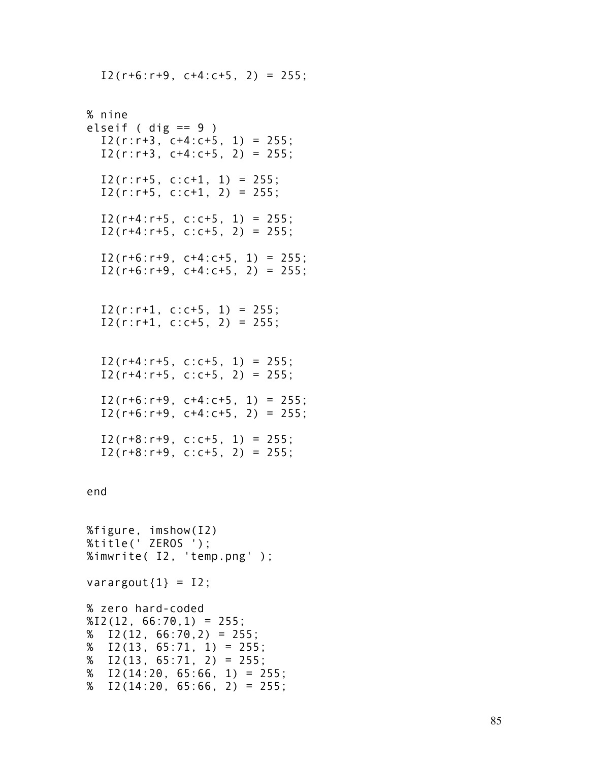$I2(r+6:r+9, c+4:c+5, 2) = 255;$ 

```
% nine
elseif ( dig == 9 )
  I2(r:r+3, c+4:c+5, 1) = 255;I2(r:r+3, c+4:c+5, 2) = 255;I2(r:r+5, c:c+1, 1) = 255;
  I2(r:r+5, c:c+1, 2) = 255;I2(r+4:r+5, c:c+5, 1) = 255;I2(r+4:r+5, c:c+5, 2) = 255;I2(r+6:r+9, c+4:c+5, 1) = 255;I2(r+6:r+9, c+4:c+5, 2) = 255;I2(r:r+1, c:c+5, 1) = 255;I2(r:r+1, c:c+5, 2) = 255;I2(r+4:r+5, c:c+5, 1) = 255;I2(r+4:r+5, c:c+5, 2) = 255;I2(r+6:r+9, c+4:c+5, 1) = 255;I2(r+6:r+9, c+4:c+5, 2) = 255;I2(r+8:r+9, c:c+5, 1) = 255;I2(r+8:r+9, c:c+5, 2) = 255;
end
%figure, imshow(I2)
%title(' ZEROS ');
%imwrite( I2, 'temp.png' );
varargout\{1\} = 12;
% zero hard-coded
%12(12, 66:70, 1) = 255;% I2(12, 66:70, 2) = 255;% I2(13, 65:71, 1) = 255;% I2(13, 65:71, 2) = 255;% I2(14:20, 65:66, 1) = 255;% I2(14:20, 65:66, 2) = 255;
```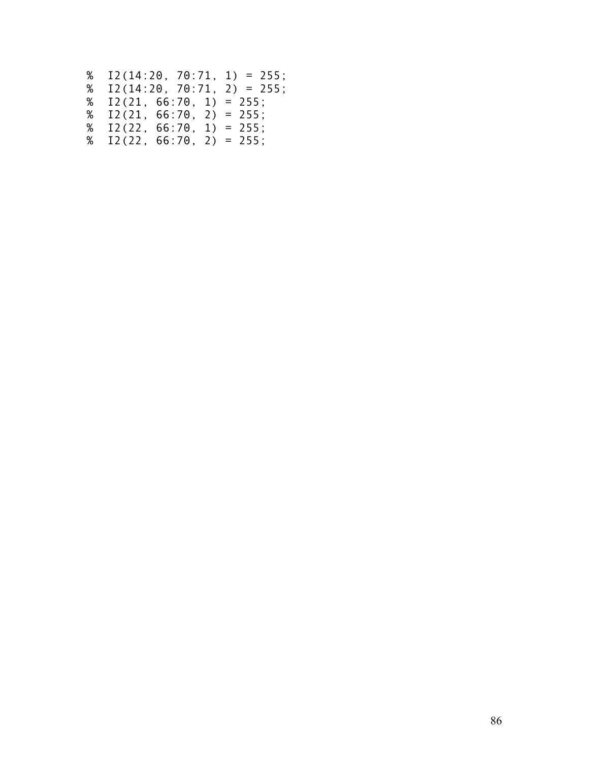| $% I2(14:20, 70:71, 1) = 255;$ |  |  |  |
|--------------------------------|--|--|--|
| $% I2(14:20, 70:71, 2) = 255;$ |  |  |  |
| $% I2(21, 66:70, 1) = 255;$    |  |  |  |
| $% I2(21, 66:70, 2) = 255;$    |  |  |  |
| $% I2(22, 66:70, 1) = 255;$    |  |  |  |
| $% I2(22, 66:70, 2) = 255;$    |  |  |  |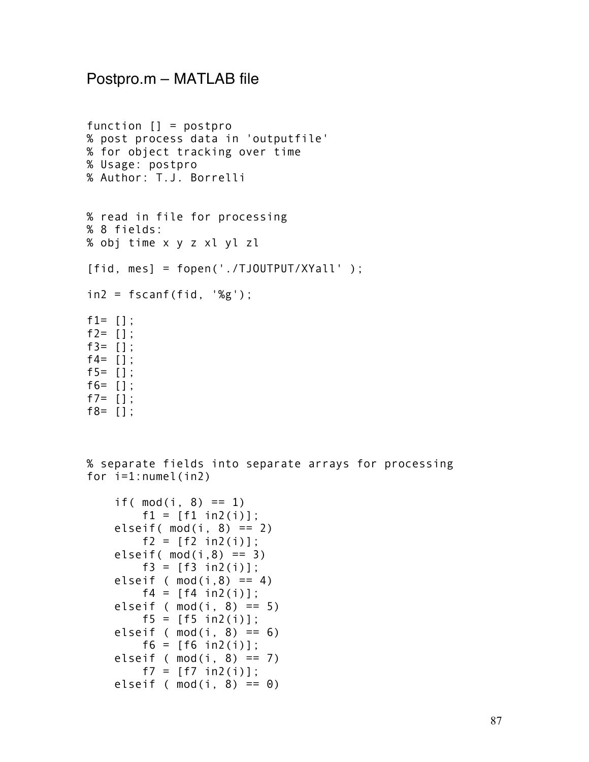### Postpro.m – MATLAB file

```
function [] = postpro 
% post process data in 'outputfile'
% for object tracking over time
% Usage: postpro
% Author: T.J. Borrelli
% read in file for processing
% 8 fields:
% obj time x y z xl yl zl
[fid, mes] = fopen('./TJOUTPUT/XYall' );
in2 = fscanf(fid, '%g');f1= [];
f2 = [ ];
f3 = [1;f4 = [ ];
f5 = [ ];
f6= [];
f7= [1];
f8= [];
```
% separate fields into separate arrays for processing for i=1:numel(in2)

```
if( mod(i, 8) == 1)f1 = [f1 in2(i)];elseif( mod(i, 8) == 2)f2 = [f2 \text{ in } 2(i)];
elseif(mod(i,8) == 3)f3 = [f3 in2(i)];elseif ( mod(i, 8) == 4)
    f4 = [f4 in2(i)];elseif ( mod(i, 8) == 5)
    f5 = [f5 in2(i)];elseif ( mod(i, 8) == 6)
    f6 = [f6 in2(i)];elseif ( mod(i, 8) == 7)
    f7 = [f7 \text{ in2(i)}];elseif ( mod(i, 8) == 0)
```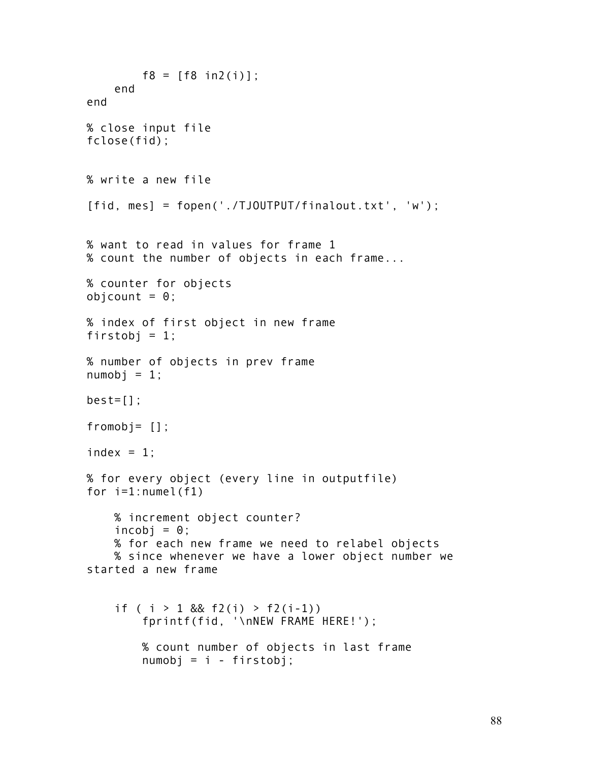```
f8 = [f8 \text{ in2(i)}]; end
end
% close input file
fclose(fid);
% write a new file
[fid, mes] = fopen('./TJOUTPUT/finalout.txt', 'w');
% want to read in values for frame 1
% count the number of objects in each frame...
% counter for objects
objcount = 0;% index of first object in new frame
firstobj = 1;
% number of objects in prev frame
numobj = 1;best=[];
fromobj= [];
index = 1;
% for every object (every line in outputfile)
for i=1:numel(f1)
     % increment object counter?
    incobj = \theta;
     % for each new frame we need to relabel objects
     % since whenever we have a lower object number we 
started a new frame
    if ( i > 1 && f2(i) > f2(i-1))
         fprintf(fid, '\nNEW FRAME HERE!');
         % count number of objects in last frame
         numobj = i - firstobj;
```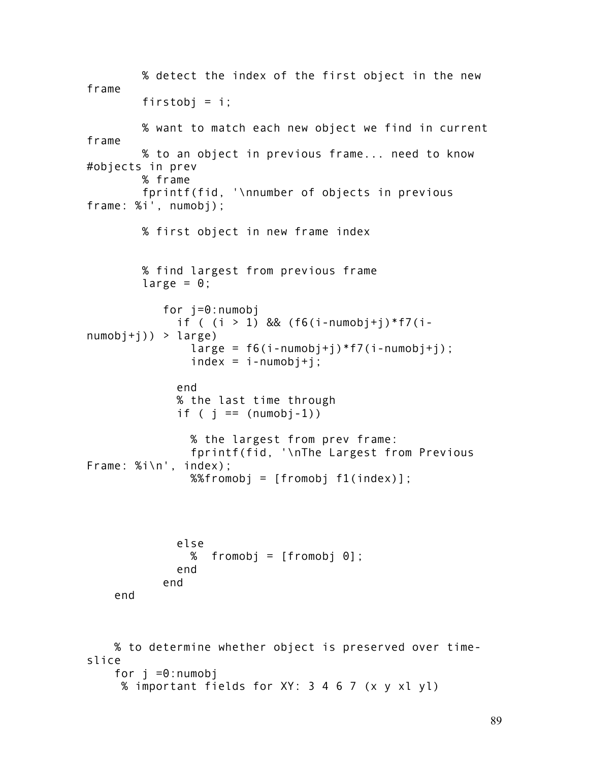```
 % detect the index of the first object in the new 
frame
        firstobj = i;
         % want to match each new object we find in current 
frame
         % to an object in previous frame... need to know 
#objects in prev
         % frame
         fprintf(fid, '\nnumber of objects in previous 
frame: %i', numobj);
         % first object in new frame index
         % find largest from previous frame
        large = 0;
            for j=0:numobj
              if ( (i > 1) && (f6(i-numobj+j)*f7(i-
numobj+j) > large)large = f6(i-numberi)*f7(i-numberi);index = i-numberi; end
              % the last time through
             if ( j == (numobj-1))
                % the largest from prev frame:
                fprintf(fid, '\nThe Largest from Previous 
Frame: %i\n', index);
               %%fromobj = [fromobj f1(intedx)]; else
               % fromobi = [fromobi 0];
              end
            end
     end
     % to determine whether object is preserved over time-
slice
    for i = 0:numobi % important fields for XY: 3 4 6 7 (x y xl yl)
```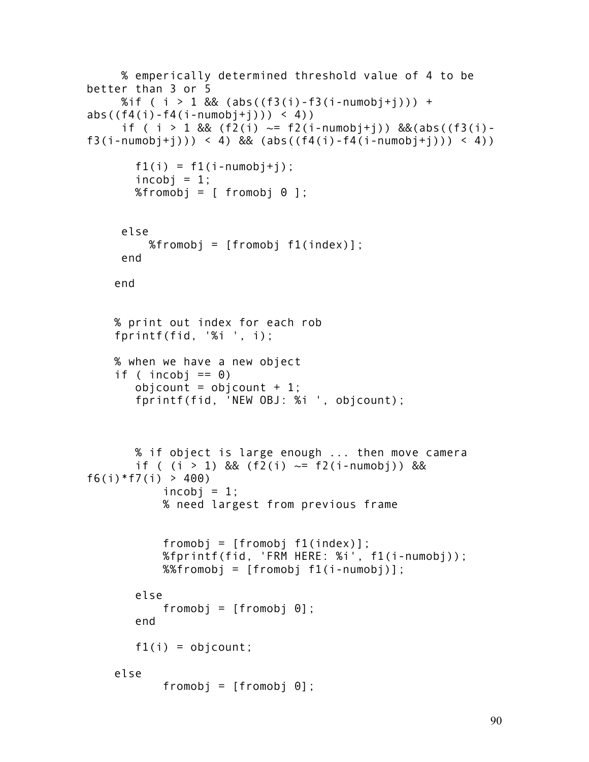```
 % emperically determined threshold value of 4 to be 
better than 3 or 5
     %if ( i > 1 && (abs((f3(i)-f3(i-numobj+j))) +
abs((f4(i) - f4(i - numobj + j)) > 4))
     if ( i > 1 && (f2(i) \sim = f2(i-numob+i)) &&(abs((f3(i)-
f3(i - \text{numobj} + i)) > 4 && (abs((f4(i) - f4(i - \text{numobj} + i)) > 4))
       f1(i) = f1(i - \text{numobj} + j);incobi = 1;
       %fromobj = [ fromobj \theta ];
      else
          %fromobj = [fromobj f1(index)];
      end
     end
     % print out index for each rob
     fprintf(fid, '%i ', i);
     % when we have a new object 
    if ( incobj == 0)
       obicount = obicount + 1;
        fprintf(fid, 'NEW OBJ: %i ', objcount);
        % if object is large enough ... then move camera 
       if ( (i > 1) && (f2(i) \sim = f2(i - \text{numobj})) &&
f6(i) *f7(i) > 400)
            incobi = 1;
             % need largest from previous frame 
             fromobj = [fromobj f1(index)];
             %fprintf(fid, 'FRM HERE: %i', f1(i-numobj));
             %%fromobj = [fromobj f1(i-numobj)];
        else
             fromobj = [fromobj 0];
        end
       f1(i) = objcount; else
             fromobj = [fromobj 0];
```